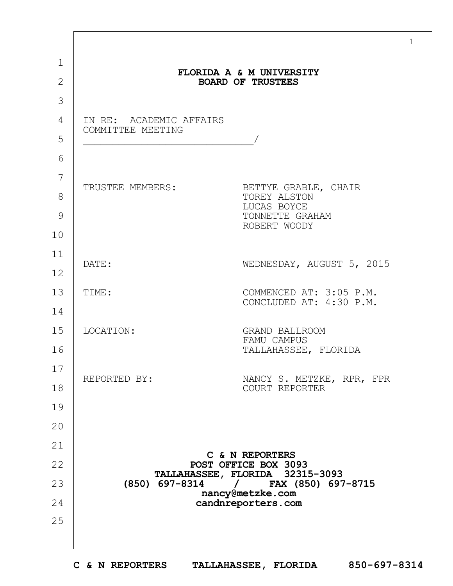| $\mathbf{1}$   |                                              | FLORIDA A & M UNIVERSITY                              |
|----------------|----------------------------------------------|-------------------------------------------------------|
| $\overline{2}$ |                                              | <b>BOARD OF TRUSTEES</b>                              |
| 3              |                                              |                                                       |
| $\overline{4}$ | IN RE: ACADEMIC AFFAIRS<br>COMMITTEE MEETING |                                                       |
| 5              |                                              |                                                       |
| 6              |                                              |                                                       |
| 7              | TRUSTEE MEMBERS:                             | BETTYE GRABLE, CHAIR                                  |
| 8              |                                              | TOREY ALSTON<br>LUCAS BOYCE                           |
| 9              |                                              | TONNETTE GRAHAM<br>ROBERT WOODY                       |
| 10             |                                              |                                                       |
| 11             | DATE:                                        | WEDNESDAY, AUGUST 5, 2015                             |
| 12             |                                              |                                                       |
| 13             | TIME:                                        | COMMENCED AT: 3:05 P.M.<br>CONCLUDED AT: 4:30 P.M.    |
| 14             |                                              |                                                       |
| 15             | LOCATION:                                    | <b>GRAND BALLROOM</b><br>FAMU CAMPUS                  |
| 16             |                                              | TALLAHASSEE, FLORIDA                                  |
| 17             |                                              |                                                       |
| 18             | REPORTED BY:                                 | NANCY S. METZKE, RPR, FPR<br>COURT REPORTER           |
| 19             |                                              |                                                       |
| 20             |                                              |                                                       |
| 21             |                                              |                                                       |
| 22             | C & N REPORTERS<br>POST OFFICE BOX 3093      |                                                       |
| 23             | $(850)$ 697-8314 /                           | TALLAHASSEE, FLORIDA 32315-3093<br>FAX (850) 697-8715 |
| 24             | nancy@metzke.com<br>candnreporters.com       |                                                       |
| 25             |                                              |                                                       |
|                |                                              |                                                       |

1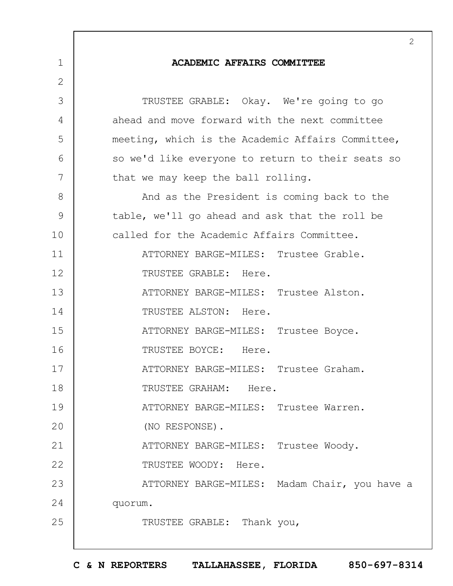|             | 2                                                 |
|-------------|---------------------------------------------------|
| $\mathbf 1$ | <b>ACADEMIC AFFAIRS COMMITTEE</b>                 |
| 2           |                                                   |
| 3           | TRUSTEE GRABLE: Okay. We're going to go           |
| 4           | ahead and move forward with the next committee    |
| 5           | meeting, which is the Academic Affairs Committee, |
| 6           | so we'd like everyone to return to their seats so |
| 7           | that we may keep the ball rolling.                |
| 8           | And as the President is coming back to the        |
| 9           | table, we'll go ahead and ask that the roll be    |
| 10          | called for the Academic Affairs Committee.        |
| 11          | ATTORNEY BARGE-MILES: Trustee Grable.             |
| 12          | TRUSTEE GRABLE: Here.                             |
| 13          | ATTORNEY BARGE-MILES: Trustee Alston.             |
| 14          | TRUSTEE ALSTON: Here.                             |
| 15          | ATTORNEY BARGE-MILES: Trustee Boyce.              |
| 16          | TRUSTEE BOYCE: Here.                              |
| 17          | ATTORNEY BARGE-MILES: Trustee Graham.             |
| 18          | TRUSTEE GRAHAM: Here.                             |
| 19          | ATTORNEY BARGE-MILES: Trustee Warren.             |
| 20          | (NO RESPONSE).                                    |
| 21          | ATTORNEY BARGE-MILES: Trustee Woody.              |
| 22          | TRUSTEE WOODY: Here.                              |
| 23          | ATTORNEY BARGE-MILES: Madam Chair, you have a     |
| 24          | quorum.                                           |
| 25          | TRUSTEE GRABLE: Thank you,                        |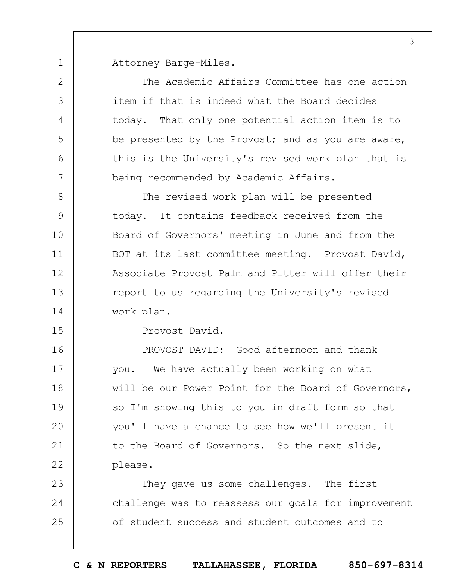1 Attorney Barge-Miles.

| $\overline{2}$ | The Academic Affairs Committee has one action       |
|----------------|-----------------------------------------------------|
| 3              | item if that is indeed what the Board decides       |
| 4              | today. That only one potential action item is to    |
| 5              | be presented by the Provost; and as you are aware,  |
| 6              | this is the University's revised work plan that is  |
| 7              | being recommended by Academic Affairs.              |
| $8\,$          | The revised work plan will be presented             |
| $\mathcal{G}$  | today. It contains feedback received from the       |
| 10             | Board of Governors' meeting in June and from the    |
| 11             | BOT at its last committee meeting. Provost David,   |
| 12             | Associate Provost Palm and Pitter will offer their  |
| 13             | report to us regarding the University's revised     |
| 14             | work plan.                                          |
| 15             | Provost David.                                      |
| 16             | PROVOST DAVID: Good afternoon and thank             |
| 17             | you. We have actually been working on what          |
| 18             | will be our Power Point for the Board of Governors, |
| 19             | so I'm showing this to you in draft form so that    |
| 20             | you'll have a chance to see how we'll present it    |
| 21             | to the Board of Governors. So the next slide,       |
| 22             | please.                                             |
| 23             | They gave us some challenges. The first             |
| 24             | challenge was to reassess our goals for improvement |
| 25             | of student success and student outcomes and to      |
|                |                                                     |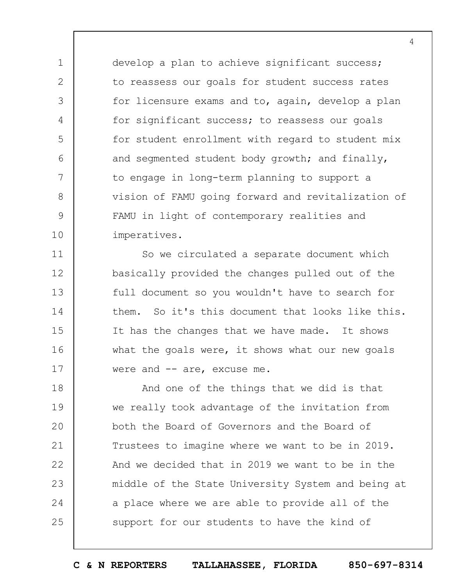develop a plan to achieve significant success; to reassess our goals for student success rates for licensure exams and to, again, develop a plan for significant success; to reassess our goals for student enrollment with regard to student mix and segmented student body growth; and finally, to engage in long-term planning to support a vision of FAMU going forward and revitalization of FAMU in light of contemporary realities and imperatives.

1

2

3

4

5

6

7

8

9

10

11 12 13 14 15 16 17 So we circulated a separate document which basically provided the changes pulled out of the full document so you wouldn't have to search for them. So it's this document that looks like this. It has the changes that we have made. It shows what the goals were, it shows what our new goals were and -- are, excuse me.

18 19  $20$ 21 22 23 24 25 And one of the things that we did is that we really took advantage of the invitation from both the Board of Governors and the Board of Trustees to imagine where we want to be in 2019. And we decided that in 2019 we want to be in the middle of the State University System and being at a place where we are able to provide all of the support for our students to have the kind of

**C & N REPORTERS TALLAHASSEE, FLORIDA 850-697-8314**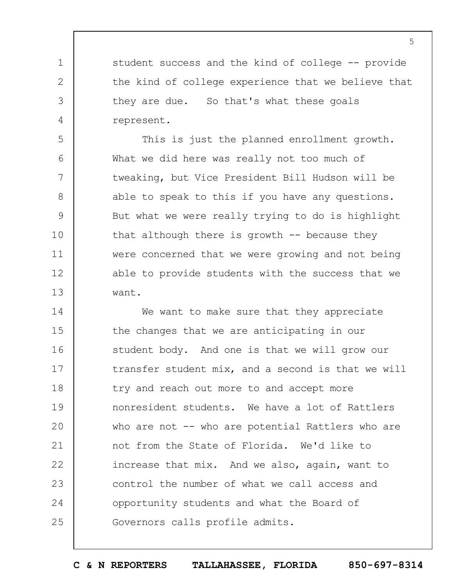student success and the kind of college -- provide the kind of college experience that we believe that they are due. So that's what these goals represent.

1

2

3

4

5

6

7

8

9

10

11

12

13

This is just the planned enrollment growth. What we did here was really not too much of tweaking, but Vice President Bill Hudson will be able to speak to this if you have any questions. But what we were really trying to do is highlight that although there is growth  $-$  because they were concerned that we were growing and not being able to provide students with the success that we want.

14 15 16 17 18 19  $20$ 21 22 23 24 25 We want to make sure that they appreciate the changes that we are anticipating in our student body. And one is that we will grow our transfer student mix, and a second is that we will try and reach out more to and accept more nonresident students. We have a lot of Rattlers who are not -- who are potential Rattlers who are not from the State of Florida. We'd like to increase that mix. And we also, again, want to control the number of what we call access and opportunity students and what the Board of Governors calls profile admits.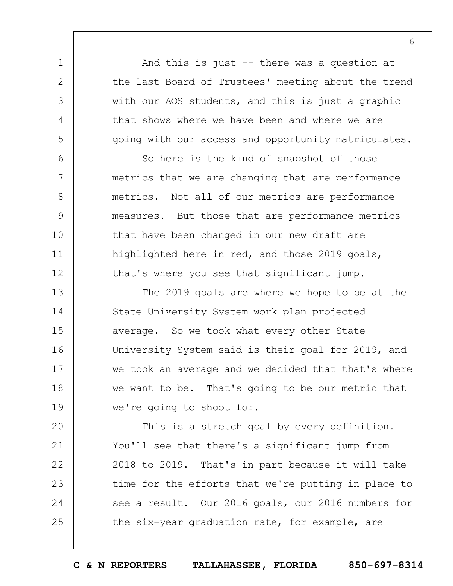And this is just -- there was a question at the last Board of Trustees' meeting about the trend with our AOS students, and this is just a graphic that shows where we have been and where we are going with our access and opportunity matriculates.

1

2

3

4

5

6

7

8

9

10

11

12

So here is the kind of snapshot of those metrics that we are changing that are performance metrics. Not all of our metrics are performance measures. But those that are performance metrics that have been changed in our new draft are highlighted here in red, and those 2019 goals, that's where you see that significant jump.

13 14 15 16 17 18 19 The 2019 goals are where we hope to be at the State University System work plan projected average. So we took what every other State University System said is their goal for 2019, and we took an average and we decided that that's where we want to be. That's going to be our metric that we're going to shoot for.

 $20$ 21 22 23 24 25 This is a stretch goal by every definition. You'll see that there's a significant jump from 2018 to 2019. That's in part because it will take time for the efforts that we're putting in place to see a result. Our 2016 goals, our 2016 numbers for the six-year graduation rate, for example, are

**C & N REPORTERS TALLAHASSEE, FLORIDA 850-697-8314**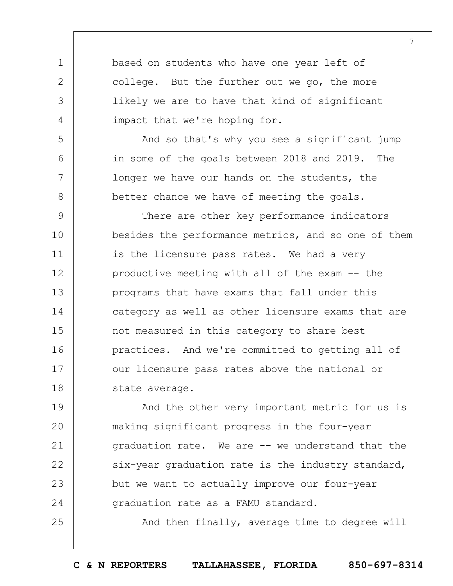based on students who have one year left of college. But the further out we go, the more likely we are to have that kind of significant impact that we're hoping for.

1

2

3

4

5

6

7

8

25

And so that's why you see a significant jump in some of the goals between 2018 and 2019. The longer we have our hands on the students, the better chance we have of meeting the goals.

9 10 11 12 13 14 15 16 17 18 There are other key performance indicators besides the performance metrics, and so one of them is the licensure pass rates. We had a very productive meeting with all of the exam -- the programs that have exams that fall under this category as well as other licensure exams that are not measured in this category to share best practices. And we're committed to getting all of our licensure pass rates above the national or state average.

19  $20$ 21 22 23 24 And the other very important metric for us is making significant progress in the four-year graduation rate. We are -- we understand that the six-year graduation rate is the industry standard, but we want to actually improve our four-year graduation rate as a FAMU standard.

And then finally, average time to degree will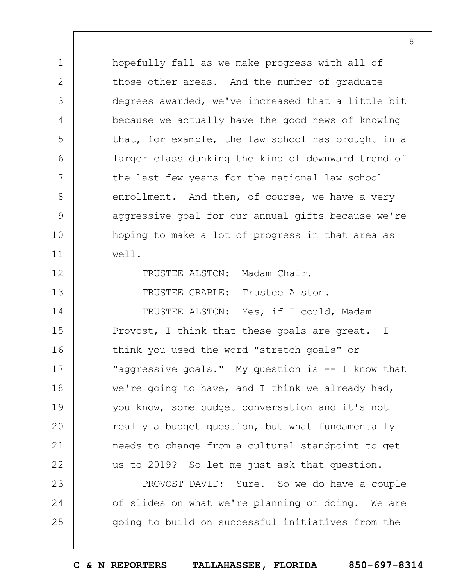hopefully fall as we make progress with all of those other areas. And the number of graduate degrees awarded, we've increased that a little bit because we actually have the good news of knowing that, for example, the law school has brought in a larger class dunking the kind of downward trend of the last few years for the national law school enrollment. And then, of course, we have a very aggressive goal for our annual gifts because we're hoping to make a lot of progress in that area as well.

1

2

3

4

5

6

7

8

9

10

11

12

13

14

TRUSTEE ALSTON: Madam Chair.

TRUSTEE GRABLE: Trustee Alston.

TRUSTEE ALSTON: Yes, if I could, Madam

15 16 17 18 19  $20$ 21 22 Provost, I think that these goals are great. I think you used the word "stretch goals" or "aggressive goals." My question is -- I know that we're going to have, and I think we already had, you know, some budget conversation and it's not really a budget question, but what fundamentally needs to change from a cultural standpoint to get us to 2019? So let me just ask that question.

23 24 25 PROVOST DAVID: Sure. So we do have a couple of slides on what we're planning on doing. We are going to build on successful initiatives from the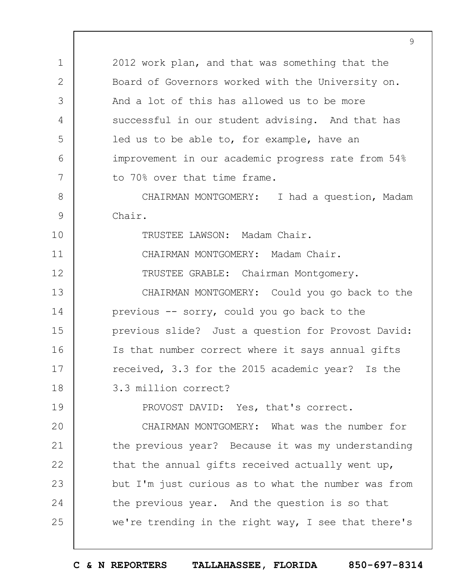2012 work plan, and that was something that the Board of Governors worked with the University on. And a lot of this has allowed us to be more successful in our student advising. And that has led us to be able to, for example, have an improvement in our academic progress rate from 54% to 70% over that time frame.

1

2

3

4

5

6

7

10

11

12

19

8 9 CHAIRMAN MONTGOMERY: I had a question, Madam Chair.

TRUSTEE LAWSON: Madam Chair.

CHAIRMAN MONTGOMERY: Madam Chair.

TRUSTEE GRABLE: Chairman Montgomery.

13 14 15 16 17 18 CHAIRMAN MONTGOMERY: Could you go back to the previous -- sorry, could you go back to the previous slide? Just a question for Provost David: Is that number correct where it says annual gifts received, 3.3 for the 2015 academic year? Is the 3.3 million correct?

PROVOST DAVID: Yes, that's correct.

 $20$ 21 22 23 24 25 CHAIRMAN MONTGOMERY: What was the number for the previous year? Because it was my understanding that the annual gifts received actually went up, but I'm just curious as to what the number was from the previous year. And the question is so that we're trending in the right way, I see that there's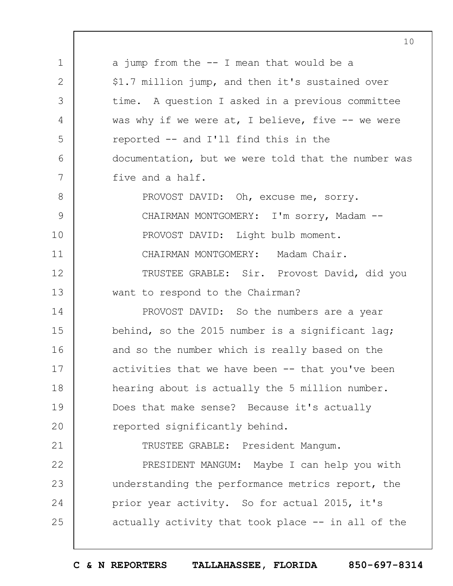1 2 3 4 5 6 7 8 9 10 11 12 13 14 15 16 17 18 19  $20$ 21 22 23 24 25 10 a jump from the -- I mean that would be a \$1.7 million jump, and then it's sustained over time. A question I asked in a previous committee was why if we were at, I believe, five  $-$ - we were reported -- and I'll find this in the documentation, but we were told that the number was five and a half. PROVOST DAVID: Oh, excuse me, sorry. CHAIRMAN MONTGOMERY: I'm sorry, Madam --PROVOST DAVID: Light bulb moment. CHAIRMAN MONTGOMERY: Madam Chair. TRUSTEE GRABLE: Sir. Provost David, did you want to respond to the Chairman? PROVOST DAVID: So the numbers are a year behind, so the 2015 number is a significant lag; and so the number which is really based on the activities that we have been  $-$ - that you've been hearing about is actually the 5 million number. Does that make sense? Because it's actually reported significantly behind. TRUSTEE GRABLE: President Mangum. PRESIDENT MANGUM: Maybe I can help you with understanding the performance metrics report, the prior year activity. So for actual 2015, it's actually activity that took place -- in all of the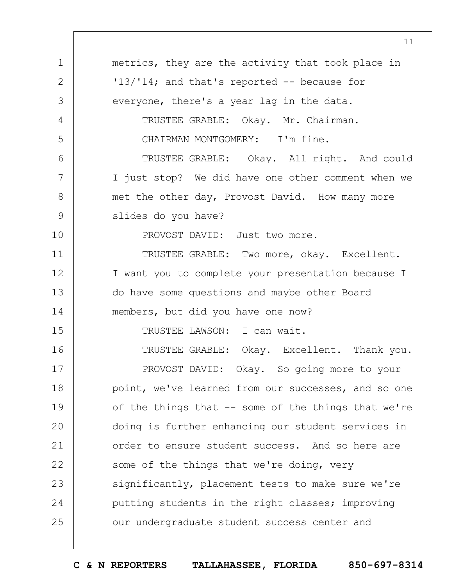|               | 11                                                   |
|---------------|------------------------------------------------------|
| $\mathbf 1$   | metrics, they are the activity that took place in    |
| $\mathbf{2}$  | $13/14$ ; and that's reported -- because for         |
| 3             | everyone, there's a year lag in the data.            |
| 4             | TRUSTEE GRABLE: Okay. Mr. Chairman.                  |
| 5             | CHAIRMAN MONTGOMERY: I'm fine.                       |
| 6             | TRUSTEE GRABLE: Okay. All right. And could           |
| 7             | I just stop? We did have one other comment when we   |
| $8\,$         | met the other day, Provost David. How many more      |
| $\mathcal{G}$ | slides do you have?                                  |
| 10            | PROVOST DAVID: Just two more.                        |
| 11            | TRUSTEE GRABLE: Two more, okay. Excellent.           |
| 12            | I want you to complete your presentation because I   |
| 13            | do have some questions and maybe other Board         |
| 14            | members, but did you have one now?                   |
| 15            | TRUSTEE LAWSON: I can wait.                          |
| 16            | TRUSTEE GRABLE: Okay. Excellent. Thank you.          |
| 17            | PROVOST DAVID: Okay. So going more to your           |
| 18            | point, we've learned from our successes, and so one  |
| 19            | of the things that $-$ some of the things that we're |
| 20            | doing is further enhancing our student services in   |
| 21            | order to ensure student success. And so here are     |
| 22            | some of the things that we're doing, very            |
| 23            | significantly, placement tests to make sure we're    |
| 24            | putting students in the right classes; improving     |
| 25            | our undergraduate student success center and         |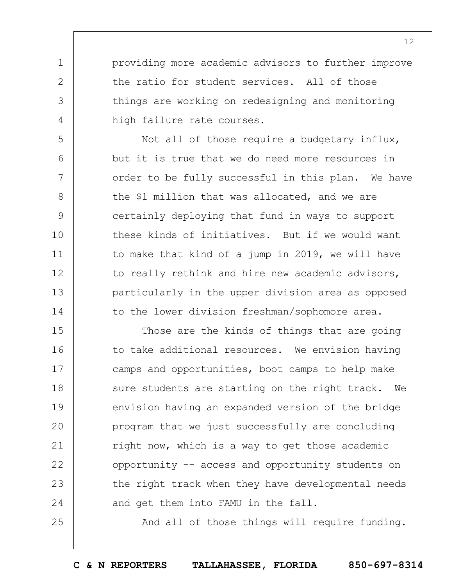providing more academic advisors to further improve the ratio for student services. All of those things are working on redesigning and monitoring high failure rate courses.

1

2

3

4

5

6

7

8

9

10

11

12

13

14

25

Not all of those require a budgetary influx, but it is true that we do need more resources in order to be fully successful in this plan. We have the \$1 million that was allocated, and we are certainly deploying that fund in ways to support these kinds of initiatives. But if we would want to make that kind of a jump in 2019, we will have to really rethink and hire new academic advisors, particularly in the upper division area as opposed to the lower division freshman/sophomore area.

15 16 17 18 19  $20$ 21 22 23 24 Those are the kinds of things that are going to take additional resources. We envision having camps and opportunities, boot camps to help make sure students are starting on the right track. We envision having an expanded version of the bridge program that we just successfully are concluding right now, which is a way to get those academic opportunity -- access and opportunity students on the right track when they have developmental needs and get them into FAMU in the fall.

And all of those things will require funding.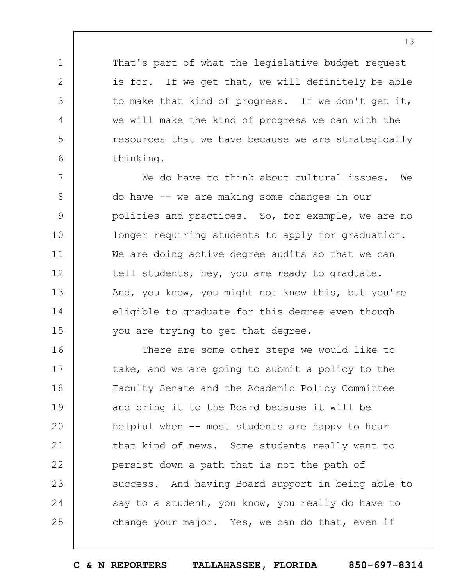That's part of what the legislative budget request is for. If we get that, we will definitely be able to make that kind of progress. If we don't get it, we will make the kind of progress we can with the resources that we have because we are strategically thinking.

1

2

3

4

5

6

7 8 9 10 11 12 13 14 15 We do have to think about cultural issues. We do have -- we are making some changes in our policies and practices. So, for example, we are no longer requiring students to apply for graduation. We are doing active degree audits so that we can tell students, hey, you are ready to graduate. And, you know, you might not know this, but you're eligible to graduate for this degree even though you are trying to get that degree.

16 17 18 19  $20$ 21 22 23 24 25 There are some other steps we would like to take, and we are going to submit a policy to the Faculty Senate and the Academic Policy Committee and bring it to the Board because it will be helpful when -- most students are happy to hear that kind of news. Some students really want to persist down a path that is not the path of success. And having Board support in being able to say to a student, you know, you really do have to change your major. Yes, we can do that, even if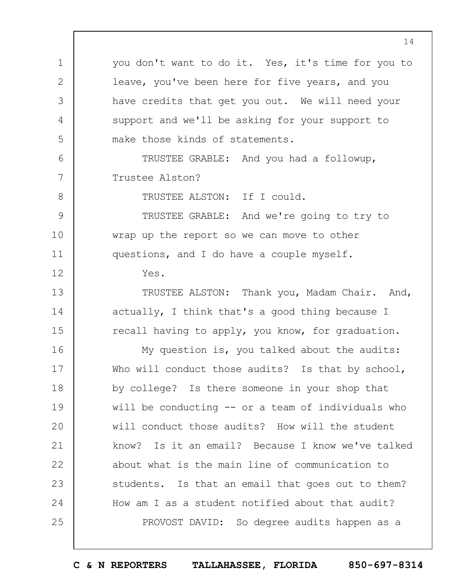1 2 3 4 5 6 7 8 9 10 11 12 13 14 15 16 17 18 19  $20$ 21 22 23 24 25 you don't want to do it. Yes, it's time for you to leave, you've been here for five years, and you have credits that get you out. We will need your support and we'll be asking for your support to make those kinds of statements. TRUSTEE GRABLE: And you had a followup, Trustee Alston? TRUSTEE ALSTON: If I could. TRUSTEE GRABLE: And we're going to try to wrap up the report so we can move to other questions, and I do have a couple myself. Yes. TRUSTEE ALSTON: Thank you, Madam Chair. And, actually, I think that's a good thing because I recall having to apply, you know, for graduation. My question is, you talked about the audits: Who will conduct those audits? Is that by school, by college? Is there someone in your shop that will be conducting -- or a team of individuals who will conduct those audits? How will the student know? Is it an email? Because I know we've talked about what is the main line of communication to students. Is that an email that goes out to them? How am I as a student notified about that audit? PROVOST DAVID: So degree audits happen as a

**C & N REPORTERS TALLAHASSEE, FLORIDA 850-697-8314**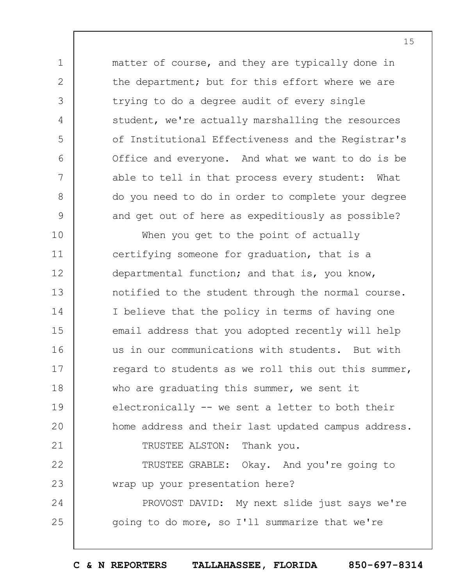matter of course, and they are typically done in the department; but for this effort where we are trying to do a degree audit of every single student, we're actually marshalling the resources of Institutional Effectiveness and the Registrar's Office and everyone. And what we want to do is be able to tell in that process every student: What do you need to do in order to complete your degree and get out of here as expeditiously as possible?

1

2

3

4

5

6

7

8

9

10 11 12 13 14 15 16 17 18 19  $20$ 21 22 23 24 25 When you get to the point of actually certifying someone for graduation, that is a departmental function; and that is, you know, notified to the student through the normal course. I believe that the policy in terms of having one email address that you adopted recently will help us in our communications with students. But with regard to students as we roll this out this summer, who are graduating this summer, we sent it electronically -- we sent a letter to both their home address and their last updated campus address. TRUSTEE ALSTON: Thank you. TRUSTEE GRABLE: Okay. And you're going to wrap up your presentation here? PROVOST DAVID: My next slide just says we're going to do more, so I'll summarize that we're

**C & N REPORTERS TALLAHASSEE, FLORIDA 850-697-8314**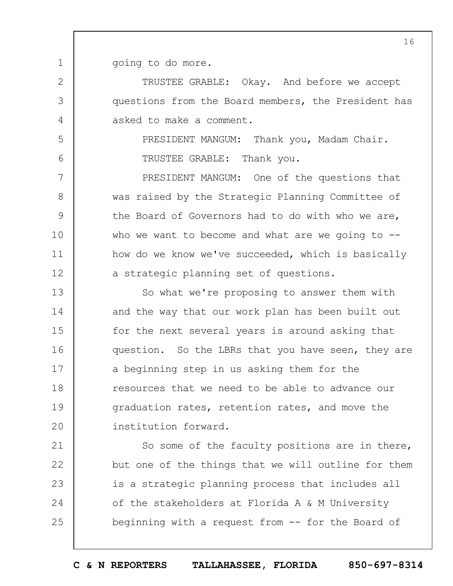1 going to do more.

2

3

4

5

6

7

8

9

10

11

TRUSTEE GRABLE: Okay. And before we accept questions from the Board members, the President has asked to make a comment.

> PRESIDENT MANGUM: Thank you, Madam Chair. TRUSTEE GRABLE: Thank you.

12 PRESIDENT MANGUM: One of the questions that was raised by the Strategic Planning Committee of the Board of Governors had to do with who we are, who we want to become and what are we going to  $-$ how do we know we've succeeded, which is basically a strategic planning set of questions.

13 14 15 16 17 18 19  $20$ So what we're proposing to answer them with and the way that our work plan has been built out for the next several years is around asking that question. So the LBRs that you have seen, they are a beginning step in us asking them for the resources that we need to be able to advance our graduation rates, retention rates, and move the institution forward.

21 22 23 24 25 So some of the faculty positions are in there, but one of the things that we will outline for them is a strategic planning process that includes all of the stakeholders at Florida A & M University beginning with a request from -- for the Board of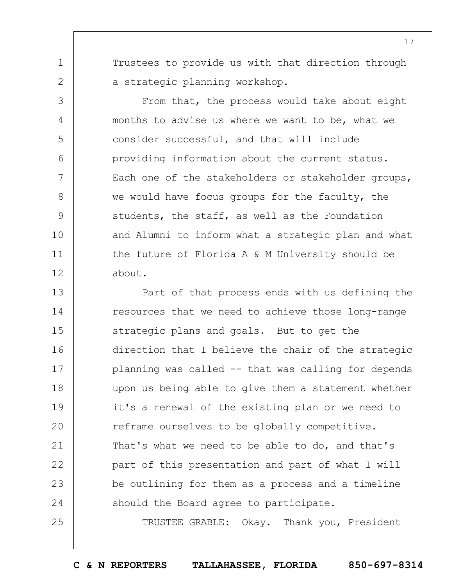Trustees to provide us with that direction through a strategic planning workshop.

1

2

3

4

5

6

7

8

9

10

11

12

25

From that, the process would take about eight months to advise us where we want to be, what we consider successful, and that will include providing information about the current status. Each one of the stakeholders or stakeholder groups, we would have focus groups for the faculty, the students, the staff, as well as the Foundation and Alumni to inform what a strategic plan and what the future of Florida A & M University should be about.

13 14 15 16 17 18 19  $20$ 21 22 23 24 Part of that process ends with us defining the resources that we need to achieve those long-range strategic plans and goals. But to get the direction that I believe the chair of the strategic planning was called -- that was calling for depends upon us being able to give them a statement whether it's a renewal of the existing plan or we need to reframe ourselves to be globally competitive. That's what we need to be able to do, and that's part of this presentation and part of what I will be outlining for them as a process and a timeline should the Board agree to participate.

TRUSTEE GRABLE: Okay. Thank you, President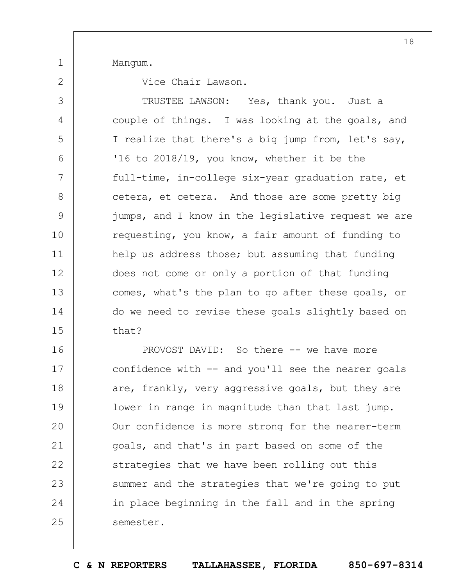Mangum.

1

2

Vice Chair Lawson.

3 4 5 6 7 8 9 10 11 12 13 14 15 TRUSTEE LAWSON: Yes, thank you. Just a couple of things. I was looking at the goals, and I realize that there's a big jump from, let's say, '16 to 2018/19, you know, whether it be the full-time, in-college six-year graduation rate, et cetera, et cetera. And those are some pretty big jumps, and I know in the legislative request we are requesting, you know, a fair amount of funding to help us address those; but assuming that funding does not come or only a portion of that funding comes, what's the plan to go after these goals, or do we need to revise these goals slightly based on that?

16 17 18 19  $20$ 21 22 23 24 25 PROVOST DAVID: So there -- we have more confidence with  $--$  and you'll see the nearer goals are, frankly, very aggressive goals, but they are lower in range in magnitude than that last jump. Our confidence is more strong for the nearer-term goals, and that's in part based on some of the strategies that we have been rolling out this summer and the strategies that we're going to put in place beginning in the fall and in the spring semester.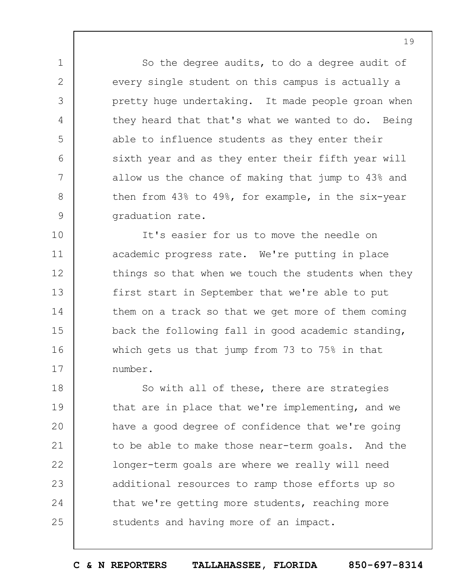So the degree audits, to do a degree audit of every single student on this campus is actually a pretty huge undertaking. It made people groan when they heard that that's what we wanted to do. Being able to influence students as they enter their sixth year and as they enter their fifth year will allow us the chance of making that jump to 43% and then from 43% to 49%, for example, in the six-year graduation rate.

1

2

3

4

5

6

7

8

9

10 11 12 13 14 15 16 17 It's easier for us to move the needle on academic progress rate. We're putting in place things so that when we touch the students when they first start in September that we're able to put them on a track so that we get more of them coming back the following fall in good academic standing, which gets us that jump from 73 to 75% in that number.

18 19  $20$ 21 22 23 24 25 So with all of these, there are strategies that are in place that we're implementing, and we have a good degree of confidence that we're going to be able to make those near-term goals. And the longer-term goals are where we really will need additional resources to ramp those efforts up so that we're getting more students, reaching more students and having more of an impact.

**C & N REPORTERS TALLAHASSEE, FLORIDA 850-697-8314**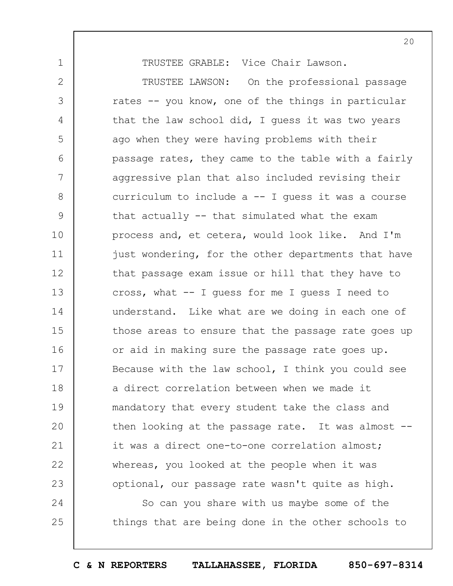TRUSTEE GRABLE: Vice Chair Lawson.

1

25

2 3 4 5 6 7 8 9 10 11 12 13 14 15 16 17 18 19  $20$ 21 22 23 24 TRUSTEE LAWSON: On the professional passage rates -- you know, one of the things in particular that the law school did, I guess it was two years ago when they were having problems with their passage rates, they came to the table with a fairly aggressive plan that also included revising their curriculum to include  $a -1$  quess it was a course that actually -- that simulated what the exam process and, et cetera, would look like. And I'm just wondering, for the other departments that have that passage exam issue or hill that they have to cross, what -- I guess for me I guess I need to understand. Like what are we doing in each one of those areas to ensure that the passage rate goes up or aid in making sure the passage rate goes up. Because with the law school, I think you could see a direct correlation between when we made it mandatory that every student take the class and then looking at the passage rate. It was almost - it was a direct one-to-one correlation almost; whereas, you looked at the people when it was optional, our passage rate wasn't quite as high. So can you share with us maybe some of the

things that are being done in the other schools to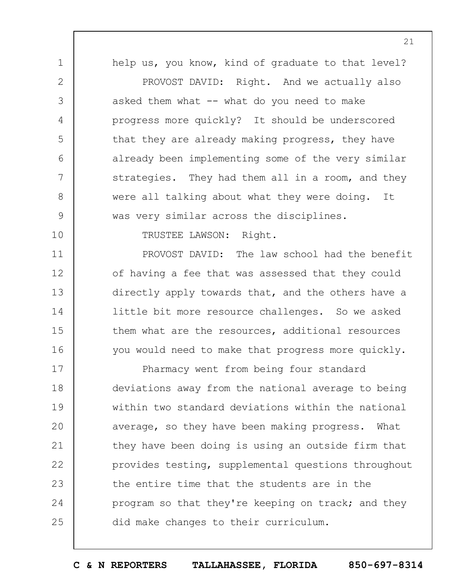1 2 3 4 5 6 7 8 9 help us, you know, kind of graduate to that level? PROVOST DAVID: Right. And we actually also asked them what  $--$  what do you need to make progress more quickly? It should be underscored that they are already making progress, they have already been implementing some of the very similar strategies. They had them all in a room, and they were all talking about what they were doing. It was very similar across the disciplines.

TRUSTEE LAWSON: Right.

10

11

12

13

14

15

16

PROVOST DAVID: The law school had the benefit of having a fee that was assessed that they could directly apply towards that, and the others have a little bit more resource challenges. So we asked them what are the resources, additional resources you would need to make that progress more quickly.

17 18 19  $20$ 21 22 23 24 25 Pharmacy went from being four standard deviations away from the national average to being within two standard deviations within the national average, so they have been making progress. What they have been doing is using an outside firm that provides testing, supplemental questions throughout the entire time that the students are in the program so that they're keeping on track; and they did make changes to their curriculum.

**C & N REPORTERS TALLAHASSEE, FLORIDA 850-697-8314**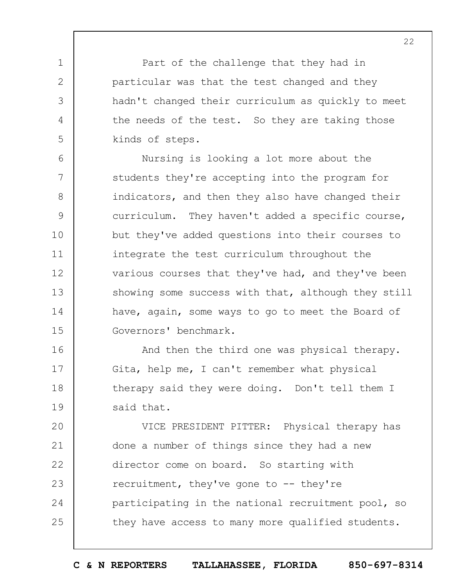Part of the challenge that they had in particular was that the test changed and they hadn't changed their curriculum as quickly to meet the needs of the test. So they are taking those kinds of steps.

1

2

3

4

5

6 7 8 9 10 11 12 13 14 15 Nursing is looking a lot more about the students they're accepting into the program for indicators, and then they also have changed their curriculum. They haven't added a specific course, but they've added questions into their courses to integrate the test curriculum throughout the various courses that they've had, and they've been showing some success with that, although they still have, again, some ways to go to meet the Board of Governors' benchmark.

16 17 18 19 And then the third one was physical therapy. Gita, help me, I can't remember what physical therapy said they were doing. Don't tell them I said that.

 $20$ 21 22 23 24 25 VICE PRESIDENT PITTER: Physical therapy has done a number of things since they had a new director come on board. So starting with recruitment, they've gone to -- they're participating in the national recruitment pool, so they have access to many more qualified students.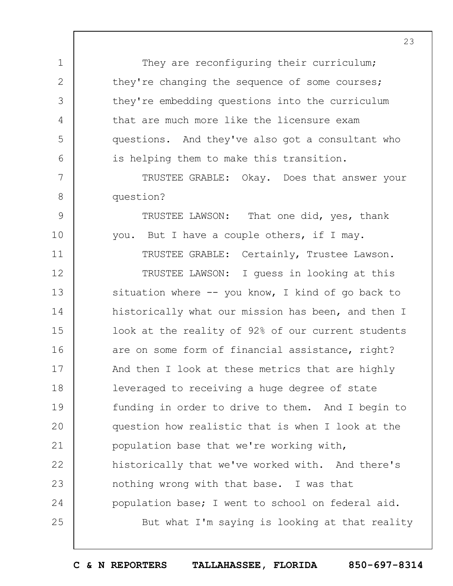They are reconfiguring their curriculum; they're changing the sequence of some courses; they're embedding questions into the curriculum that are much more like the licensure exam questions. And they've also got a consultant who is helping them to make this transition.

1

2

3

4

5

6

7

8

9

10

11

TRUSTEE GRABLE: Okay. Does that answer your question?

TRUSTEE LAWSON: That one did, yes, thank you. But I have a couple others, if I may.

TRUSTEE GRABLE: Certainly, Trustee Lawson.

12 13 14 15 16 17 18 19  $20$ 21 22 23 24 25 TRUSTEE LAWSON: I guess in looking at this situation where -- you know, I kind of go back to historically what our mission has been, and then I look at the reality of 92% of our current students are on some form of financial assistance, right? And then I look at these metrics that are highly leveraged to receiving a huge degree of state funding in order to drive to them. And I begin to question how realistic that is when I look at the population base that we're working with, historically that we've worked with. And there's nothing wrong with that base. I was that population base; I went to school on federal aid. But what I'm saying is looking at that reality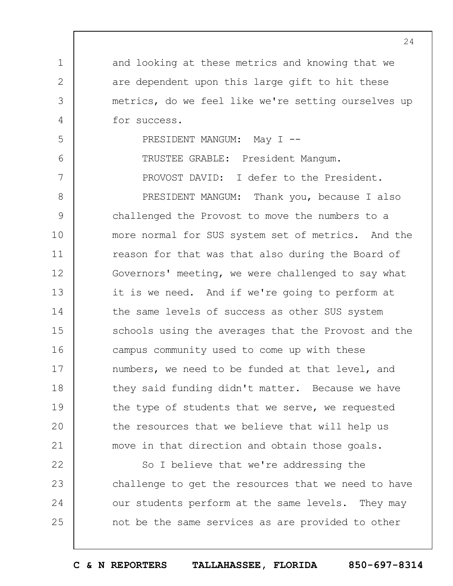and looking at these metrics and knowing that we are dependent upon this large gift to hit these metrics, do we feel like we're setting ourselves up for success.

PRESIDENT MANGUM: May I --

1

2

3

4

5

6

7

TRUSTEE GRABLE: President Mangum.

PROVOST DAVID: I defer to the President.

8 9 10 11 12 13 14 15 16 17 18 19  $20$ 21 PRESIDENT MANGUM: Thank you, because I also challenged the Provost to move the numbers to a more normal for SUS system set of metrics. And the reason for that was that also during the Board of Governors' meeting, we were challenged to say what it is we need. And if we're going to perform at the same levels of success as other SUS system schools using the averages that the Provost and the campus community used to come up with these numbers, we need to be funded at that level, and they said funding didn't matter. Because we have the type of students that we serve, we requested the resources that we believe that will help us move in that direction and obtain those goals.

22 23 24 25 So I believe that we're addressing the challenge to get the resources that we need to have our students perform at the same levels. They may not be the same services as are provided to other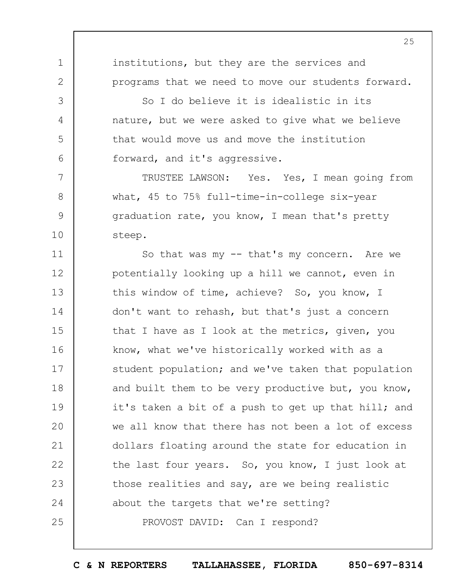institutions, but they are the services and programs that we need to move our students forward.

1

2

3

4

5

6

7

8

9

10

So I do believe it is idealistic in its nature, but we were asked to give what we believe that would move us and move the institution forward, and it's aggressive.

TRUSTEE LAWSON: Yes. Yes, I mean going from what, 45 to 75% full-time-in-college six-year graduation rate, you know, I mean that's pretty steep.

11 12 13 14 15 16 17 18 19  $20$ 21 22 23 24 25 So that was my -- that's my concern. Are we potentially looking up a hill we cannot, even in this window of time, achieve? So, you know, I don't want to rehash, but that's just a concern that I have as I look at the metrics, given, you know, what we've historically worked with as a student population; and we've taken that population and built them to be very productive but, you know, it's taken a bit of a push to get up that hill; and we all know that there has not been a lot of excess dollars floating around the state for education in the last four years. So, you know, I just look at those realities and say, are we being realistic about the targets that we're setting? PROVOST DAVID: Can I respond?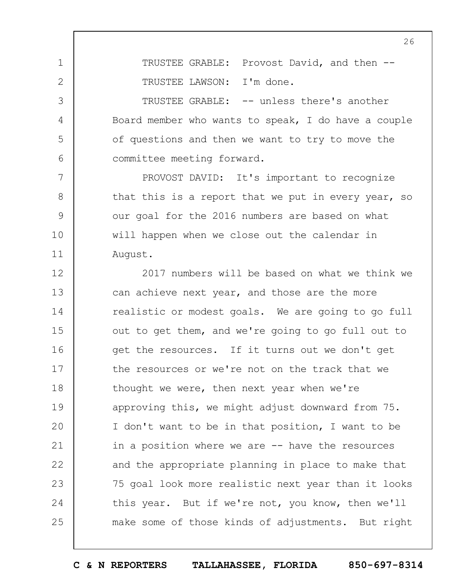TRUSTEE GRABLE: Provost David, and then -- TRUSTEE LAWSON: I'm done.

1

2

3

4

5

6

7

8

9

10

11

TRUSTEE GRABLE: -- unless there's another Board member who wants to speak, I do have a couple of questions and then we want to try to move the committee meeting forward.

PROVOST DAVID: It's important to recognize that this is a report that we put in every year, so our goal for the 2016 numbers are based on what will happen when we close out the calendar in August.

12 13 14 15 16 17 18 19  $20$ 21 22 23 24 25 2017 numbers will be based on what we think we can achieve next year, and those are the more realistic or modest goals. We are going to go full out to get them, and we're going to go full out to get the resources. If it turns out we don't get the resources or we're not on the track that we thought we were, then next year when we're approving this, we might adjust downward from 75. I don't want to be in that position, I want to be in a position where we are -- have the resources and the appropriate planning in place to make that 75 goal look more realistic next year than it looks this year. But if we're not, you know, then we'll make some of those kinds of adjustments. But right

**C & N REPORTERS TALLAHASSEE, FLORIDA 850-697-8314**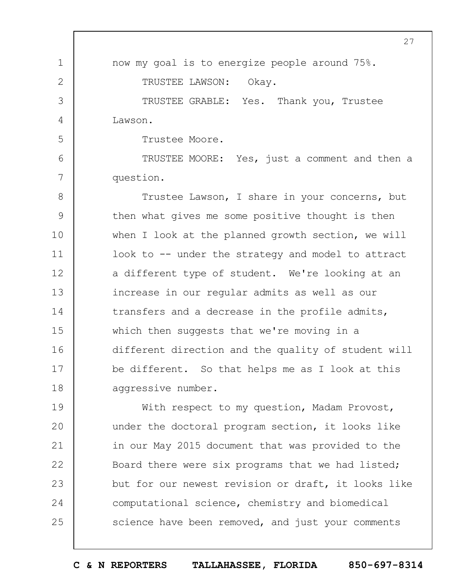1 2 3 4 5 6 7 8 9 10 11 12 13 14 15 16 27 now my goal is to energize people around 75%. TRUSTEE LAWSON: Okay. TRUSTEE GRABLE: Yes. Thank you, Trustee Lawson. Trustee Moore. TRUSTEE MOORE: Yes, just a comment and then a question. Trustee Lawson, I share in your concerns, but then what gives me some positive thought is then when I look at the planned growth section, we will look to -- under the strategy and model to attract a different type of student. We're looking at an increase in our regular admits as well as our transfers and a decrease in the profile admits, which then suggests that we're moving in a different direction and the quality of student will

17 18 be different. So that helps me as I look at this aggressive number.

19  $20$ 21 22 23 24 25 With respect to my question, Madam Provost, under the doctoral program section, it looks like in our May 2015 document that was provided to the Board there were six programs that we had listed; but for our newest revision or draft, it looks like computational science, chemistry and biomedical science have been removed, and just your comments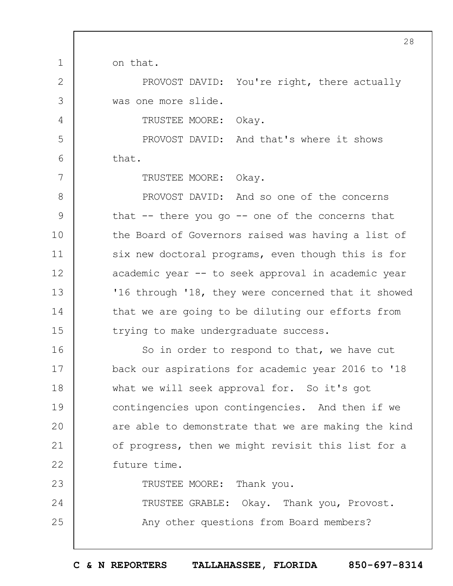on that.

1

2

3

4

5

6

7

23

PROVOST DAVID: You're right, there actually was one more slide.

TRUSTEE MOORE: Okay.

PROVOST DAVID: And that's where it shows that.

TRUSTEE MOORE: Okay.

8 9 10 11 12 13 14 15 PROVOST DAVID: And so one of the concerns that  $-$  there you go  $-$  one of the concerns that the Board of Governors raised was having a list of six new doctoral programs, even though this is for academic year -- to seek approval in academic year '16 through '18, they were concerned that it showed that we are going to be diluting our efforts from trying to make undergraduate success.

16 17 18 19  $20$ 21 22 So in order to respond to that, we have cut back our aspirations for academic year 2016 to '18 what we will seek approval for. So it's got contingencies upon contingencies. And then if we are able to demonstrate that we are making the kind of progress, then we might revisit this list for a future time.

TRUSTEE MOORE: Thank you.

24 25 TRUSTEE GRABLE: Okay. Thank you, Provost. Any other questions from Board members?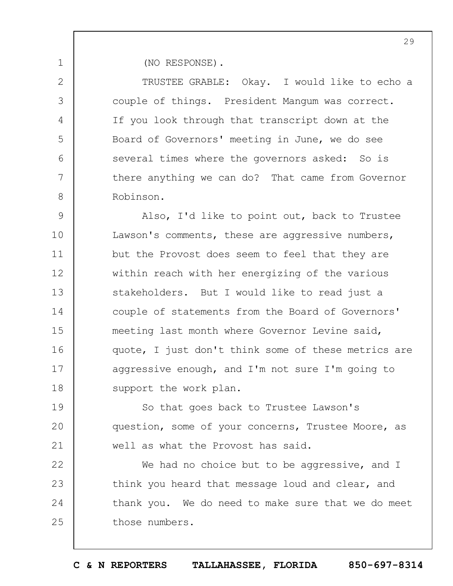(NO RESPONSE).

1

2

3

4

5

 $6 \overline{6}$ 

7

8

TRUSTEE GRABLE: Okay. I would like to echo a couple of things. President Mangum was correct. If you look through that transcript down at the Board of Governors' meeting in June, we do see several times where the governors asked: So is there anything we can do? That came from Governor Robinson.

9 10 11 12 13 14 15 16 17 18 Also, I'd like to point out, back to Trustee Lawson's comments, these are aggressive numbers, but the Provost does seem to feel that they are within reach with her energizing of the various stakeholders. But I would like to read just a couple of statements from the Board of Governors' meeting last month where Governor Levine said, quote, I just don't think some of these metrics are aggressive enough, and I'm not sure I'm going to support the work plan.

19  $20$ 21 So that goes back to Trustee Lawson's question, some of your concerns, Trustee Moore, as well as what the Provost has said.

22 23 24 25 We had no choice but to be aggressive, and I think you heard that message loud and clear, and thank you. We do need to make sure that we do meet those numbers.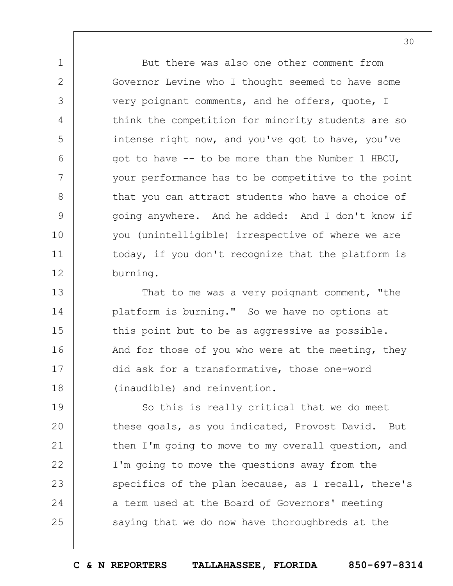But there was also one other comment from Governor Levine who I thought seemed to have some very poignant comments, and he offers, quote, I think the competition for minority students are so intense right now, and you've got to have, you've got to have -- to be more than the Number 1 HBCU, your performance has to be competitive to the point that you can attract students who have a choice of going anywhere. And he added: And I don't know if you (unintelligible) irrespective of where we are today, if you don't recognize that the platform is burning.

1

2

3

4

5

6

7

8

9

10

11

12

13 14 15 16 17 18 That to me was a very poignant comment, "the platform is burning." So we have no options at this point but to be as aggressive as possible. And for those of you who were at the meeting, they did ask for a transformative, those one-word (inaudible) and reinvention.

19  $20$ 21 22 23 24 25 So this is really critical that we do meet these goals, as you indicated, Provost David. But then I'm going to move to my overall question, and I'm going to move the questions away from the specifics of the plan because, as I recall, there's a term used at the Board of Governors' meeting saying that we do now have thoroughbreds at the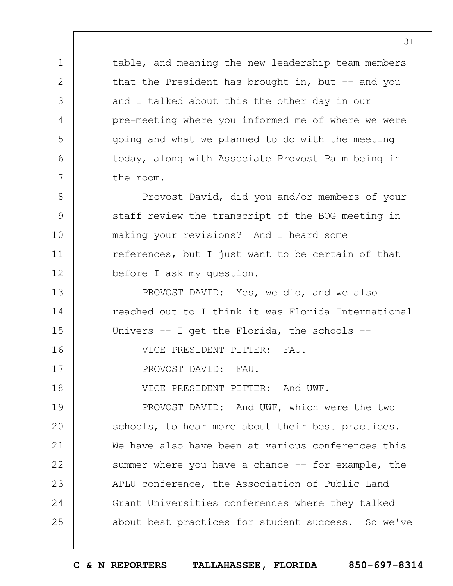table, and meaning the new leadership team members that the President has brought in, but  $-$ - and you and I talked about this the other day in our pre-meeting where you informed me of where we were going and what we planned to do with the meeting today, along with Associate Provost Palm being in the room.

8 9 10 11 12 Provost David, did you and/or members of your staff review the transcript of the BOG meeting in making your revisions? And I heard some references, but I just want to be certain of that before I ask my question.

13 14 15 16 PROVOST DAVID: Yes, we did, and we also reached out to I think it was Florida International Univers -- I get the Florida, the schools -- VICE PRESIDENT PITTER: FAU.

PROVOST DAVID: FAU.

1

2

3

4

5

6

7

17

18 VICE PRESIDENT PITTER: And UWF.

19  $20$ 21 22 23 24 25 PROVOST DAVID: And UWF, which were the two schools, to hear more about their best practices. We have also have been at various conferences this summer where you have a chance -- for example, the APLU conference, the Association of Public Land Grant Universities conferences where they talked about best practices for student success. So we've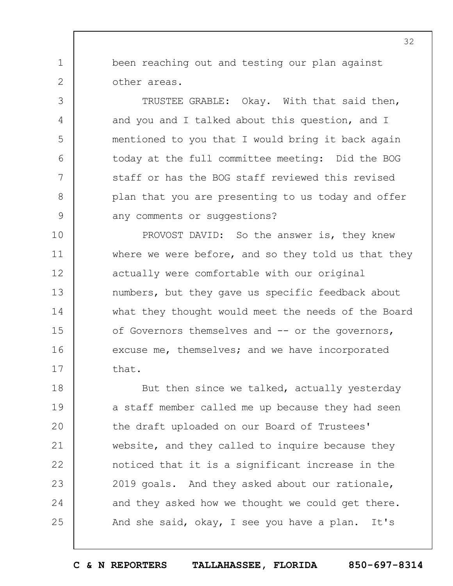been reaching out and testing our plan against other areas.

1

2

3

4

5

6

7

8

9

TRUSTEE GRABLE: Okay. With that said then, and you and I talked about this question, and I mentioned to you that I would bring it back again today at the full committee meeting: Did the BOG staff or has the BOG staff reviewed this revised plan that you are presenting to us today and offer any comments or suggestions?

10 11 12 13 14 15 16 17 PROVOST DAVID: So the answer is, they knew where we were before, and so they told us that they actually were comfortable with our original numbers, but they gave us specific feedback about what they thought would meet the needs of the Board of Governors themselves and -- or the governors, excuse me, themselves; and we have incorporated that.

18 19  $20$ 21 22 23 24 25 But then since we talked, actually yesterday a staff member called me up because they had seen the draft uploaded on our Board of Trustees' website, and they called to inquire because they noticed that it is a significant increase in the 2019 goals. And they asked about our rationale, and they asked how we thought we could get there. And she said, okay, I see you have a plan. It's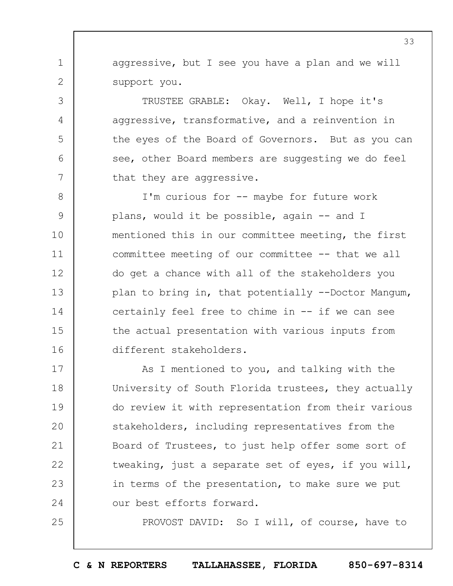aggressive, but I see you have a plan and we will support you.

1

2

3

4

5

6

7

25

TRUSTEE GRABLE: Okay. Well, I hope it's aggressive, transformative, and a reinvention in the eyes of the Board of Governors. But as you can see, other Board members are suggesting we do feel that they are aggressive.

8 9 10 11 12 13 14 15 16 I'm curious for -- maybe for future work plans, would it be possible, again -- and I mentioned this in our committee meeting, the first committee meeting of our committee -- that we all do get a chance with all of the stakeholders you plan to bring in, that potentially --Doctor Mangum, certainly feel free to chime in -- if we can see the actual presentation with various inputs from different stakeholders.

17 18 19  $20$ 21 22 23 24 As I mentioned to you, and talking with the University of South Florida trustees, they actually do review it with representation from their various stakeholders, including representatives from the Board of Trustees, to just help offer some sort of tweaking, just a separate set of eyes, if you will, in terms of the presentation, to make sure we put our best efforts forward.

PROVOST DAVID: So I will, of course, have to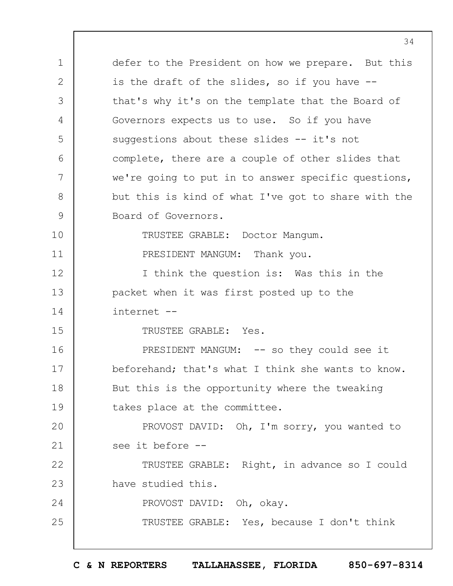1 2 3 4 5 6 7 8 9 10 11 12 13 14 15 16 17 18 19  $20$ 21 22 23 24 25 defer to the President on how we prepare. But this is the draft of the slides, so if you have - that's why it's on the template that the Board of Governors expects us to use. So if you have suggestions about these slides -- it's not complete, there are a couple of other slides that we're going to put in to answer specific questions, but this is kind of what I've got to share with the Board of Governors. TRUSTEE GRABLE: Doctor Mangum. PRESIDENT MANGUM: Thank you. I think the question is: Was this in the packet when it was first posted up to the internet -- TRUSTEE GRABLE: Yes. PRESIDENT MANGUM: -- so they could see it beforehand; that's what I think she wants to know. But this is the opportunity where the tweaking takes place at the committee. PROVOST DAVID: Oh, I'm sorry, you wanted to see it before -- TRUSTEE GRABLE: Right, in advance so I could have studied this. PROVOST DAVID: Oh, okay. TRUSTEE GRABLE: Yes, because I don't think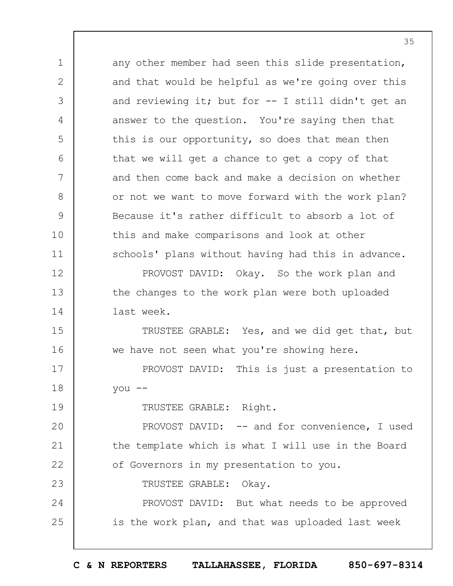1 2 3 4 5 6 7 8 9 10 11 12 13 14 15 16 17 18 19  $20$ 21 22 23 24 25 any other member had seen this slide presentation, and that would be helpful as we're going over this and reviewing it; but for -- I still didn't get an answer to the question. You're saying then that this is our opportunity, so does that mean then that we will get a chance to get a copy of that and then come back and make a decision on whether or not we want to move forward with the work plan? Because it's rather difficult to absorb a lot of this and make comparisons and look at other schools' plans without having had this in advance. PROVOST DAVID: Okay. So the work plan and the changes to the work plan were both uploaded last week. TRUSTEE GRABLE: Yes, and we did get that, but we have not seen what you're showing here. PROVOST DAVID: This is just a presentation to you -- TRUSTEE GRABLE: Right. PROVOST DAVID: -- and for convenience, I used the template which is what I will use in the Board of Governors in my presentation to you. TRUSTEE GRABLE: Okay. PROVOST DAVID: But what needs to be approved is the work plan, and that was uploaded last week

**C & N REPORTERS TALLAHASSEE, FLORIDA 850-697-8314**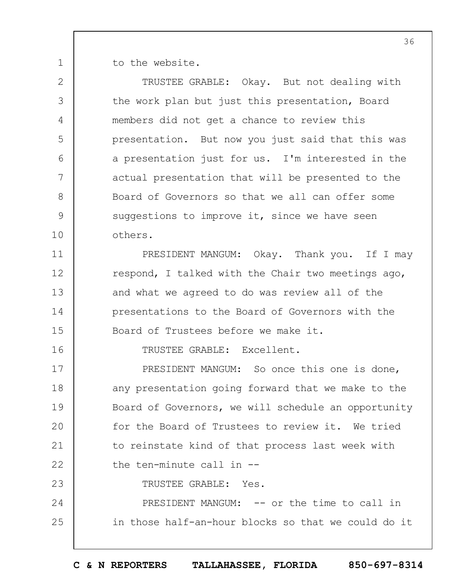1 to the website.

2

3

4

5

6

7

8

9

10

11

12

13

14

15

16

TRUSTEE GRABLE: Okay. But not dealing with the work plan but just this presentation, Board members did not get a chance to review this presentation. But now you just said that this was a presentation just for us. I'm interested in the actual presentation that will be presented to the Board of Governors so that we all can offer some suggestions to improve it, since we have seen others.

PRESIDENT MANGUM: Okay. Thank you. If I may respond, I talked with the Chair two meetings ago, and what we agreed to do was review all of the presentations to the Board of Governors with the Board of Trustees before we make it.

TRUSTEE GRABLE: Excellent.

17 18 19  $20$ 21 22 23 PRESIDENT MANGUM: So once this one is done, any presentation going forward that we make to the Board of Governors, we will schedule an opportunity for the Board of Trustees to review it. We tried to reinstate kind of that process last week with the ten-minute call in -- TRUSTEE GRABLE: Yes.

24 25 PRESIDENT MANGUM: -- or the time to call in in those half-an-hour blocks so that we could do it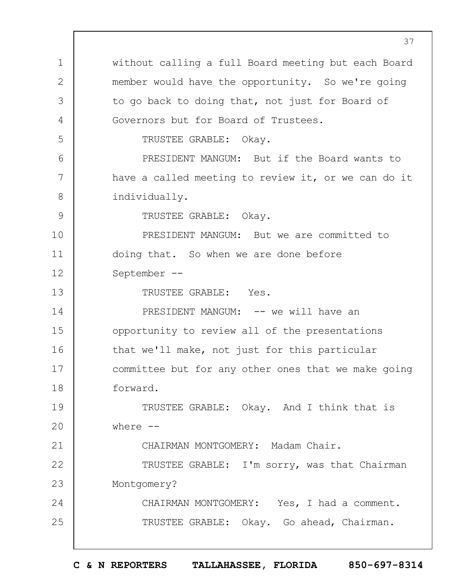1 2 3 4 5 6 7 8 9 10 11 12 13 14 15 16 17 18 19  $20$ 21 22 23 24 25 without calling a full Board meeting but each Board member would have the opportunity. So we're going to go back to doing that, not just for Board of Governors but for Board of Trustees. TRUSTEE GRABLE: Okay. PRESIDENT MANGUM: But if the Board wants to have a called meeting to review it, or we can do it individually. TRUSTEE GRABLE: Okay. PRESIDENT MANGUM: But we are committed to doing that. So when we are done before September -- TRUSTEE GRABLE: Yes. PRESIDENT MANGUM: -- we will have an opportunity to review all of the presentations that we'll make, not just for this particular committee but for any other ones that we make going forward. TRUSTEE GRABLE: Okay. And I think that is where  $--$ CHAIRMAN MONTGOMERY: Madam Chair. TRUSTEE GRABLE: I'm sorry, was that Chairman Montgomery? CHAIRMAN MONTGOMERY: Yes, I had a comment. TRUSTEE GRABLE: Okay. Go ahead, Chairman.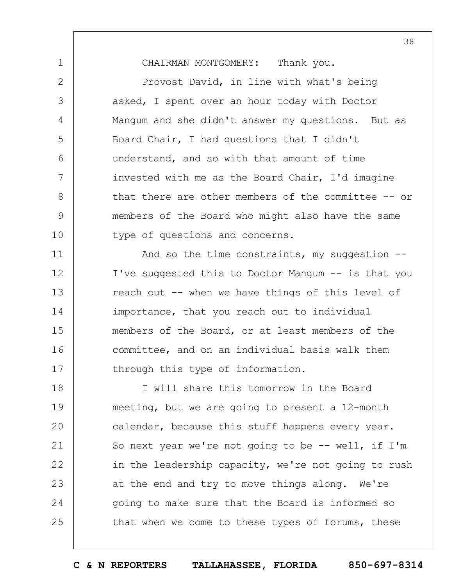CHAIRMAN MONTGOMERY: Thank you.

1

2

3

4

5

6

7

8

9

10

Provost David, in line with what's being asked, I spent over an hour today with Doctor Mangum and she didn't answer my questions. But as Board Chair, I had questions that I didn't understand, and so with that amount of time invested with me as the Board Chair, I'd imagine that there are other members of the committee -- or members of the Board who might also have the same type of questions and concerns.

11 12 13 14 15 16 17 And so the time constraints, my suggestion --I've suggested this to Doctor Mangum -- is that you reach out -- when we have things of this level of importance, that you reach out to individual members of the Board, or at least members of the committee, and on an individual basis walk them through this type of information.

18 19  $20$ 21 22 23 24 25 I will share this tomorrow in the Board meeting, but we are going to present a 12-month calendar, because this stuff happens every year. So next year we're not going to be  $-$ - well, if I'm in the leadership capacity, we're not going to rush at the end and try to move things along. We're going to make sure that the Board is informed so that when we come to these types of forums, these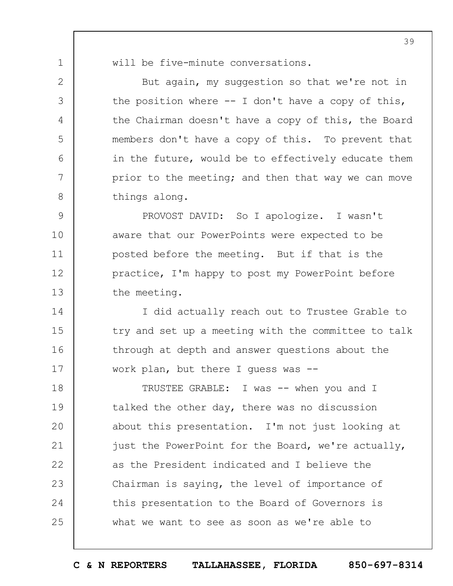1

2

3

4

5

6

7

8

will be five-minute conversations.

But again, my suggestion so that we're not in the position where  $-$ - I don't have a copy of this, the Chairman doesn't have a copy of this, the Board members don't have a copy of this. To prevent that in the future, would be to effectively educate them prior to the meeting; and then that way we can move things along.

9 10 11 12 13 PROVOST DAVID: So I apologize. I wasn't aware that our PowerPoints were expected to be posted before the meeting. But if that is the practice, I'm happy to post my PowerPoint before the meeting.

14 15 16 17 I did actually reach out to Trustee Grable to try and set up a meeting with the committee to talk through at depth and answer questions about the work plan, but there I guess was --

18 19  $20$ 21 22 23 24 25 TRUSTEE GRABLE: I was -- when you and I talked the other day, there was no discussion about this presentation. I'm not just looking at just the PowerPoint for the Board, we're actually, as the President indicated and I believe the Chairman is saying, the level of importance of this presentation to the Board of Governors is what we want to see as soon as we're able to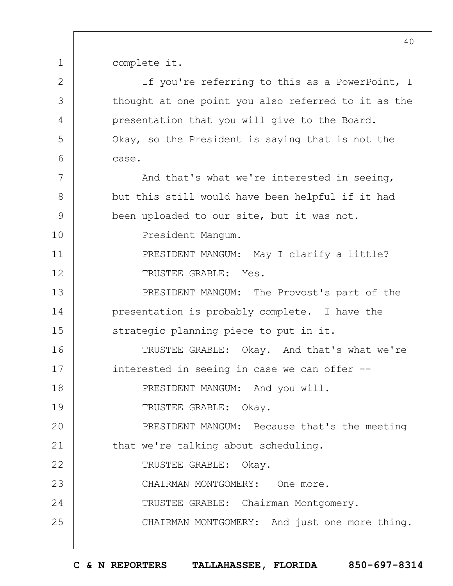complete it.

1

2 3 4 5 6 7 8 9 10 11 12 13 14 15 16 17 18 19  $20$ 21 22 23 24 25 If you're referring to this as a PowerPoint, I thought at one point you also referred to it as the presentation that you will give to the Board. Okay, so the President is saying that is not the case. And that's what we're interested in seeing, but this still would have been helpful if it had been uploaded to our site, but it was not. President Mangum. PRESIDENT MANGUM: May I clarify a little? TRUSTEE GRABLE: Yes. PRESIDENT MANGUM: The Provost's part of the presentation is probably complete. I have the strategic planning piece to put in it. TRUSTEE GRABLE: Okay. And that's what we're interested in seeing in case we can offer -- PRESIDENT MANGUM: And you will. TRUSTEE GRABLE: Okay. PRESIDENT MANGUM: Because that's the meeting that we're talking about scheduling. TRUSTEE GRABLE: Okay. CHAIRMAN MONTGOMERY: One more. TRUSTEE GRABLE: Chairman Montgomery. CHAIRMAN MONTGOMERY: And just one more thing.

**C & N REPORTERS TALLAHASSEE, FLORIDA 850-697-8314**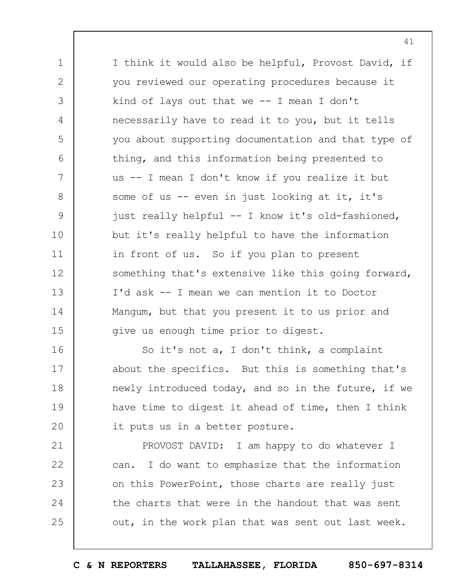1 2 3 4 5 6 7 8 9 10 11 12 13 14 15 I think it would also be helpful, Provost David, if you reviewed our operating procedures because it kind of lays out that we  $-$  I mean I don't necessarily have to read it to you, but it tells you about supporting documentation and that type of thing, and this information being presented to us -- I mean I don't know if you realize it but some of us -- even in just looking at it, it's just really helpful -- I know it's old-fashioned, but it's really helpful to have the information in front of us. So if you plan to present something that's extensive like this going forward, I'd ask -- I mean we can mention it to Doctor Mangum, but that you present it to us prior and give us enough time prior to digest.

16 17 18 19  $20$ So it's not a, I don't think, a complaint about the specifics. But this is something that's newly introduced today, and so in the future, if we have time to digest it ahead of time, then I think it puts us in a better posture.

21 22 23 24 25 PROVOST DAVID: I am happy to do whatever I can. I do want to emphasize that the information on this PowerPoint, those charts are really just the charts that were in the handout that was sent out, in the work plan that was sent out last week.

41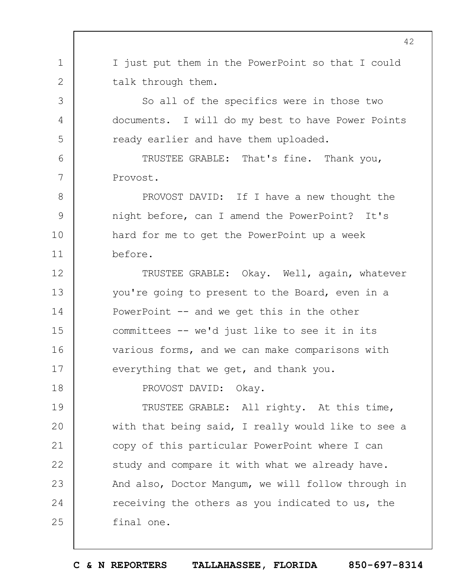1 2 3 4 I just put them in the PowerPoint so that I could talk through them. So all of the specifics were in those two documents. I will do my best to have Power Points

TRUSTEE GRABLE: That's fine. Thank you, Provost.

ready earlier and have them uploaded.

8 9 10 11 PROVOST DAVID: If I have a new thought the night before, can I amend the PowerPoint? It's hard for me to get the PowerPoint up a week before.

12 13 14 15 16 17 TRUSTEE GRABLE: Okay. Well, again, whatever you're going to present to the Board, even in a PowerPoint -- and we get this in the other committees -- we'd just like to see it in its various forms, and we can make comparisons with everything that we get, and thank you.

PROVOST DAVID: Okay.

5

6

7

18

19  $20$ 21 22 23 24 25 TRUSTEE GRABLE: All righty. At this time, with that being said, I really would like to see a copy of this particular PowerPoint where I can study and compare it with what we already have. And also, Doctor Mangum, we will follow through in receiving the others as you indicated to us, the final one.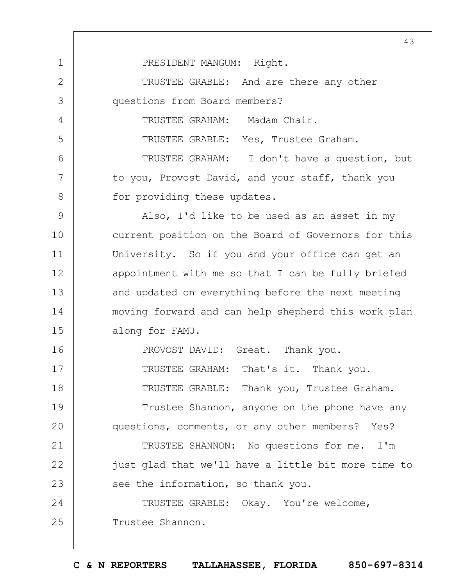1 2 3 4 5 6 7 8 9 10 11 12 13 14 15 16 17 18 19  $20$ 21 22 23 24 25 43 PRESIDENT MANGUM: Right. TRUSTEE GRABLE: And are there any other questions from Board members? TRUSTEE GRAHAM: Madam Chair. TRUSTEE GRABLE: Yes, Trustee Graham. TRUSTEE GRAHAM: I don't have a question, but to you, Provost David, and your staff, thank you for providing these updates. Also, I'd like to be used as an asset in my current position on the Board of Governors for this University. So if you and your office can get an appointment with me so that I can be fully briefed and updated on everything before the next meeting moving forward and can help shepherd this work plan along for FAMU. PROVOST DAVID: Great. Thank you. TRUSTEE GRAHAM: That's it. Thank you. TRUSTEE GRABLE: Thank you, Trustee Graham. Trustee Shannon, anyone on the phone have any questions, comments, or any other members? Yes? TRUSTEE SHANNON: No questions for me. I'm just glad that we'll have a little bit more time to see the information, so thank you. TRUSTEE GRABLE: Okay. You're welcome, Trustee Shannon.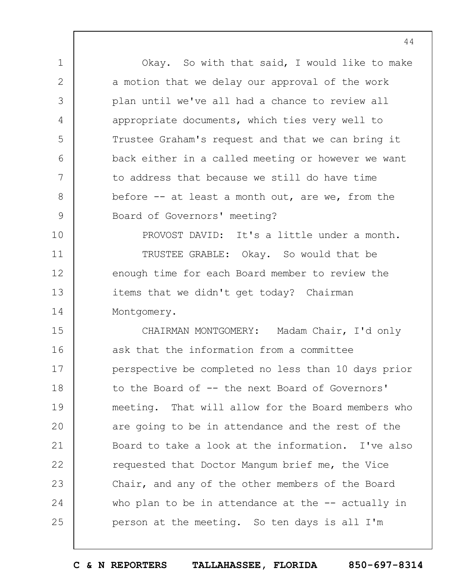1 2 3 4 5 6 7 8 9 10 11 12 13 14 15 16 17 18 19  $20$ 21 22 23 24 25 Okay. So with that said, I would like to make a motion that we delay our approval of the work plan until we've all had a chance to review all appropriate documents, which ties very well to Trustee Graham's request and that we can bring it back either in a called meeting or however we want to address that because we still do have time before -- at least a month out, are we, from the Board of Governors' meeting? PROVOST DAVID: It's a little under a month. TRUSTEE GRABLE: Okay. So would that be enough time for each Board member to review the items that we didn't get today? Chairman Montgomery. CHAIRMAN MONTGOMERY: Madam Chair, I'd only ask that the information from a committee perspective be completed no less than 10 days prior to the Board of -- the next Board of Governors' meeting. That will allow for the Board members who are going to be in attendance and the rest of the Board to take a look at the information. I've also requested that Doctor Mangum brief me, the Vice Chair, and any of the other members of the Board who plan to be in attendance at the  $-$ - actually in person at the meeting. So ten days is all I'm

**C & N REPORTERS TALLAHASSEE, FLORIDA 850-697-8314**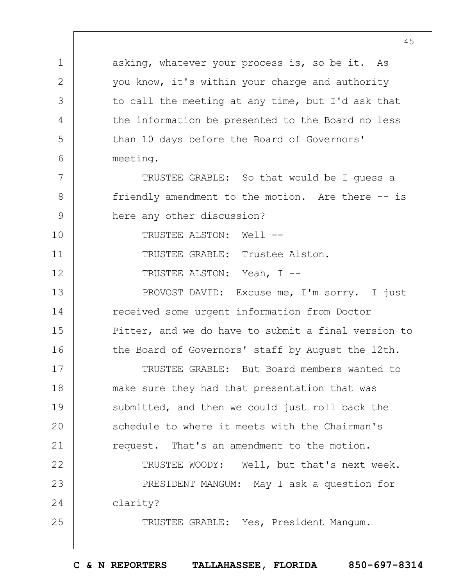1 2 3 4 5 6 7 8 9 10 11 12 13 14 15 16 17 18 19  $20$ 21 22 23 24 25 asking, whatever your process is, so be it. As you know, it's within your charge and authority to call the meeting at any time, but I'd ask that the information be presented to the Board no less than 10 days before the Board of Governors' meeting. TRUSTEE GRABLE: So that would be I guess a friendly amendment to the motion. Are there -- is here any other discussion? TRUSTEE ALSTON: Well -- TRUSTEE GRABLE: Trustee Alston. TRUSTEE ALSTON: Yeah, I -- PROVOST DAVID: Excuse me, I'm sorry. I just received some urgent information from Doctor Pitter, and we do have to submit a final version to the Board of Governors' staff by August the 12th. TRUSTEE GRABLE: But Board members wanted to make sure they had that presentation that was submitted, and then we could just roll back the schedule to where it meets with the Chairman's request. That's an amendment to the motion. TRUSTEE WOODY: Well, but that's next week. PRESIDENT MANGUM: May I ask a question for clarity? TRUSTEE GRABLE: Yes, President Mangum.

**C & N REPORTERS TALLAHASSEE, FLORIDA 850-697-8314**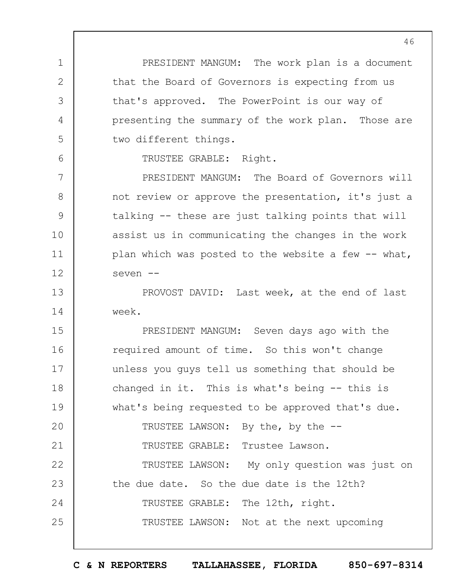PRESIDENT MANGUM: The work plan is a document that the Board of Governors is expecting from us that's approved. The PowerPoint is our way of presenting the summary of the work plan. Those are two different things.

TRUSTEE GRABLE: Right.

1

2

3

4

5

6

7 8 9 10 11 12 PRESIDENT MANGUM: The Board of Governors will not review or approve the presentation, it's just a talking -- these are just talking points that will assist us in communicating the changes in the work plan which was posted to the website a few  $-$ - what, seven --

13 14 PROVOST DAVID: Last week, at the end of last week.

15 16 17 18 19  $20$ 21 22 23 24 25 PRESIDENT MANGUM: Seven days ago with the required amount of time. So this won't change unless you guys tell us something that should be changed in it. This is what's being -- this is what's being requested to be approved that's due. TRUSTEE LAWSON: By the, by the -- TRUSTEE GRABLE: Trustee Lawson. TRUSTEE LAWSON: My only question was just on the due date. So the due date is the 12th? TRUSTEE GRABLE: The 12th, right. TRUSTEE LAWSON: Not at the next upcoming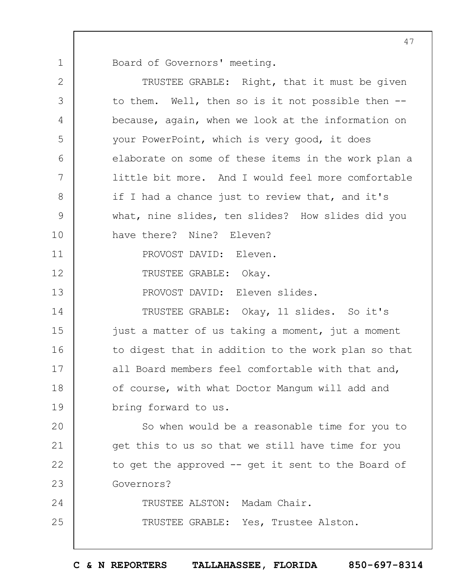Board of Governors' meeting.

1

| $\mathbf{2}$ | TRUSTEE GRABLE: Right, that it must be given        |  |  |  |  |
|--------------|-----------------------------------------------------|--|--|--|--|
| 3            | to them. Well, then so is it not possible then --   |  |  |  |  |
| 4            | because, again, when we look at the information on  |  |  |  |  |
| 5            | your PowerPoint, which is very good, it does        |  |  |  |  |
| 6            | elaborate on some of these items in the work plan a |  |  |  |  |
| 7            | little bit more. And I would feel more comfortable  |  |  |  |  |
| $8\,$        | if I had a chance just to review that, and it's     |  |  |  |  |
| $\mathsf 9$  | what, nine slides, ten slides? How slides did you   |  |  |  |  |
| 10           | have there? Nine? Eleven?                           |  |  |  |  |
| 11           | PROVOST DAVID: Eleven.                              |  |  |  |  |
| 12           | TRUSTEE GRABLE: Okay.                               |  |  |  |  |
| 13           | PROVOST DAVID: Eleven slides.                       |  |  |  |  |
| 14           | TRUSTEE GRABLE: Okay, 11 slides. So it's            |  |  |  |  |
| 15           | just a matter of us taking a moment, jut a moment   |  |  |  |  |
| 16           | to digest that in addition to the work plan so that |  |  |  |  |
| 17           | all Board members feel comfortable with that and,   |  |  |  |  |
| 18           | of course, with what Doctor Mangum will add and     |  |  |  |  |
| 19           | bring forward to us.                                |  |  |  |  |
| 20           | So when would be a reasonable time for you to       |  |  |  |  |
| 21           | get this to us so that we still have time for you   |  |  |  |  |
| 22           | to get the approved $-$ get it sent to the Board of |  |  |  |  |
| 23           | Governors?                                          |  |  |  |  |
| 24           | TRUSTEE ALSTON: Madam Chair.                        |  |  |  |  |
| 25           | TRUSTEE GRABLE: Yes, Trustee Alston.                |  |  |  |  |
|              |                                                     |  |  |  |  |

47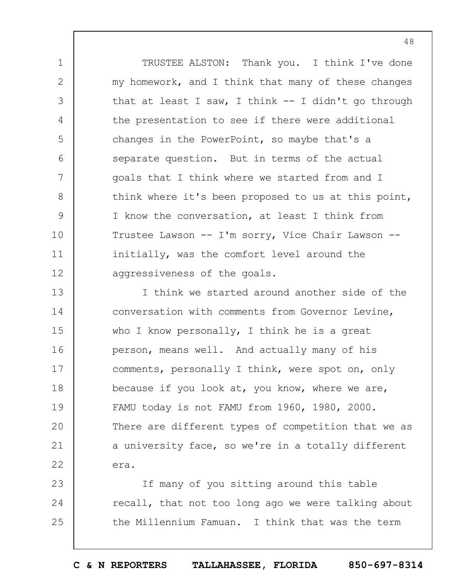TRUSTEE ALSTON: Thank you. I think I've done my homework, and I think that many of these changes that at least I saw, I think  $-$  I didn't go through the presentation to see if there were additional changes in the PowerPoint, so maybe that's a separate question. But in terms of the actual goals that I think where we started from and I think where it's been proposed to us at this point, I know the conversation, at least I think from Trustee Lawson -- I'm sorry, Vice Chair Lawson - initially, was the comfort level around the aggressiveness of the goals.

1

2

3

4

5

6

7

8

9

10

11

12

13 14 15 16 17 18 19  $20$ 21 22 I think we started around another side of the conversation with comments from Governor Levine, who I know personally, I think he is a great person, means well. And actually many of his comments, personally I think, were spot on, only because if you look at, you know, where we are, FAMU today is not FAMU from 1960, 1980, 2000. There are different types of competition that we as a university face, so we're in a totally different era.

23 24 25 If many of you sitting around this table recall, that not too long ago we were talking about the Millennium Famuan. I think that was the term

**C & N REPORTERS TALLAHASSEE, FLORIDA 850-697-8314**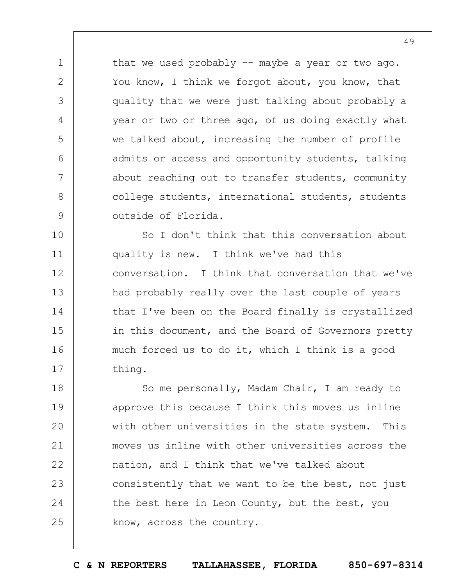that we used probably -- maybe a year or two ago. You know, I think we forgot about, you know, that quality that we were just talking about probably a year or two or three ago, of us doing exactly what we talked about, increasing the number of profile admits or access and opportunity students, talking about reaching out to transfer students, community college students, international students, students outside of Florida.

1

2

3

4

5

6

7

8

9

10 11 12 13 14 15 16 17 So I don't think that this conversation about quality is new. I think we've had this conversation. I think that conversation that we've had probably really over the last couple of years that I've been on the Board finally is crystallized in this document, and the Board of Governors pretty much forced us to do it, which I think is a good thing.

18 19  $20$ 21 22 23 24 25 So me personally, Madam Chair, I am ready to approve this because I think this moves us inline with other universities in the state system. This moves us inline with other universities across the nation, and I think that we've talked about consistently that we want to be the best, not just the best here in Leon County, but the best, you know, across the country.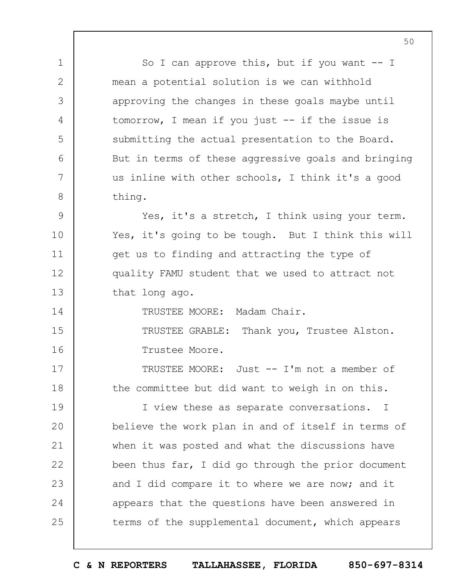1 2 3 4 5 6 7 8 9 10 11 12 13 14 15 16 17 18 19  $20$ 21 22 23 24 25 So I can approve this, but if you want  $-$ - I mean a potential solution is we can withhold approving the changes in these goals maybe until tomorrow, I mean if you just -- if the issue is submitting the actual presentation to the Board. But in terms of these aggressive goals and bringing us inline with other schools, I think it's a good thing. Yes, it's a stretch, I think using your term. Yes, it's going to be tough. But I think this will get us to finding and attracting the type of quality FAMU student that we used to attract not that long ago. TRUSTEE MOORE: Madam Chair. TRUSTEE GRABLE: Thank you, Trustee Alston. Trustee Moore. TRUSTEE MOORE: Just -- I'm not a member of the committee but did want to weigh in on this. I view these as separate conversations. I believe the work plan in and of itself in terms of when it was posted and what the discussions have been thus far, I did go through the prior document and I did compare it to where we are now; and it appears that the questions have been answered in terms of the supplemental document, which appears

50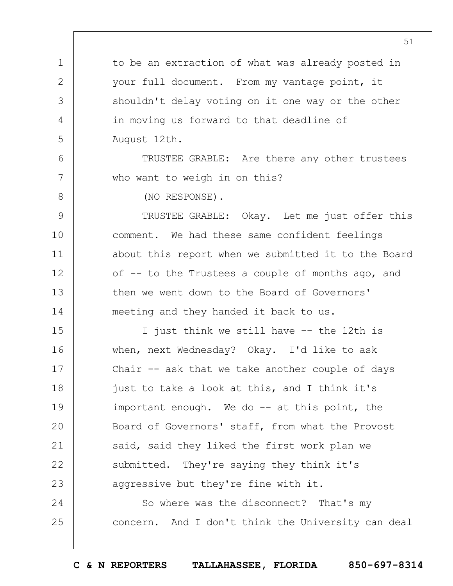1 2 3 4 5 6 7 8 9 10 11 12 13 14 15 16 17 18 19  $20$ 21 22 23 24 25 51 to be an extraction of what was already posted in your full document. From my vantage point, it shouldn't delay voting on it one way or the other in moving us forward to that deadline of August 12th. TRUSTEE GRABLE: Are there any other trustees who want to weigh in on this? (NO RESPONSE). TRUSTEE GRABLE: Okay. Let me just offer this comment. We had these same confident feelings about this report when we submitted it to the Board of -- to the Trustees a couple of months ago, and then we went down to the Board of Governors' meeting and they handed it back to us. I just think we still have -- the 12th is when, next Wednesday? Okay. I'd like to ask Chair  $-$  ask that we take another couple of days just to take a look at this, and I think it's important enough. We do -- at this point, the Board of Governors' staff, from what the Provost said, said they liked the first work plan we submitted. They're saying they think it's aggressive but they're fine with it. So where was the disconnect? That's my concern. And I don't think the University can deal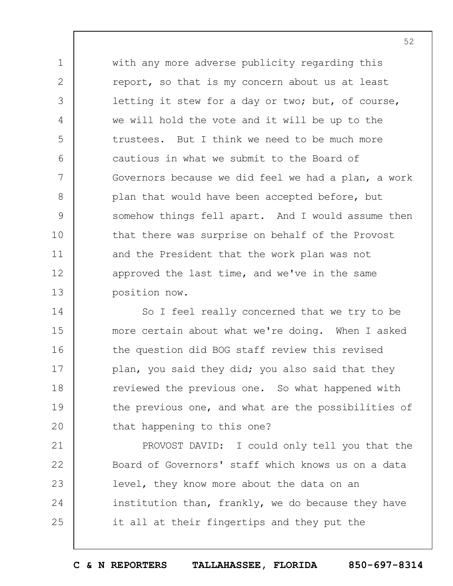1 2 3 4 5 6 7 8 9 10 11 12 13 with any more adverse publicity regarding this report, so that is my concern about us at least letting it stew for a day or two; but, of course, we will hold the vote and it will be up to the trustees. But I think we need to be much more cautious in what we submit to the Board of Governors because we did feel we had a plan, a work plan that would have been accepted before, but somehow things fell apart. And I would assume then that there was surprise on behalf of the Provost and the President that the work plan was not approved the last time, and we've in the same position now.

14 15 16 17 18 19  $20$ So I feel really concerned that we try to be more certain about what we're doing. When I asked the question did BOG staff review this revised plan, you said they did; you also said that they reviewed the previous one. So what happened with the previous one, and what are the possibilities of that happening to this one?

21 22 23 24 25 PROVOST DAVID: I could only tell you that the Board of Governors' staff which knows us on a data level, they know more about the data on an institution than, frankly, we do because they have it all at their fingertips and they put the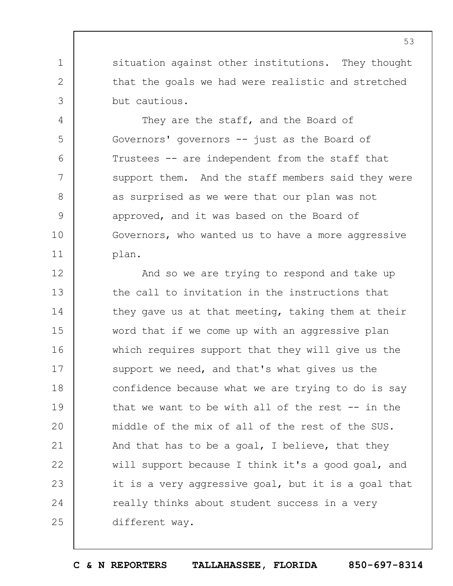situation against other institutions. They thought that the goals we had were realistic and stretched but cautious.

1

2

3

4

5

6

7

8

9

10

11

They are the staff, and the Board of Governors' governors -- just as the Board of Trustees -- are independent from the staff that support them. And the staff members said they were as surprised as we were that our plan was not approved, and it was based on the Board of Governors, who wanted us to have a more aggressive plan.

12 13 14 15 16 17 18 19  $20$ 21 22 23 24 25 And so we are trying to respond and take up the call to invitation in the instructions that they gave us at that meeting, taking them at their word that if we come up with an aggressive plan which requires support that they will give us the support we need, and that's what gives us the confidence because what we are trying to do is say that we want to be with all of the rest  $-$ - in the middle of the mix of all of the rest of the SUS. And that has to be a goal, I believe, that they will support because I think it's a good goal, and it is a very aggressive goal, but it is a goal that really thinks about student success in a very different way.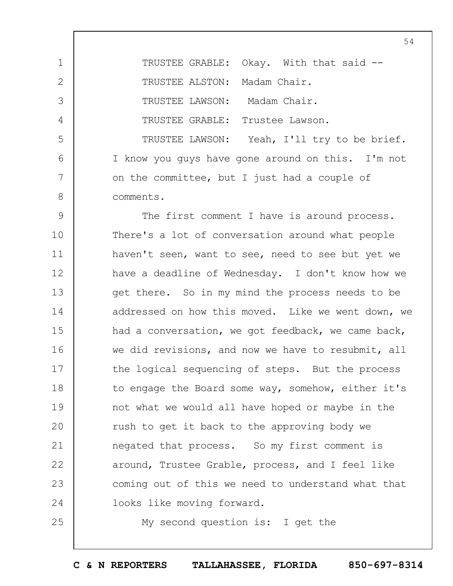1 2 3 4 5 6 7 8 TRUSTEE GRABLE: Okay. With that said --TRUSTEE ALSTON: Madam Chair. TRUSTEE LAWSON: Madam Chair. TRUSTEE GRABLE: Trustee Lawson. TRUSTEE LAWSON: Yeah, I'll try to be brief. I know you guys have gone around on this. I'm not on the committee, but I just had a couple of comments.

9 10 11 12 13 14 15 16 17 18 19  $20$ 21 22 23 24 The first comment I have is around process. There's a lot of conversation around what people haven't seen, want to see, need to see but yet we have a deadline of Wednesday. I don't know how we get there. So in my mind the process needs to be addressed on how this moved. Like we went down, we had a conversation, we got feedback, we came back, we did revisions, and now we have to resubmit, all the logical sequencing of steps. But the process to engage the Board some way, somehow, either it's not what we would all have hoped or maybe in the rush to get it back to the approving body we negated that process. So my first comment is around, Trustee Grable, process, and I feel like coming out of this we need to understand what that looks like moving forward.

My second question is: I get the

25

**C & N REPORTERS TALLAHASSEE, FLORIDA 850-697-8314**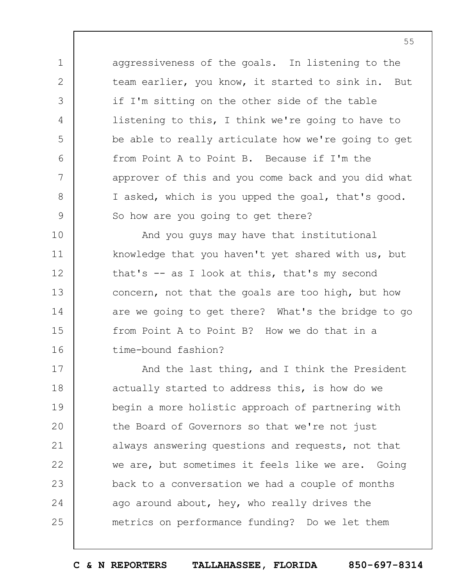aggressiveness of the goals. In listening to the team earlier, you know, it started to sink in. But if I'm sitting on the other side of the table listening to this, I think we're going to have to be able to really articulate how we're going to get from Point A to Point B. Because if I'm the approver of this and you come back and you did what I asked, which is you upped the goal, that's good. So how are you going to get there?

1

2

3

4

5

6

7

8

9

10 11 12 13 14 15 16 And you guys may have that institutional knowledge that you haven't yet shared with us, but that's -- as I look at this, that's my second concern, not that the goals are too high, but how are we going to get there? What's the bridge to go from Point A to Point B? How we do that in a time-bound fashion?

17 18 19  $20$ 21 22 23 24 25 And the last thing, and I think the President actually started to address this, is how do we begin a more holistic approach of partnering with the Board of Governors so that we're not just always answering questions and requests, not that we are, but sometimes it feels like we are. Going back to a conversation we had a couple of months ago around about, hey, who really drives the metrics on performance funding? Do we let them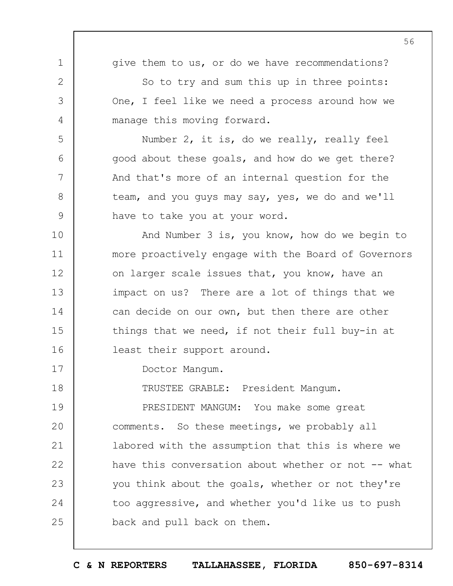1 2 3 4 5 6 7 8 9 10 11 12 13 14 15 16 17 18 19  $20$ 21 22 23 24 25 56 give them to us, or do we have recommendations? So to try and sum this up in three points: One, I feel like we need a process around how we manage this moving forward. Number 2, it is, do we really, really feel good about these goals, and how do we get there? And that's more of an internal question for the team, and you guys may say, yes, we do and we'll have to take you at your word. And Number 3 is, you know, how do we begin to more proactively engage with the Board of Governors on larger scale issues that, you know, have an impact on us? There are a lot of things that we can decide on our own, but then there are other things that we need, if not their full buy-in at least their support around. Doctor Mangum. TRUSTEE GRABLE: President Mangum. PRESIDENT MANGUM: You make some great comments. So these meetings, we probably all labored with the assumption that this is where we have this conversation about whether or not -- what you think about the goals, whether or not they're too aggressive, and whether you'd like us to push back and pull back on them.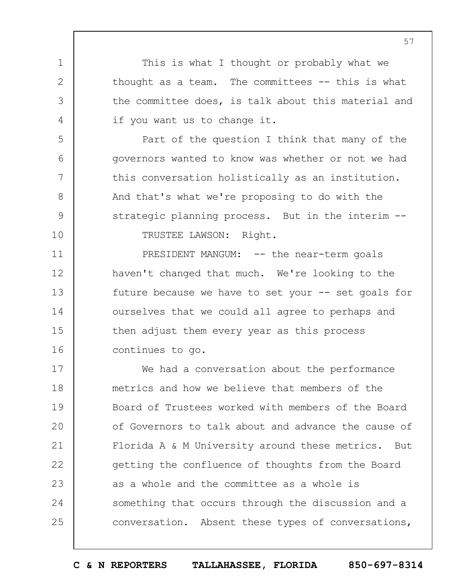This is what I thought or probably what we thought as a team. The committees -- this is what the committee does, is talk about this material and if you want us to change it.

Part of the question I think that many of the governors wanted to know was whether or not we had this conversation holistically as an institution. And that's what we're proposing to do with the strategic planning process. But in the interim -- TRUSTEE LAWSON: Right.

1

2

3

4

5

6

7

8

9

10

11

12

13

14

15

16

PRESIDENT MANGUM: -- the near-term goals haven't changed that much. We're looking to the future because we have to set your  $--$  set goals for ourselves that we could all agree to perhaps and then adjust them every year as this process continues to go.

17 18 19  $20$ 21 22 23 24 25 We had a conversation about the performance metrics and how we believe that members of the Board of Trustees worked with members of the Board of Governors to talk about and advance the cause of Florida A & M University around these metrics. But getting the confluence of thoughts from the Board as a whole and the committee as a whole is something that occurs through the discussion and a conversation. Absent these types of conversations,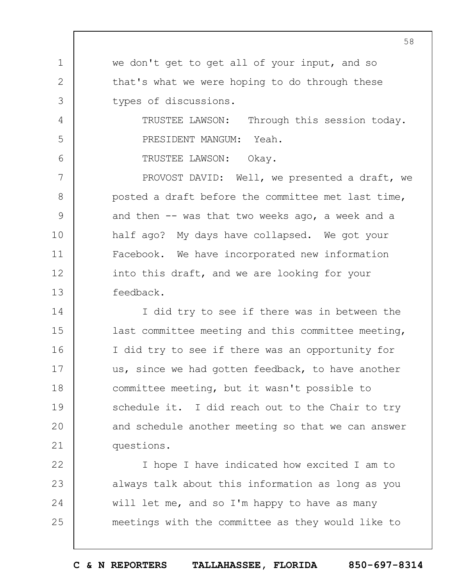we don't get to get all of your input, and so that's what we were hoping to do through these types of discussions.

> TRUSTEE LAWSON: Through this session today. PRESIDENT MANGUM: Yeah.

TRUSTEE LAWSON: Okay.

1

2

3

4

5

6

7 8 9 10 11 12 13 PROVOST DAVID: Well, we presented a draft, we posted a draft before the committee met last time, and then -- was that two weeks ago, a week and a half ago? My days have collapsed. We got your Facebook. We have incorporated new information into this draft, and we are looking for your feedback.

14 15 16 17 18 19  $20$ 21 I did try to see if there was in between the last committee meeting and this committee meeting, I did try to see if there was an opportunity for us, since we had gotten feedback, to have another committee meeting, but it wasn't possible to schedule it. I did reach out to the Chair to try and schedule another meeting so that we can answer questions.

22 23 24 25 I hope I have indicated how excited I am to always talk about this information as long as you will let me, and so I'm happy to have as many meetings with the committee as they would like to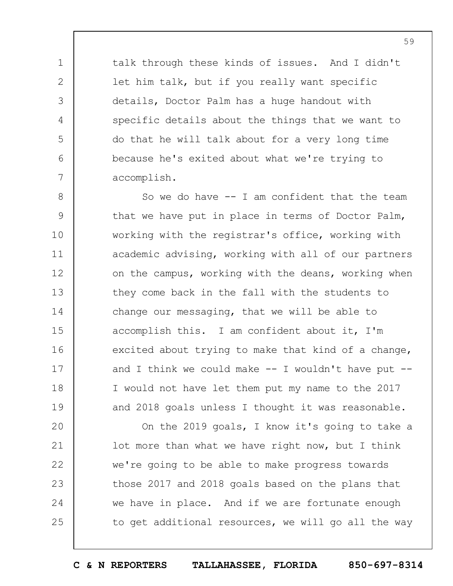talk through these kinds of issues. And I didn't let him talk, but if you really want specific details, Doctor Palm has a huge handout with specific details about the things that we want to do that he will talk about for a very long time because he's exited about what we're trying to accomplish.

1

2

3

4

5

6

7

8 9 10 11 12 13 14 15 16 17 18 19 So we do have  $-$ - I am confident that the team that we have put in place in terms of Doctor Palm, working with the registrar's office, working with academic advising, working with all of our partners on the campus, working with the deans, working when they come back in the fall with the students to change our messaging, that we will be able to accomplish this. I am confident about it, I'm excited about trying to make that kind of a change, and I think we could make  $--$  I wouldn't have put  $--$ I would not have let them put my name to the 2017 and 2018 goals unless I thought it was reasonable.

 $20$ 21 22 23 24 25 On the 2019 goals, I know it's going to take a lot more than what we have right now, but I think we're going to be able to make progress towards those 2017 and 2018 goals based on the plans that we have in place. And if we are fortunate enough to get additional resources, we will go all the way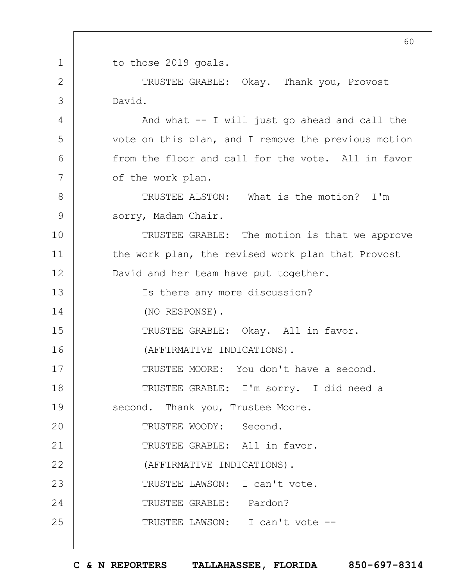1 2 3 4 5 6 7 8 9 10 11 12 13 14 15 16 17 18 19  $20$ 21 22 23 24 25 60 to those 2019 goals. TRUSTEE GRABLE: Okay. Thank you, Provost David. And what -- I will just go ahead and call the vote on this plan, and I remove the previous motion from the floor and call for the vote. All in favor of the work plan. TRUSTEE ALSTON: What is the motion? I'm sorry, Madam Chair. TRUSTEE GRABLE: The motion is that we approve the work plan, the revised work plan that Provost David and her team have put together. Is there any more discussion? (NO RESPONSE). TRUSTEE GRABLE: Okay. All in favor. (AFFIRMATIVE INDICATIONS). TRUSTEE MOORE: You don't have a second. TRUSTEE GRABLE: I'm sorry. I did need a second. Thank you, Trustee Moore. TRUSTEE WOODY: Second. TRUSTEE GRABLE: All in favor. (AFFIRMATIVE INDICATIONS). TRUSTEE LAWSON: I can't vote. TRUSTEE GRABLE: Pardon? TRUSTEE LAWSON: I can't vote --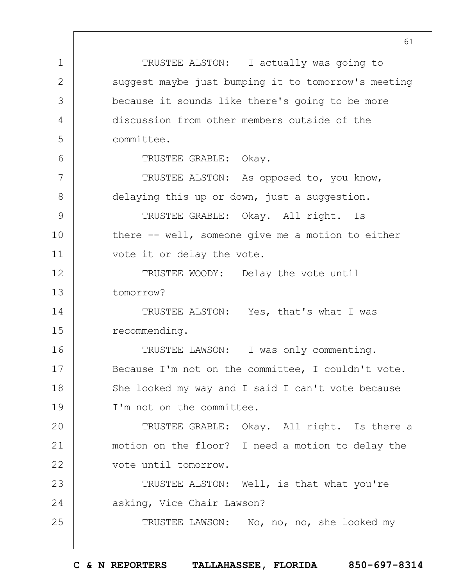1 2 3 4 5 6 7 8 9 10 11 12 13 14 15 16 17 18 19  $20$ 21 22 23 24 25 TRUSTEE ALSTON: I actually was going to suggest maybe just bumping it to tomorrow's meeting because it sounds like there's going to be more discussion from other members outside of the committee. TRUSTEE GRABLE: Okay. TRUSTEE ALSTON: As opposed to, you know, delaying this up or down, just a suggestion. TRUSTEE GRABLE: Okay. All right. Is there -- well, someone give me a motion to either vote it or delay the vote. TRUSTEE WOODY: Delay the vote until tomorrow? TRUSTEE ALSTON: Yes, that's what I was recommending. TRUSTEE LAWSON: I was only commenting. Because I'm not on the committee, I couldn't vote. She looked my way and I said I can't vote because I'm not on the committee. TRUSTEE GRABLE: Okay. All right. Is there a motion on the floor? I need a motion to delay the vote until tomorrow. TRUSTEE ALSTON: Well, is that what you're asking, Vice Chair Lawson? TRUSTEE LAWSON: No, no, no, she looked my

**C & N REPORTERS TALLAHASSEE, FLORIDA 850-697-8314**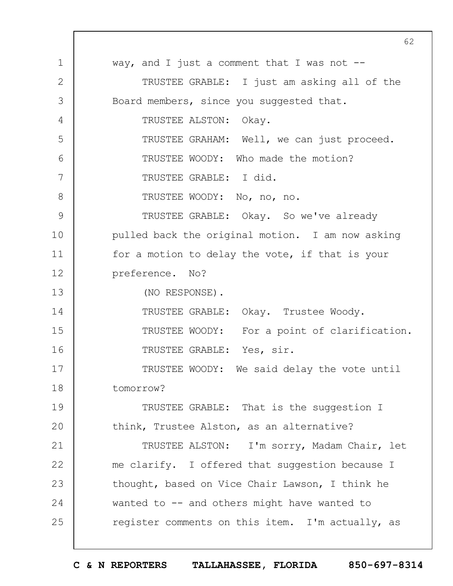1 2 3 4 5 6 7 8 9 10 11 12 13 14 15 16 17 18 19  $20$ 21 22 23 24 25 62 way, and I just a comment that I was not  $-$ TRUSTEE GRABLE: I just am asking all of the Board members, since you suggested that. TRUSTEE ALSTON: Okay. TRUSTEE GRAHAM: Well, we can just proceed. TRUSTEE WOODY: Who made the motion? TRUSTEE GRABLE: I did. TRUSTEE WOODY: No, no, no. TRUSTEE GRABLE: Okay. So we've already pulled back the original motion. I am now asking for a motion to delay the vote, if that is your preference. No? (NO RESPONSE). TRUSTEE GRABLE: Okay. Trustee Woody. TRUSTEE WOODY: For a point of clarification. TRUSTEE GRABLE: Yes, sir. TRUSTEE WOODY: We said delay the vote until tomorrow? TRUSTEE GRABLE: That is the suggestion I think, Trustee Alston, as an alternative? TRUSTEE ALSTON: I'm sorry, Madam Chair, let me clarify. I offered that suggestion because I thought, based on Vice Chair Lawson, I think he wanted to -- and others might have wanted to register comments on this item. I'm actually, as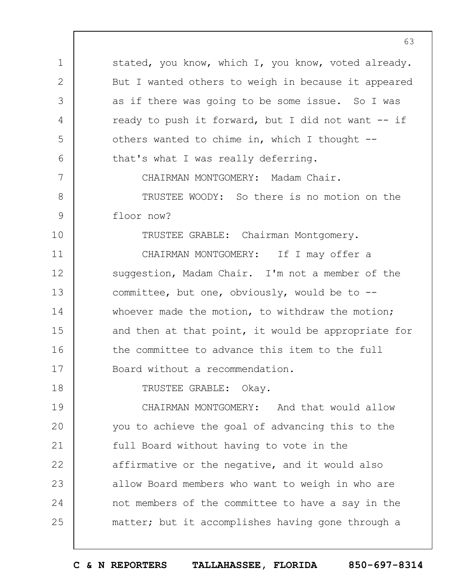stated, you know, which I, you know, voted already. But I wanted others to weigh in because it appeared as if there was going to be some issue. So I was ready to push it forward, but I did not want -- if others wanted to chime in, which I thought - that's what I was really deferring.

CHAIRMAN MONTGOMERY: Madam Chair.

8 9 TRUSTEE WOODY: So there is no motion on the floor now?

TRUSTEE GRABLE: Chairman Montgomery.

11 12 13 14 15 16 17 CHAIRMAN MONTGOMERY: If I may offer a suggestion, Madam Chair. I'm not a member of the committee, but one, obviously, would be to - whoever made the motion, to withdraw the motion; and then at that point, it would be appropriate for the committee to advance this item to the full Board without a recommendation.

TRUSTEE GRABLE: Okay.

1

2

3

4

5

6

7

10

18

19  $20$ 21 22 23 24 25 CHAIRMAN MONTGOMERY: And that would allow you to achieve the goal of advancing this to the full Board without having to vote in the affirmative or the negative, and it would also allow Board members who want to weigh in who are not members of the committee to have a say in the matter; but it accomplishes having gone through a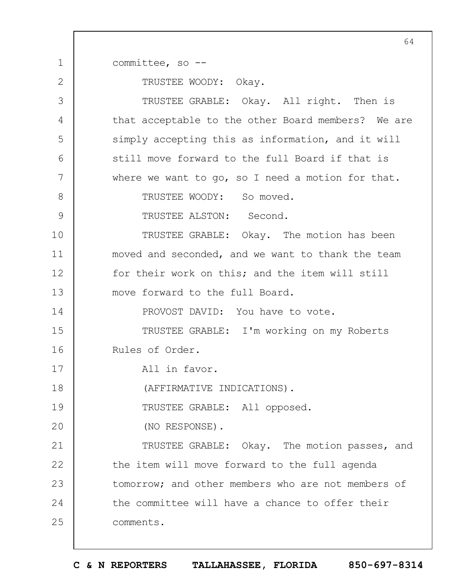committee, so --

1

2

TRUSTEE WOODY: Okay.

3 4 5 6 7 8 9 10 11 12 13 14 15 16 17 18 19  $20$ 21 22 23 24 25 TRUSTEE GRABLE: Okay. All right. Then is that acceptable to the other Board members? We are simply accepting this as information, and it will still move forward to the full Board if that is where we want to go, so I need a motion for that. TRUSTEE WOODY: So moved. TRUSTEE ALSTON: Second. TRUSTEE GRABLE: Okay. The motion has been moved and seconded, and we want to thank the team for their work on this; and the item will still move forward to the full Board. PROVOST DAVID: You have to vote. TRUSTEE GRABLE: I'm working on my Roberts Rules of Order. All in favor. (AFFIRMATIVE INDICATIONS). TRUSTEE GRABLE: All opposed. (NO RESPONSE). TRUSTEE GRABLE: Okay. The motion passes, and the item will move forward to the full agenda tomorrow; and other members who are not members of the committee will have a chance to offer their comments.

**C & N REPORTERS TALLAHASSEE, FLORIDA 850-697-8314**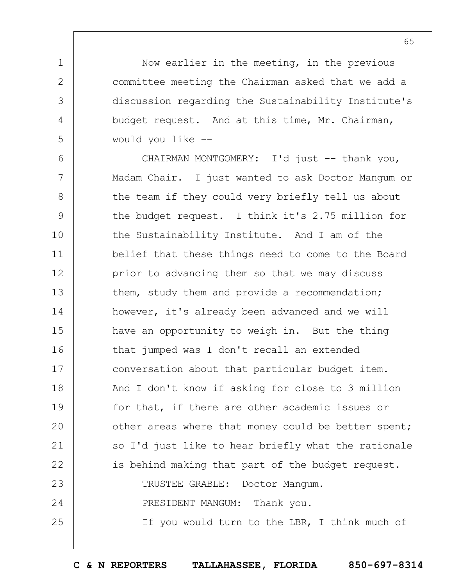Now earlier in the meeting, in the previous committee meeting the Chairman asked that we add a discussion regarding the Sustainability Institute's budget request. And at this time, Mr. Chairman, would you like --

1

2

3

4

5

6 7 8 9 10 11 12 13 14 15 16 17 18 19  $20$ 21 22 23 24 25 CHAIRMAN MONTGOMERY: I'd just -- thank you, Madam Chair. I just wanted to ask Doctor Mangum or the team if they could very briefly tell us about the budget request. I think it's 2.75 million for the Sustainability Institute. And I am of the belief that these things need to come to the Board prior to advancing them so that we may discuss them, study them and provide a recommendation; however, it's already been advanced and we will have an opportunity to weigh in. But the thing that jumped was I don't recall an extended conversation about that particular budget item. And I don't know if asking for close to 3 million for that, if there are other academic issues or other areas where that money could be better spent; so I'd just like to hear briefly what the rationale is behind making that part of the budget request. TRUSTEE GRABLE: Doctor Mangum. PRESIDENT MANGUM: Thank you. If you would turn to the LBR, I think much of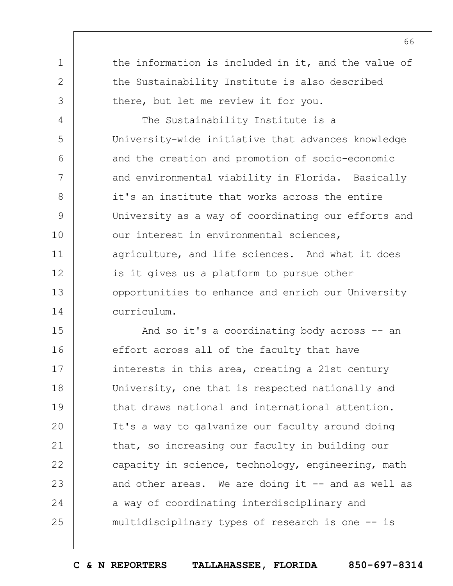the information is included in it, and the value of the Sustainability Institute is also described there, but let me review it for you.

1

2

3

4 5 6 7 8 9 10 11 12 13 14 The Sustainability Institute is a University-wide initiative that advances knowledge and the creation and promotion of socio-economic and environmental viability in Florida. Basically it's an institute that works across the entire University as a way of coordinating our efforts and our interest in environmental sciences, agriculture, and life sciences. And what it does is it gives us a platform to pursue other opportunities to enhance and enrich our University curriculum.

15 16 17 18 19  $20$ 21 22 23 24 25 And so it's a coordinating body across -- an effort across all of the faculty that have interests in this area, creating a 21st century University, one that is respected nationally and that draws national and international attention. It's a way to galvanize our faculty around doing that, so increasing our faculty in building our capacity in science, technology, engineering, math and other areas. We are doing it -- and as well as a way of coordinating interdisciplinary and multidisciplinary types of research is one -- is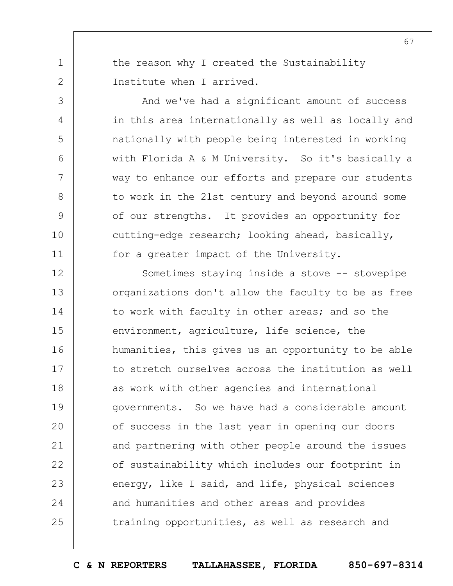the reason why I created the Sustainability Institute when I arrived.

1

2

3

4

5

6

7

8

9

10

11

And we've had a significant amount of success in this area internationally as well as locally and nationally with people being interested in working with Florida A & M University. So it's basically a way to enhance our efforts and prepare our students to work in the 21st century and beyond around some of our strengths. It provides an opportunity for cutting-edge research; looking ahead, basically, for a greater impact of the University.

12 13 14 15 16 17 18 19  $20$ 21 22 23 24 25 Sometimes staying inside a stove -- stovepipe organizations don't allow the faculty to be as free to work with faculty in other areas; and so the environment, agriculture, life science, the humanities, this gives us an opportunity to be able to stretch ourselves across the institution as well as work with other agencies and international governments. So we have had a considerable amount of success in the last year in opening our doors and partnering with other people around the issues of sustainability which includes our footprint in energy, like I said, and life, physical sciences and humanities and other areas and provides training opportunities, as well as research and

**C & N REPORTERS TALLAHASSEE, FLORIDA 850-697-8314**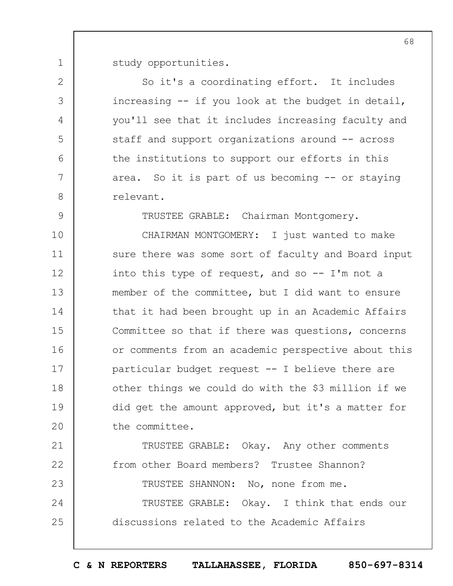1 study opportunities.

2

3

4

5

6

7

8

9

So it's a coordinating effort. It includes increasing -- if you look at the budget in detail, you'll see that it includes increasing faculty and staff and support organizations around -- across the institutions to support our efforts in this area. So it is part of us becoming -- or staying relevant.

TRUSTEE GRABLE: Chairman Montgomery.

10 11 12 13 14 15 16 17 18 19  $20$ CHAIRMAN MONTGOMERY: I just wanted to make sure there was some sort of faculty and Board input into this type of request, and so  $-$  I'm not a member of the committee, but I did want to ensure that it had been brought up in an Academic Affairs Committee so that if there was questions, concerns or comments from an academic perspective about this particular budget request -- I believe there are other things we could do with the \$3 million if we did get the amount approved, but it's a matter for the committee.

21 22 23 24 25 TRUSTEE GRABLE: Okay. Any other comments from other Board members? Trustee Shannon? TRUSTEE SHANNON: No, none from me. TRUSTEE GRABLE: Okay. I think that ends our discussions related to the Academic Affairs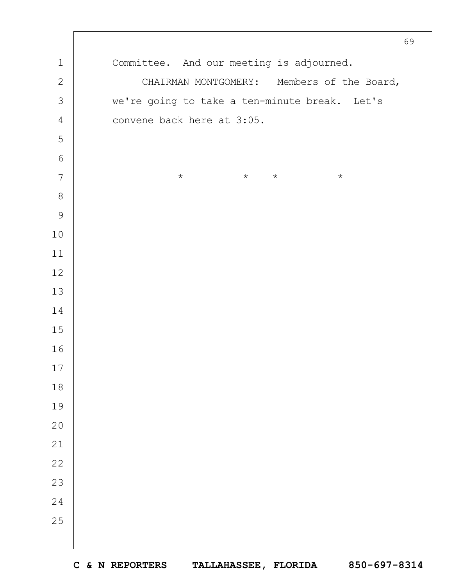|                | 69                                            |  |  |  |  |  |
|----------------|-----------------------------------------------|--|--|--|--|--|
| $1\,$          | Committee. And our meeting is adjourned.      |  |  |  |  |  |
| $\mathbf{2}$   | CHAIRMAN MONTGOMERY: Members of the Board,    |  |  |  |  |  |
| $\mathcal{S}$  | we're going to take a ten-minute break. Let's |  |  |  |  |  |
| $\sqrt{4}$     | convene back here at 3:05.                    |  |  |  |  |  |
| 5              |                                               |  |  |  |  |  |
| $\sqrt{6}$     |                                               |  |  |  |  |  |
| $\overline{7}$ | $\star$<br>$\star$<br>$\star$<br>$\star$      |  |  |  |  |  |
| $\,8\,$        |                                               |  |  |  |  |  |
| $\mathcal{G}$  |                                               |  |  |  |  |  |
| $10$           |                                               |  |  |  |  |  |
| $11$           |                                               |  |  |  |  |  |
| $12$           |                                               |  |  |  |  |  |
| 13             |                                               |  |  |  |  |  |
| 14             |                                               |  |  |  |  |  |
| $15$           |                                               |  |  |  |  |  |
| 16             |                                               |  |  |  |  |  |
| $17$           |                                               |  |  |  |  |  |
| $1\,8$         |                                               |  |  |  |  |  |
| 19             |                                               |  |  |  |  |  |
| 20             |                                               |  |  |  |  |  |
| 21             |                                               |  |  |  |  |  |
| 22             |                                               |  |  |  |  |  |
| 23             |                                               |  |  |  |  |  |
| 24             |                                               |  |  |  |  |  |
| 25             |                                               |  |  |  |  |  |
|                |                                               |  |  |  |  |  |
|                |                                               |  |  |  |  |  |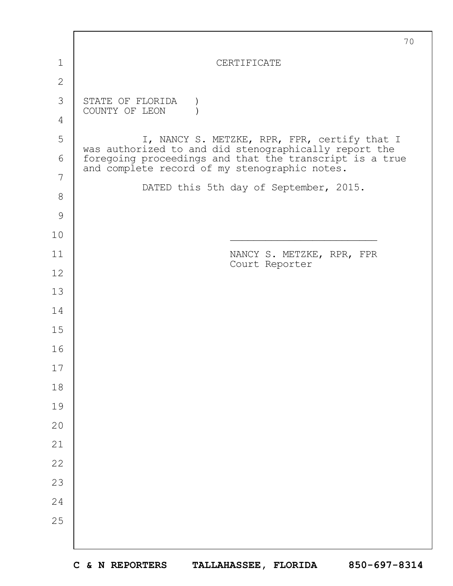|               | 70                                                                                                       |  |  |  |  |  |
|---------------|----------------------------------------------------------------------------------------------------------|--|--|--|--|--|
| 1             | CERTIFICATE                                                                                              |  |  |  |  |  |
| $\mathbf{2}$  |                                                                                                          |  |  |  |  |  |
| 3             | STATE OF FLORIDA<br>COUNTY OF LEON                                                                       |  |  |  |  |  |
| 4             |                                                                                                          |  |  |  |  |  |
| 5             | I, NANCY S. METZKE, RPR, FPR, certify that I<br>was authorized to and did stenographically report the    |  |  |  |  |  |
| 6             | foregoing proceedings and that the transcript is a true<br>and complete record of my stenographic notes. |  |  |  |  |  |
| 7             | DATED this 5th day of September, 2015.                                                                   |  |  |  |  |  |
| $8\,$         |                                                                                                          |  |  |  |  |  |
| $\mathcal{G}$ |                                                                                                          |  |  |  |  |  |
| 10            |                                                                                                          |  |  |  |  |  |
| 11            | NANCY S. METZKE, RPR, FPR<br>Court Reporter                                                              |  |  |  |  |  |
| 12            |                                                                                                          |  |  |  |  |  |
| 13            |                                                                                                          |  |  |  |  |  |
| 14            |                                                                                                          |  |  |  |  |  |
| 15            |                                                                                                          |  |  |  |  |  |
| 16            |                                                                                                          |  |  |  |  |  |
| 17            |                                                                                                          |  |  |  |  |  |
| 18            |                                                                                                          |  |  |  |  |  |
| 19            |                                                                                                          |  |  |  |  |  |
| 20            |                                                                                                          |  |  |  |  |  |
| 21            |                                                                                                          |  |  |  |  |  |
| 22            |                                                                                                          |  |  |  |  |  |
| 23            |                                                                                                          |  |  |  |  |  |
| 24            |                                                                                                          |  |  |  |  |  |
| 25            |                                                                                                          |  |  |  |  |  |
|               |                                                                                                          |  |  |  |  |  |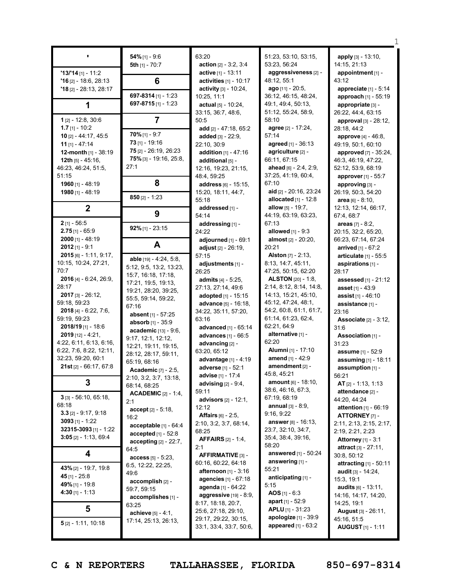|                                     | $54\%$ [1] - 9:6                       | 63:20                            | 51:23, 53:10, 53:15,                            | apply [3] - 13:10,                   |
|-------------------------------------|----------------------------------------|----------------------------------|-------------------------------------------------|--------------------------------------|
|                                     | 5th $[1]$ - 70:7                       | action $[2] - 3:2, 3:4$          | 53:23, 56:24                                    | 14:15, 21:13                         |
| $13/14$ [1] - 11:2                  |                                        | active [1] - 13:11               | aggressiveness [2] -                            | appointment $[1]$ -                  |
| $'16$ [2] - 18:6, 28:13             | 6                                      | activities $[1]$ - 10:17         | 48:12, 55:1                                     | 43:12                                |
| $'18$ [2] - 28:13, 28:17            |                                        | activity [3] - 10:24,            | ago $[11] - 20:5$ ,                             | appreciate $[1] - 5:14$              |
|                                     | 697-8314 [1] - 1:23                    | 10:25, 11:1                      | 36:12, 46:15, 48:24,                            | approach $[1]$ - 55:19               |
|                                     | 697-8715 $[1]$ - 1:23                  | actual $[5] - 10:24$ ,           | 49:1, 49:4, 50:13,                              | appropriate [3] -                    |
|                                     |                                        | 33:15, 36:7, 48:6,               | 51:12, 55:24, 58:9,                             | 26:22, 44:4, 63:15                   |
| $1_{[2]} - 12:8, 30:6$              | $\overline{7}$                         | 50:5                             | 58:10                                           | approval $[3] - 28:12$ ,             |
| 1.7 $[1] - 10:2$                    |                                        | add [2] - 47:18, 65:2            | agree [2] - 17:24,                              | 28:18, 44:2                          |
| 10 [2] - 44:17, 45:5                | $70\%$ [1] - 9:7                       | added $[3] - 22:9$ ,             | 57:14                                           | approve [4] - 46:8,                  |
| 11 $[1] - 47:14$                    | $73$ [1] - 19:16                       | 22:10, 30:9                      | agreed [1] - 36:13                              | 49:19, 50:1, 60:10                   |
| 12-month [1] - 38:19                | 75 [2] - 26:19, 26:23                  | addition $[1] - 47:16$           | agriculture [2] -                               | <b>approved</b> [7] - 35:24,         |
| 12th $[5] - 45:16$ ,                | 75% [3] - 19:16, 25:8,                 | additional [5] -                 | 66:11, 67:15                                    | 46:3, 46:19, 47:22,                  |
| 46:23, 46:24, 51:5,                 | 27:1                                   | 12:16, 19:23, 21:15,             | ahead [6] - 2:4, 2:9,                           | 52:12, 53:9, 68:19                   |
| 51:15                               |                                        | 48:4, 59:25                      | 37:25, 41:19, 60:4,                             | approver [1] - 55:7                  |
| 1960 [1] - 48:19                    | 8                                      | address [6] - 15:15,             | 67:10                                           | approving [3] -                      |
| 1980 [1] - 48:19                    | $850$ [2] - 1:23                       | 15:20, 18:11, 44:7,              | aid [2] - 20:16, 23:24                          | 26:19, 50:3, 54:20                   |
|                                     |                                        | 55:18                            | allocated $[1] - 12:8$                          | <b>area</b> $[6] - 8:10$ ,           |
| $\overline{2}$                      |                                        | addressed [1] -                  | allow $[5] - 19:7$ ,                            | 12:13, 12:14, 66:17,                 |
|                                     | 9                                      | 54:14                            | 44:19, 63:19, 63:23,                            | 67:4, 68:7                           |
| $2$ [1] - 56:5                      | $92\%$ [1] - 23:15                     | addressing [1] -                 | 67:13                                           | areas $[7] - 8:2$ ,                  |
| $2.75$ [1] - 65:9                   |                                        | 24:22                            | <b>allowed</b> $[1] - 9:3$                      | 20:15, 32:2, 65:20,                  |
| $2000$ [1] - 48:19                  | A                                      | adjourned $[1]$ - $69:1$         | almost [2] - 20:20,                             | 66:23, 67:14, 67:24                  |
| $2012$ [1] - 9:1                    |                                        | adjust $[2] - 26:19$ ,           | 20:21                                           | arrived [1] - 67:2                   |
| $2015$ [6] - 1:11, 9:17,            | able [19] - 4:24, 5:8,                 | 57:15                            | <b>Alston</b> $[7] - 2:13$ ,                    | articulate $[1]$ - 55:5              |
| 10:15, 10:24, 27:21,                | 5:12, 9:5, 13:2, 13:23,                | adjustments [1] -                | 8:13, 14:7, 45:11,                              | aspirations [1] -                    |
| 70:7                                | 15:7, 16:18, 17:18,                    | 26:25                            | 47:25, 50:15, 62:20                             | 28:17                                |
| 2016 [4] - 6:24, 26:9,              | 17:21, 19:5, 19:13,                    | admits [4] - 5:25,               | <b>ALSTON</b> [20] - 1:8,                       | <b>assessed</b> $[1] - 21:12$        |
| 28:17                               | 19:21, 28:20, 39:25,                   | 27:13, 27:14, 49:6               | 2:14, 8:12, 8:14, 14:8,<br>14:13, 15:21, 45:10, | <b>asset</b> [1] - 43:9              |
| $2017$ [3] - 26:12,<br>59:18, 59:23 | 55:5, 59:14, 59:22,                    | adopted [1] - 15:15              | 45:12, 47:24, 48:1,                             | <b>assist</b> $[1]$ - 46:10          |
| $2018$ [4] - 6:22, 7:6,             | 67:16                                  | <b>advance</b> $[5] - 16:18$     | 54:2, 60:8, 61:1, 61:7,                         | assistance [1] -                     |
| 59:19, 59:23                        | absent [1] - 57:25                     | 34:22, 35:11, 57:20,<br>63:16    | 61:14, 61:23, 62:4,                             | 23:16                                |
| 2018/19 [1] - 18:6                  | absorb [1] - 35:9                      | advanced [1] - 65:14             | 62:21, 64:9                                     | <b>Associate</b> [2] - 3:12,<br>31:6 |
| $2019$ [12] - 4:21,                 | academic [13] - 9:6,                   | advances [1] - 66:5              | alternative [1] -                               | Association [1] -                    |
| 4:22, 6:11, 6:13, 6:16,             | 9:17, 12:1, 12:12,                     | advancing [2] -                  | 62:20                                           | 31:23                                |
| 6:22, 7:6, 8:22, 12:11,             | 12:21, 19:11, 19:15,                   | 63:20, 65:12                     | Alumni [1] - 17:10                              | assume [1] - 52:9                    |
| 32:23, 59:20, 60:1                  | 28:12, 28:17, 59:11,                   | advantage [1] - 4:19             | amend [1] - 42:9                                | assuming [1] - 18:11                 |
| 21st [2] - 66:17, 67:8              | 65:19, 68:16                           | adverse [1] - 52:1               | amendment [2] -                                 | assumption [1] -                     |
|                                     | <b>Academic</b> $[7] - 2:5$ ,          | <b>advise</b> [1] - 17:4         | 45:8, 45:21                                     | 56:21                                |
| 3                                   | 2:10, 3:2, 3:7, 13:18,<br>68:14, 68:25 | advising $[2] - 9:4$ ,           | amount [6] - 18:10,                             | $AT$ <sub>[2]</sub> - 1:13, 1:13     |
|                                     | <b>ACADEMIC</b> $[2] - 1:4$ ,          | 59:11                            | 38:6, 46:16, 67:3,                              | attendance [2] -                     |
| $3$ [3] - 56:10, 65:18,             | 2:1                                    | <b>advisors</b> $[2] - 12:1$ ,   | 67:19, 68:19                                    | 44:20, 44:24                         |
| 68:18                               | $accept [2] - 5:18,$                   | 12:12                            | <b>annual</b> $[3] - 8:9$ ,                     | <b>attention</b> $[1] - 66:19$       |
| $3.3$ [2] - 9:17, 9:18              | 16:2                                   | <b>Affairs</b> $[6] - 2:5$ ,     | 9:16, 9:22                                      | <b>ATTORNEY</b> [7] -                |
| 3093 $[1]$ - 1:22                   | acceptable $[1] - 64:4$                | 2:10, 3:2, 3:7, 68:14,           | <b>answer</b> [8] - 16:13,                      | 2:11, 2:13, 2:15, 2:17,              |
| 32315-3093 [1] - 1:22               | <b>accepted</b> $[1] - 52:8$           | 68:25                            | 23:7, 32:10, 34:7,                              | 2:19, 2:21, 2:23                     |
| $3:05$ [2] - 1:13, 69:4             | $accepting [2] - 22:7,$                | <b>AFFAIRS</b> [2] - 1:4,        | 35:4, 38:4, 39:16,                              | <b>Attorney</b> $[1] - 3:1$          |
|                                     | 64:5                                   | 2:1                              | 58:20                                           | <b>attract</b> [3] $-27:11$ ,        |
| 4                                   | $access [5] - 5:23,$                   | <b>AFFIRMATIVE [3] -</b>         | answered [1] - 50:24                            | 30:8, 50:12                          |
| 43% [2] - 19:7, 19:8                | 6:5, 12:22, 22:25,                     | 60:16, 60:22, 64:18              | answering [1] -                                 | <b>attracting</b> $[1] - 50:11$      |
| 45 [1] - 25:8                       | 49:6                                   | <b>afternoon</b> [1] - 3:16      | 55:21                                           | <b>audit</b> [3] - $14:24$ ,         |
| 49% [1] - 19:8                      | accomplish [2] -                       | agencies [1] - 67:18             | anticipating [1] -                              | 15:3, 19:1                           |
| 4:30 $[1] - 1:13$                   | 59:7, 59:15                            | agenda $[1] - 64:22$             | 5:15                                            | audits [6] - 13:11,                  |
|                                     | accomplishes [1] -                     | <b>aggressive</b> $[19] - 8:9$ , | <b>AOS</b> [1] - 6:3<br>apart $[1] - 52:9$      | 14:16, 14:17, 14:20,                 |
| 5                                   | 63:25                                  | 8:17, 18:18, 20:7,               | <b>APLU</b> $[1]$ - 31:23                       | 14:25, 19:1                          |
|                                     | <b>achieve</b> $[5] - 4:1$ ,           | 25:6, 27:18, 29:10,              | apologize [1] - 39:9                            | <b>August</b> $[3] - 26:11$ ,        |
| $5$ [2] - 1:11, 10:18               | 17:14, 25:13, 26:13,                   | 29:17, 29:22, 30:15,             | <b>appeared</b> $[1] - 63:2$                    | 45:16, 51:5                          |
|                                     |                                        | 33:1, 33:4, 33:7, 50:6,          |                                                 | <b>AUGUST</b> $[1]$ - 1:11           |
|                                     |                                        |                                  |                                                 |                                      |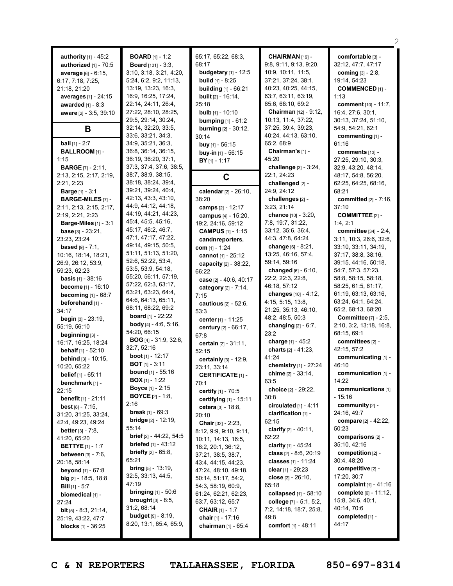|                                |                                             |                              |                            | 2                              |
|--------------------------------|---------------------------------------------|------------------------------|----------------------------|--------------------------------|
| <b>authority</b> $[1] - 45:2$  | <b>BOARD</b> [1] - 1:2                      | 65:17, 65:22, 68:3,          | CHAIRMAN [19] -            | comfortable [3] -              |
| authorized [1] - 70:5          | <b>Board</b> [101] - 3:3,                   | 68:17                        | 9:8, 9:11, 9:13, 9:20,     | 32:12, 47:7, 47:17             |
| average [6] - 6:15,            | 3:10, 3:18, 3:21, 4:20,                     | <b>budgetary</b> [1] - 12:5  | 10:9, 10:11, 11:5,         | <b>coming</b> $[3] - 2:8$ ,    |
| 6:17, 7:18, 7:25,              | 5:24, 6:2, 9:2, 11:13,                      | <b>build</b> $[1] - 8:25$    | 37:21, 37:24, 38:1,        | 19:14, 54:23                   |
| 21:18, 21:20                   | 13:19, 13:23, 16:3,                         | <b>building</b> [1] - 66:21  | 40:23, 40:25, 44:15,       | <b>COMMENCED [1] -</b>         |
| averages [1] - 24:15           | 16:9, 16:25, 17:24,                         | <b>built</b> $[2] - 16:14$ , | 63:7, 63:11, 63:19,        | 1:13                           |
| <b>awarded</b> $[1] - 8:3$     | 22:14, 24:11, 26:4,                         | 25:18                        | 65:6, 68:10, 69:2          | <b>comment</b> $[10] - 11:7$ , |
| aware [2] - 3:5, 39:10         | 27:22, 28:10, 28:25,                        | <b>bulb</b> $[1]$ - 10:10    | Chairman [12] - 9:12,      | 16:4, 27:6, 30:1,              |
|                                | 29:5, 29:14, 30:24,                         | bumping [1] - 61:2           | 10:13, 11:4, 37:22,        | 30:13, 37:24, 51:10,           |
| B                              | 32:14, 32:20, 33:5,                         | <b>burning</b> [2] - 30:12,  | 37:25, 39:4, 39:23,        | 54:9, 54:21, 62:1              |
|                                | 33:6, 33:21, 34:3,                          | 30:14                        | 40:24, 44:13, 63:10,       | commenting [1] -               |
| <b>ball</b> $[1] - 2:7$        | 34:9, 35:21, 36:3,                          | buy $[1] - 56:15$            | 65:2,68:9                  | 61:16                          |
| <b>BALLROOM</b> [1] -          | 36:8, 36:14, 36:15,                         | buy-in $[1]$ - 56:15         | Chairman's [1] -           | comments [13] -                |
| 1:15                           | 36:19, 36:20, 37:1,                         | $BY$ <sub>[1]</sub> - 1:17   | 45:20                      | 27:25, 29:10, 30:3,            |
| <b>BARGE</b> $[7] - 2:11$ ,    | 37:3, 37:4, 37:6, 38:5,                     |                              | challenge [3] - 3:24,      | 32:9, 43:20, 48:14,            |
| 2:13, 2:15, 2:17, 2:19,        | 38:7, 38:9, 38:15,                          | $\mathbf c$                  | 22:1, 24:23                | 48:17, 54:8, 56:20,            |
| 2:21, 2:23                     | 38:18, 38:24, 39:4,                         |                              | challenged [2] -           | 62:25, 64:25, 68:16,           |
| <b>Barge</b> [1] - 3:1         | 39:21, 39:24, 40:4,                         | calendar [2] - 26:10,        | 24:9, 24:12                | 68:21                          |
| <b>BARGE-MILES [7] -</b>       | 42:13, 43:3, 43:10,                         | 38:20                        | challenges [2] -           | committed [2] - 7:16,          |
| 2:11, 2:13, 2:15, 2:17,        | 44:9, 44:12, 44:18,                         | camps [2] - 12:17            | 3:23, 21:14                | 37:10                          |
| 2:19, 2:21, 2:23               | 44:19, 44:21, 44:23,                        | campus $[4] - 15:20$ ,       | chance $[10] - 3:20$ ,     | <b>COMMITTEE [2] -</b>         |
| <b>Barge-Miles</b> [1] - 3:1   | 45:4, 45:5, 45:16,                          | 19:2, 24:16, 59:12           | 7:8, 19:7, 31:22,          | 1:4,2:1                        |
| <b>base</b> $[3] - 23:21$ ,    | 45:17, 46:2, 46:7,                          | <b>CAMPUS</b> $[1] - 1:15$   | 33:12, 35:6, 36:4,         | committee [34] - 2:4,          |
| 23:23, 23:24                   | 47:1, 47:17, 47:22,                         | candnreporters.              | 44:3, 47:8, 64:24          | 3:11, 10:3, 26:6, 32:6,        |
| <b>based</b> $[9] - 7:1$ ,     | 49:14, 49:15, 50:5,                         | com $[1] - 1:24$             | change $[6] - 8:21$ ,      | 33:10, 33:11, 34:19,           |
| 10:16, 18:14, 18:21,           | 51:11, 51:13, 51:20,                        | cannot [1] - 25:12           | 13:25, 46:16, 57:4,        | 37:17, 38:8, 38:16,            |
| 26:9, 26:12, 53:9,             | 52:6, 52:22, 53:4,                          | capacity [2] - 38:22,        | 59:14, 59:16               | 39:15, 44:16, 50:18,           |
| 59:23, 62:23                   | 53:5, 53:9, 54:18,                          | 66:22                        | changed $[6] - 6:10$ ,     | 54:7, 57:3, 57:23,             |
| <b>basis</b> $[1]$ - 38:16     | 55:20, 56:11, 57:19,                        | case [2] - 40:6, 40:17       | 22:2, 22:3, 22:8,          | 58:8, 58:15, 58:18,            |
| become [1] - 16:10             | 57:22, 62:3, 63:17,                         | category [2] - 7:14,         | 46:18, 57:12               | 58:25, 61:5, 61:17,            |
| becoming $[1]$ - 68:7          | 63:21, 63:23, 64:4,                         | 7:15                         | changes [10] - 4:12,       | 61:19, 63:13, 63:16,           |
| beforehand [1] -               | 64:6, 64:13, 65:11,                         | cautious [2] - 52:6,         | 4:15, 5:15, 13:8,          | 63:24, 64:1, 64:24,            |
| 34:17                          | 68:11, 68:22, 69:2                          | 53:3                         | 21:25, 35:13, 46:10,       | 65:2, 68:13, 68:20             |
| <b>begin</b> $[3] - 23:19$ ,   | <b>board</b> $[1] - 22:22$                  | center [1] - 11:25           | 48:2, 48:5, 50:3           | <b>Committee</b> [7] - 2:5,    |
| 55:19, 56:10                   | body [4] $-$ 4:6, 5:16,                     | century [2] - 66:17,         | changing $[2] - 6:7$ ,     | 2:10, 3:2, 13:18, 16:8,        |
| beginning [3] -                | 54:20, 66:15                                | 67:8                         | 23:2                       | 68:15, 69:1                    |
| 16:17, 16:25, 18:24            | <b>BOG</b> [4] - $31:9$ , $32:6$ ,          | certain [2] - 31:11,         | charge [1] - 45:2          | committees [2] -               |
| <b>behalf</b> $[1] - 52:10$    | 32:7, 52:16                                 | 52:15                        | charts [2] - 41:23,        | 42:15, 57:2                    |
| behind [3] - 10:15,            | <b>boot</b> $[1]$ - 12:17                   | certainly [3] - 12:9,        | 41:24                      | communicating [1] -            |
| 10:20, 65:22                   | <b>BOT</b> $[1] - 3:11$                     | 23:11, 33:14                 | chemistry [1] - 27:24      | 46:10                          |
| belief [1] - 65:11             | <b>bound</b> $[1]$ - 55:16                  | <b>CERTIFICATE</b> [1] -     | chime $[2] - 33:14$ ,      | communication [1] -            |
| benchmark [1] -                | $BOX[1] - 1:22$                             | 70:1                         | 63:5                       | 14:22                          |
| 22:15                          | <b>Boyce</b> $[1] - 2:15$                   | certify [1] - 70:5           | choice [2] - 29:22,        | communications [1]             |
| <b>benefit</b> $[1] - 21:11$   | <b>BOYCE</b> [2] - 1:8,                     | certifying [1] - 15:11       | 30:8                       | $-15:16$                       |
| <b>best</b> $[8] - 7:15$       | 2:16                                        | cetera [3] - 18:8,           | circulated $[1] - 4:11$    | community [2] -                |
| 31:20, 31:25, 33:24,           | <b>break</b> $[1] - 69:3$                   | 20:10                        | clarification [1] -        | 24:16, 49:7                    |
| 42:4, 49:23, 49:24             | <b>bridge</b> $[2] - 12:19$ ,               | Chair [32] - 2:23,           | 62:15                      | compare [2] - 42:22,           |
| <b>better</b> $[3] - 7:8$ ,    | 55:14                                       | 8:12, 9:9, 9:10, 9:11,       | clarify $[2] - 40:11$ ,    | 50:23                          |
| 41:20, 65:20                   | brief [2] - 44:22, 54:5                     | 10:11, 14:13, 16:5,          | 62:22                      | comparisons [2] -              |
| <b>BETTYE</b> $[1]$ - 1:7      | <b>briefed</b> $[1] - 43:12$                | 18:2, 20:1, 36:12,           | clarity $[1] - 45:24$      | 35:10, 42:16                   |
| <b>between</b> $[3] - 7:6$ ,   | <b>briefly</b> $[2] - 65:8$ ,               | 37:21, 38:5, 38:7,           | class [2] - 8:6, 20:19     | competition [2] -              |
| 20:18, 58:14                   | 65:21                                       | 43:4, 44:15, 44:23,          | <b>classes</b> [1] - 11:24 | 30:4, 48:20                    |
| <b>beyond</b> $[1] - 67:8$     | bring [5] - 13:19,                          | 47:24, 48:10, 49:18,         | clear $[1]$ - 29:23        | competitive [2] -              |
| <b>big</b> $[2]$ - 18:5, 18:8  | 32:5, 33:13, 44:5,                          | 50:14, 51:17, 54:2,          | close $[2] - 26:10$ ,      | 17:20, 30:7                    |
| <b>Bill</b> $[1]$ - 5:7        | 47:19                                       | 54:3, 58:19, 60:9,           | 65:18                      | complaint $[1] - 41:16$        |
| biomedical $[1]$ -             | <b>bringing</b> $[1] - 50:6$                | 61:24, 62:21, 62:23,         | collapsed [1] - 58:10      | complete [6] - 11:12,          |
| 27:24                          | <b>brought</b> $[3] - 8:5$ ,<br>31:2, 68:14 | 63:7, 63:12, 65:7            | college [7] - 5:1, 5:2,    | 15:8, 34:6, 40:1,              |
| <b>bit</b> [5] $-$ 8:3, 21:14, | <b>budget</b> $[9] - 8:19$ ,                | <b>CHAIR</b> $[1] - 1:7$     | 7:2, 14:18, 18:7, 25:8,    | 40:14, 70:6                    |
| 25:19, 43:22, 47:7             | 8:20, 13:1, 65:4, 65:9,                     | chair [1] - 17:16            | 49:8                       | completed [1] -<br>44:17       |
| <b>blocks</b> $[1]$ - 36:25    |                                             | chairman $[1] - 65:4$        | comfort [1] - 48:11        |                                |
|                                |                                             |                              |                            |                                |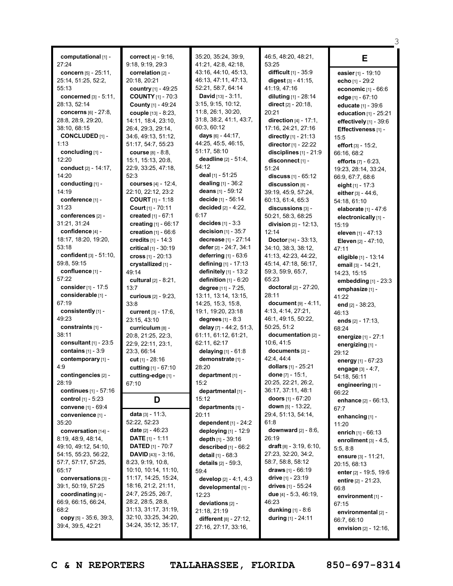| computational [1] -<br>27:24              | <b>correct</b> $[4] - 9:16$ ,<br>9:18, 9:19, 29:3 | 35:20, 35:24, 39:9,<br>41:21, 42:8, 42:18,         | 46:5, 48:20, 48:21,<br>53:25                             | Е                                               |
|-------------------------------------------|---------------------------------------------------|----------------------------------------------------|----------------------------------------------------------|-------------------------------------------------|
| concern [5] - 25:11,                      | correlation [2] -                                 | 43:16, 44:10, 45:13,                               | difficult [1] - 35:9                                     | easier [1] - 19:10                              |
| 25:14, 51:25, 52:2,                       | 20:18, 20:21                                      | 46:13, 47:11, 47:13,                               | digest [3] - 41:15,                                      | echo $[1] - 29:2$                               |
| 55:13                                     | country [1] - 49:25                               | 52:21, 58:7, 64:14                                 | 41:19, 47:16                                             | economic [1] - 66:6                             |
| <b>concerned</b> $[3] - 5:11$ ,           | <b>COUNTY</b> $[1]$ - 70:3                        | <b>David</b> $[13] - 3:11$ ,<br>3:15, 9:15, 10:12, | diluting $[1] - 28:14$                                   | edge $[1]$ - 67:10                              |
| 28:13, 52:14<br>concerns $[6] - 27:8,$    | County [1] - 49:24<br>couple [13] - 8:23,         | 11:8, 26:1, 30:20,                                 | <b>direct</b> $[2] - 20:18$ ,<br>20:21                   | educate [1] - 39:6                              |
| 28:8, 28:9, 29:20,                        | 14:11, 18:4, 23:10,                               | 31:8, 38:2, 41:1, 43:7,                            | <b>direction</b> $[4] - 17:1,$                           | education [1] - 25:21<br>effectively [1] - 39:6 |
| 38:10, 68:15                              | 26:4, 29:3, 29:14,                                | 60:3, 60:12                                        | 17:16, 24:21, 27:16                                      | Effectiveness [1] -                             |
| <b>CONCLUDED [1] -</b>                    | 34:6, 49:13, 51:12,                               | days [6] - 44:17,                                  | directly $[1] - 21:13$                                   | 15:5                                            |
| 1:13                                      | 51:17, 54:7, 55:23                                | 44:25, 45:5, 46:15,                                | director [1] - 22:22                                     | effort $[3] - 15:2$ ,                           |
| concluding [1] -                          | <b>course</b> [8] - 8:8,                          | 51:17, 58:10                                       | disciplines $[1]$ - 21:9                                 | 66:16, 68:2                                     |
| 12:20                                     | 15:1, 15:13, 20:8,                                | <b>deadline</b> $[2] - 51:4$ ,                     | disconnect [1] -                                         | efforts $[7] - 6:23$ ,                          |
| <b>conduct</b> [2] - 14:17,               | 22:9, 33:25, 47:18,                               | 54:12<br>deal [1] - 51:25                          | 51:24                                                    | 19:23, 28:14, 33:24,                            |
| 14:20<br>conducting [1] -                 | 52:3<br><b>courses</b> [4] - 12:4,                | dealing [1] - 36:2                                 | discuss [1] - 65:12                                      | 66:9, 67:7, 68:6                                |
| 14:19                                     | 22:10, 22:12, 23:2                                | deans [1] - 59:12                                  | discussion [6] -<br>39:19, 45:9, 57:24,                  | eight $[1]$ - 17:3                              |
| conference [1] -                          | <b>COURT</b> $[1] - 1:18$                         | decide [1] - 56:14                                 | 60:13, 61:4, 65:3                                        | either [3] - 44:6.<br>54:18, 61:10              |
| 31:23                                     | Court [1] - 70:11                                 | decided [2] - 4:22,                                | discussions [3] -                                        | elaborate [1] - 47:6                            |
| conferences [2] -                         | created [1] - 67:1                                | 6:17                                               | 50:21, 58:3, 68:25                                       | electronically [1] -                            |
| 31:21, 31:24                              | creating [1] - 66:17                              | <b>decides</b> $[1] - 3:3$                         | division $[2] - 12:13$ ,                                 | 15:19                                           |
| confidence [4] -                          | creation $[1] - 66:6$                             | <b>decision</b> $[1]$ - 35:7                       | 12:14                                                    | eleven [1] - 47:13                              |
| 18:17, 18:20, 19:20,                      | credits $[1] - 14:3$                              | decrease [1] - 27:14                               | <b>Doctor</b> [14] - $33:13$ ,                           | Eleven [2] - 47:10,                             |
| 53:18                                     | critical [1] - 30:19                              | defer $[2] - 24:7, 34:1$                           | 34:10, 38:3, 38:12,                                      | 47:11                                           |
| confident [3] - 51:10,<br>59:8, 59:15     | cross $[1] - 20:13$                               | deferring $[1]$ - 63:6                             | 41:13, 42:23, 44:22,                                     | eligible [1] - 13:14                            |
| confluence [1] -                          | crystallized [1] -<br>49:14                       | defining [1] - 17:13<br>definitely [1] - 13:2      | 45:14, 47:18, 56:17,<br>59:3, 59:9, 65:7,                | email [3] - 14:21,                              |
| 57:22                                     | <b>cultural</b> $[2] - 8:21$ ,                    | definition $[1]$ - $6:20$                          | 65:23                                                    | 14:23, 15:15<br>embedding [1] - 23:3            |
| consider [1] - 17:5                       | 13:7                                              | degree [11] - 7:25,                                | doctoral [2] - 27:20,                                    | emphasize [1] -                                 |
| considerable [1] -                        | curious [2] - 9:23,                               | 13:11, 13:14, 13:15,                               | 28:11                                                    | 41:22                                           |
| 67:19                                     | 33:8                                              | 14:25, 15:3, 15:8,                                 | document $[9] - 4:11$ ,                                  | end [2] - 38:23,                                |
| consistently [1] -                        | current [3] - 17:6,                               | 19:1, 19:20, 23:18                                 | 4:13, 4:14, 27:21,                                       | 46:13                                           |
| 49:23                                     | 23:15, 43:10                                      | <b>degrees</b> $[1] - 8:3$                         | 46:1, 49:15, 50:22,                                      | ends $[2] - 17:13$ ,                            |
| constraints $[1]$ -<br>38:11              | curriculum [8] -                                  | delay [7] - 44:2, 51:3,<br>61:11, 61:12, 61:21,    | 50:25, 51:2<br>documentation [2] -                       | 68:24                                           |
| consultant $[1]$ - 23:5                   | 20:8, 21:25, 22:3,<br>22:9, 22:11, 23:1,          | 62:11, 62:17                                       | 10:6, 41:5                                               | energize [1] - 27:1                             |
| contains $[1] - 3:9$                      | 23:3, 66:14                                       | delaying $[1] - 61:8$                              | documents [2] -                                          | energizing [1] -<br>29:12                       |
| contemporary [1] -                        | cut $[1] - 28:16$                                 | demonstrate [1] -                                  | 42:4, 44:4                                               | energy $[1] - 67:23$                            |
| 4:9                                       | cutting [1] - 67:10                               | 28:20                                              | dollars [1] - 25:21                                      | engage [3] - 4:7,                               |
| contingencies [2] -                       | cutting-edge [1] -                                | department [1] -                                   | done $[7] - 15:1$ ,                                      | 54:18.56:11                                     |
| 28:19                                     | 67:10                                             | 15:2                                               | 20:25, 22:21, 26:2,                                      | engineering [1] -                               |
| continues $[1] - 57:16$                   |                                                   | departmental [1] -                                 | 36:17, 37:11, 48:1                                       | 66:22                                           |
| <b>control</b> $[1] - 5:23$               | D                                                 | 15:12<br>departments [1] -                         | <b>doors</b> $[1] - 67:20$<br>down $[5]$ - 13:22,        | enhance [2] - 66:13,                            |
| convene [1] - 69:4<br>convenience [1] -   | data $[3] - 11:3$ ,                               | 20:11                                              | 29:4, 51:13, 54:14,                                      | 67:7                                            |
| 35:20                                     | 52:22, 52:23                                      | dependent $[1] - 24:2$                             | 61:8                                                     | enhancing [1] -<br>11:20                        |
| conversation [14] -                       | date [2] - 46:23                                  | deploying [1] - 12:9                               | <b>downward</b> $[2] - 8:6$ ,                            | enrich [1] - 66:13                              |
| 8:19, 48:9, 48:14,                        | <b>DATE</b> $[1] - 1:11$                          | depth [1] - 39:16                                  | 26:19                                                    | enrollment $[3] - 4:5$ ,                        |
| 49:10, 49:12, 54:10,                      | <b>DATED</b> $[1]$ - 70:7                         | described [1] - 66:2                               | draft $[8] - 3:19, 6:10,$                                | 5:5, 8:8                                        |
| 54:15, 55:23, 56:22,                      | <b>DAVID</b> $[43] - 3:16$ ,                      | detail [1] - 68:3                                  | 27:23, 32:20, 34:2,                                      | <b>ensure</b> $[3] - 11:21$ ,                   |
| 57:7, 57:17, 57:25,                       | 8:23, 9:19, 10:8,                                 | details [2] - 59:3.                                | 58:7, 58:8, 58:12                                        | 20:15, 68:13                                    |
| 65:17                                     | 10:10, 10:14, 11:10,<br>11:17, 14:25, 15:24,      | 59:4                                               | <b>draws</b> $[1] - 66:19$<br><b>drive</b> $[1] - 23:19$ | enter [2] - 19:5, 19:6                          |
| conversations [3] -<br>39:1, 50:19, 57:25 | 18:16, 21:2, 21:11,                               | develop $[2] - 4:1, 4:3$                           | drives $[1]$ - 55:24                                     | entire $[2] - 21:23$ ,                          |
| coordinating [4] -                        | 24:7, 25:25, 26:7,                                | developmental [1] -<br>12:23                       | <b>due</b> $[4] - 5:3$ , 46:19,                          | 66:8                                            |
| 66:9, 66:15, 66:24,                       | 28:2, 28:5, 28:8,                                 | deviations [2] -                                   | 46:23                                                    | environment [1] -<br>67:15                      |
| 68:2                                      | 31:13, 31:17, 31:19,                              | 21:18, 21:19                                       | <b>dunking</b> $[1] - 8:6$                               | environmental [2] -                             |
| copy $[5]$ - 35:6, 39:3,                  | 32:10, 33:25, 34:20,                              | different $[8] - 27:12$ ,                          | during $[1] - 24:11$                                     | 66:7, 66:10                                     |
| 39:4, 39:5, 42:21                         | 34:24, 35:12, 35:17,                              | 27:16, 27:17, 33:16,                               |                                                          | envision $[2] - 12:16$ ,                        |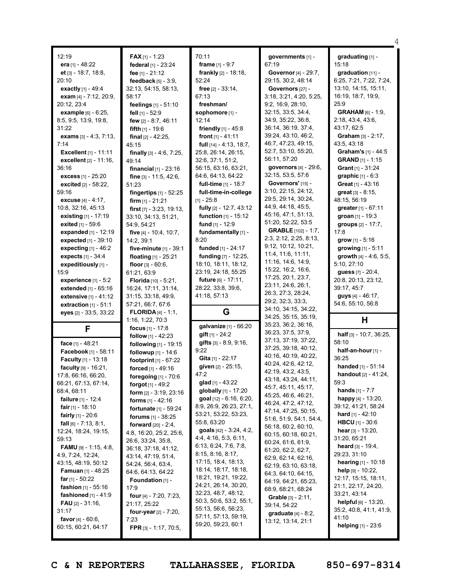|                                                                                                                                                                                                                                                                                                                                                                                                                                                                                                                                                                                                              |                                                                                                                                                                                                                                                                                                                                                                                                                                                                                                                                                                                                                                                   |                                                                                                                                                                                                                                                                                                                                                                                                                                                                                                                                                                                        |                                                                                                                                                                                                                                                                                                                                                                                                                                                                                                                                                                                                               | 4                                                                                                                                                                                                                                                                                                                                                                                                                                                                                                                                                                        |
|--------------------------------------------------------------------------------------------------------------------------------------------------------------------------------------------------------------------------------------------------------------------------------------------------------------------------------------------------------------------------------------------------------------------------------------------------------------------------------------------------------------------------------------------------------------------------------------------------------------|---------------------------------------------------------------------------------------------------------------------------------------------------------------------------------------------------------------------------------------------------------------------------------------------------------------------------------------------------------------------------------------------------------------------------------------------------------------------------------------------------------------------------------------------------------------------------------------------------------------------------------------------------|----------------------------------------------------------------------------------------------------------------------------------------------------------------------------------------------------------------------------------------------------------------------------------------------------------------------------------------------------------------------------------------------------------------------------------------------------------------------------------------------------------------------------------------------------------------------------------------|---------------------------------------------------------------------------------------------------------------------------------------------------------------------------------------------------------------------------------------------------------------------------------------------------------------------------------------------------------------------------------------------------------------------------------------------------------------------------------------------------------------------------------------------------------------------------------------------------------------|--------------------------------------------------------------------------------------------------------------------------------------------------------------------------------------------------------------------------------------------------------------------------------------------------------------------------------------------------------------------------------------------------------------------------------------------------------------------------------------------------------------------------------------------------------------------------|
| 12:19<br>era [1] - $48:22$<br>et [3] - 18:7, 18:8,<br>20:10<br>exactly [1] - 49:4<br>exam [4] - 7:12, 20:9,<br>20:12, 23:4<br>example [6] - 6:25,<br>8:5, 9:5, 13:9, 19:8,<br>31:22<br>exams $[3] - 4:3, 7:13,$<br>7:14<br><b>Excellent</b> $[1] - 11:11$<br><b>excellent</b> $[2] - 11:16$ ,<br>36:16<br>excess $[1] - 25:20$<br>excited [2] - 58:22,<br>59:16<br>excuse [4] - 4:17,<br>10:8, 32:16, 45:13<br><b>existing</b> $[1] - 17:19$                                                                                                                                                                 | <b>FAX</b> [1] - 1:23<br>federal [1] - 23:24<br>fee [1] - 21:12<br>feedback [5] - 3:9.<br>32:13, 54:15, 58:13,<br>58:17<br>feelings [1] - 51:10<br>fell [1] - 52:9<br>few [2] - 8:7, 46:11<br><b>fifth</b> $[1] - 19:6$<br>final $[2] - 42:25$ ,<br>45:15<br>finally $[3] - 4:6, 7:25,$<br>49:14<br>financial $[1]$ - 23:16<br>fine [3] - 11:5, 42:6,<br>51:23<br>fingertips [1] - 52:25<br>firm $[1] - 21:21$<br><b>first</b> $[7] - 3:23, 19:13,$<br>33:10, 34:13, 51:21,                                                                                                                                                                       | 70:11<br><b>frame</b> $[1] - 9:7$<br>frankly [2] - 18:18,<br>52:24<br>free $[2] - 33:14$ ,<br>67:13<br>freshman/<br>sophomore [1] -<br>12:14<br>friendly $[1] - 45.8$<br>front $[1] - 41:11$<br>full $[14] - 4:13, 18:7,$<br>25:8, 26:14, 26:15,<br>32:6, 37:1, 51:2,<br>56:15, 63:16, 63:21,<br>64:6, 64:13, 64:22<br>full-time [1] - 18:7<br>full-time-in-college<br>$[1] - 25:8$<br>fully [2] - 12:7, 43:12<br>function [1] - 15:12                                                                                                                                                 | governments [1] -<br>67:19<br>Governor [4] - 29:7,<br>29:15, 30:2, 48:14<br>Governors [27] -<br>3:18, 3:21, 4:20, 5:25,<br>9:2, 16:9, 28:10,<br>32:15, 33:5, 34:4,<br>34:9, 35:22, 36:8,<br>36:14, 36:19, 37:4,<br>39:24, 43:10, 46:2,<br>46:7, 47:23, 49:15,<br>52:7, 53:10, 55:20,<br>56:11, 57:20<br>governors [4] - 29:6,<br>32:15, 53:5, 57:6<br>Governors' [15] -<br>3:10, 22:15, 24:12,<br>29:5, 29:14, 30:24,<br>44:9, 44:18, 45:5,<br>45:16, 47:1, 51:13,                                                                                                                                            | graduating [1] -<br>15:18<br>graduation $[11]$ -<br>6:25, 7:21, 7:22, 7:24,<br>13:10, 14:15, 15:11,<br>16:19, 18:7, 19:9,<br>25:9<br><b>GRAHAM</b> $[6] - 1:9$ ,<br>2:18, 43:4, 43:6,<br>43:17, 62:5<br><b>Graham</b> $[3] - 2:17$ ,<br>43:5, 43:18<br>Graham's [1] - 44:5<br><b>GRAND</b> $[1] - 1:15$<br><b>Grant</b> $[1] - 31:24$<br><b>graphic</b> $[1] - 6:3$<br>Great $[1] - 43:16$<br>great [3] - 8:15,<br>48:15, 56:19<br>greater [1] - 67:11<br>groan $[1] - 19:3$                                                                                             |
| exited [1] - 59:6<br>expanded [1] - 12:19<br>expected [1] - 39:10<br>expecting $[1]$ - 46:2<br><b>expects</b> $[1] - 34:4$<br>expeditiously [1] -<br>15:9<br>experience $[1] - 5:2$<br>extended [1] - 65:16<br><b>extensive</b> $[1] - 41:12$<br>extraction $[1] - 51:1$                                                                                                                                                                                                                                                                                                                                     | 54:9, 54:21<br>five [4] - 10:4, 10:7,<br>14:2, 39:1<br>five-minute $[1]$ - 39:1<br>floating $[1]$ - 25:21<br>floor $[3] - 60:6$ ,<br>61:21, 63:9<br><b>Florida</b> $[10] - 5:21$ ,<br>16:24, 17:11, 31:14,<br>31:15, 33:18, 49:9,<br>57:21, 66:7, 67:6                                                                                                                                                                                                                                                                                                                                                                                            | fund $[1]$ - 12:9<br>fundamentally [1] -<br>8:20<br>funded [1] - 24:17<br>funding [7] - 12:25,<br>18:10, 18:11, 18:12,<br>23:19, 24:18, 55:25<br><b>future</b> $[6] - 17:11$ ,<br>28:22, 33:8, 39:6,<br>41:18, 57:13                                                                                                                                                                                                                                                                                                                                                                   | 51:20, 52:22, 53:5<br><b>GRABLE</b> [102] - 1:7,<br>2:3, 2:12, 2:25, 8:13,<br>9:12, 10:12, 10:21,<br>11:4, 11:6, 11:11,<br>11:16, 14:6, 14:9,<br>15:22, 16:2, 16:6,<br>17:25, 20:1, 23:7,<br>23:11, 24:6, 26:1,<br>26:3, 27:3, 28:24,<br>29:2, 32:3, 33:3,<br>34:10, 34:15, 34:22,                                                                                                                                                                                                                                                                                                                            | groups [2] - 17:7,<br>17:8<br>grow [1] - 5:16<br>growing [1] - 5:11<br>growth [4] - 4:6, 5:5,<br>5:10, 27:10<br>guess [7] - 20:4,<br>20:8, 20:13, 23:12,<br>39:17, 45:7<br>guys [4] - 46:17,<br>54:6, 55:10, 56:8                                                                                                                                                                                                                                                                                                                                                        |
| eyes [2] - 33:5, 33:22                                                                                                                                                                                                                                                                                                                                                                                                                                                                                                                                                                                       | <b>FLORIDA</b> [4] - 1:1,<br>1:16, 1:22, 70:3                                                                                                                                                                                                                                                                                                                                                                                                                                                                                                                                                                                                     | G<br>galvanize [1] - 66:20                                                                                                                                                                                                                                                                                                                                                                                                                                                                                                                                                             | 34:25, 35:15, 35:19,<br>35:23, 36:2, 36:16,                                                                                                                                                                                                                                                                                                                                                                                                                                                                                                                                                                   | Н                                                                                                                                                                                                                                                                                                                                                                                                                                                                                                                                                                        |
| F<br>face [1] - 48:21<br>Facebook [1] - 58:11<br>Faculty [1] - 13:18<br>faculty [9] - 16:21,<br>17:8, 66:16, 66:20,<br>66:21, 67:13, 67:14,<br>68:4, 68:11<br><b>failure</b> $[1] - 12:4$<br><b>fair</b> [1] - 18:10<br><b>fairly</b> $[1] - 20:6$<br>fall $[6] - 7:13, 8:1,$<br>12:24, 18:24, 19:15,<br>59:13<br><b>FAMU</b> [9] - 1:15, 4:8,<br>4:9, 7:24, 12:24,<br>43:15, 48:19, 50:12<br><b>Famuan</b> [1] - 48:25<br><b>far</b> [1] - 50:22<br><b>fashion</b> $[1] - 55:16$<br><b>fashioned</b> $[1] - 41:9$<br><b>FAU</b> $[2] - 31:16$ ,<br>31:17<br><b>favor</b> [4] - 60:6,<br>60:15, 60:21, 64:17 | focus $[1] - 17:8$<br><b>follow</b> $[1] - 42:23$<br>following [1] - 19:15<br>followup [1] - 14:6<br>footprint [1] - 67:22<br>forced [1] - 49:16<br>foregoing $[1]$ - 70:6<br>forgot $[1] - 49:2$<br>form [2] - 3:19, 23:16<br><b>forms</b> $[1] - 42:16$<br><b>fortunate</b> [1] - 59:24<br><b>forums</b> $[1] - 38:25$<br><b>forward</b> $[20] - 2:4$ ,<br>4:8, 16:20, 25:2, 25:6,<br>26:6, 33:24, 35:8,<br>36:18, 37:18, 41:12,<br>43:14, 47:19, 51:4,<br>54:24, 56:4, 63:4,<br>64:6, 64:13, 64:22<br>Foundation [1] -<br>17:9<br><b>four</b> [4] - 7:20, 7:23,<br>21:17, 25:22<br>four-year $[2] - 7:20$ ,<br>7:23<br>FPR $[3] - 1:17, 70:5,$ | $q$ ift $[1] - 24:2$<br>gifts [3] - 8:9, 9:16,<br>9:22<br>Gita [1] - 22:17<br>given [2] - 25:15,<br>47:2<br>glad $[1]$ - 43:22<br>globally [1] - 17:20<br><b>goal</b> $[12] - 6:16, 6:20,$<br>8:9, 26:9, 26:23, 27:1,<br>53:21, 53:22, 53:23,<br>55:8, 63:20<br>goals $[42] - 3:24, 4:2,$<br>4:4, 4:16, 5:3, 6:11,<br>6:13, 6:24, 7:6, 7:8,<br>8:15, 8:16, 8:17,<br>17:15, 18:4, 18:13,<br>18:14, 18:17, 18:18,<br>18:21, 19:21, 19:22,<br>24:21, 26:14, 30:20,<br>32:23, 48:7, 48:12,<br>50:3, 50:6, 53:2, 55:1,<br>55:13, 56:6, 56:23,<br>57:11, 57:13, 59:19,<br>59:20, 59:23, 60:1 | 36:23, 37:5, 37:9,<br>37:13, 37:19, 37:22,<br>37:25, 39:18, 40:12,<br>40:16, 40:19, 40:22,<br>40:24, 42:6, 42:12,<br>42:19, 43:2, 43:5,<br>43:18, 43:24, 44:11,<br>45:7, 45:11, 45:17,<br>45:25, 46:6, 46:21,<br>46:24, 47:2, 47:12,<br>47:14, 47:25, 50:15,<br>51:6, 51:9, 54:1, 54:4,<br>56:18, 60:2, 60:10,<br>60:15, 60:18, 60:21,<br>60:24, 61:6, 61:9,<br>61:20, 62:2, 62:7,<br>62:9, 62:14, 62:16,<br>62:19, 63:10, 63:18,<br>64:3, 64:10, 64:15,<br>64:19, 64:21, 65:23,<br>68:9, 68:21, 68:24<br><b>Grable</b> $[3] - 2:11$ ,<br>39:14, 54:22<br><b>graduate</b> $[4] - 8:2$ ,<br>13:12, 13:14, 21:1 | half [3] - 10:7, 36:25,<br>58:10<br>half-an-hour [1] -<br>36:25<br>handed [1] - 51:14<br><b>handout</b> $[2] - 41:24$ ,<br>59:3<br><b>hands</b> $[1] - 7:7$<br><b>happy</b> [4] - 13:20,<br>39:12, 41:21, 58:24<br><b>hard</b> $[1] - 42:10$<br><b>HBCU</b> $[1]$ - 30:6<br><b>hear</b> [3] - 13:20,<br>31:20, 65:21<br><b>heard</b> $[3] - 19:4$ ,<br>29:23, 31:10<br>hearing $[1] - 10:18$<br>help $[9] - 10:22$ ,<br>12:17, 15:15, 18:11,<br>21:1, 22:17, 24:20,<br>33:21, 43:14<br>helpful $[6] - 13:20$ ,<br>35:2, 40:8, 41:1, 41:9,<br>41:10<br>helping [1] - 23:6 |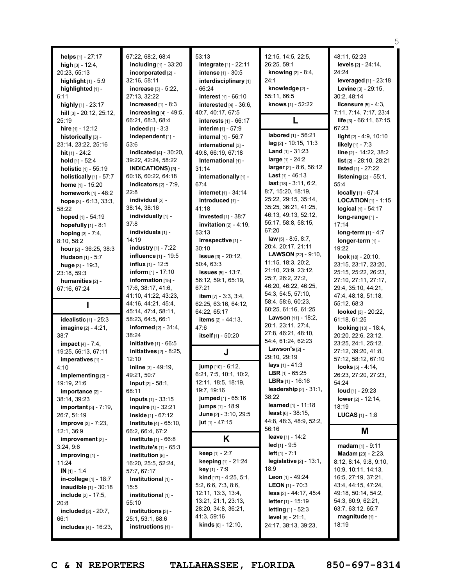| helps $[1] - 27:17$<br>high $[3] - 12:4$ ,<br>20:23, 55:13<br><b>highlight</b> $[1] - 5:9$<br>highlighted [1] -<br>6:11<br>highly $[1]$ - 23:17<br>hill [3] - 20:12, 25:12,<br>25:19<br>hire [1] - 12:12<br>historically [3] -<br>23:14, 23:22, 25:16<br>hit $[1] - 24:2$<br>hold [1] - 52:4 | 67:22, 68:2, 68:4<br>including $[1]$ - 33:20<br>incorporated [2] -<br>32:16, 58:11<br>increase [3] - 5:22,<br>27:13, 32:22<br>increased $[1] - 8:3$<br>increasing $[4] - 49:5$ ,<br>66:21, 68:3, 68:4<br><b>indeed</b> $[1] - 3:3$<br>independent [1] -<br>53:6<br><b>indicated</b> $[4] - 30:20$ ,<br>39:22, 42:24, 58:22 | 53:13<br>integrate [1] - 22:11<br><b>intense</b> [1] - 30:5<br>interdisciplinary [1]<br>- 66:24<br>interest [1] - 66:10<br>interested $[4] - 36:6$ ,<br>40:7, 40:17, 67:5<br>interests $[1]$ - 66:17<br>internal $[1] - 56:7$<br>international [3] -<br>49:8, 66:19, 67:18<br>International [1] - | 12:15, 14:5, 22:5,<br>26:25, 59:1<br><b>knowing</b> $[2] - 8:4$ ,<br>24:1<br>knowledge [2] -<br>55:11, 66:5<br><b>knows</b> [1] - 52:22<br>labored [1] - 56:21<br>$\log$ [2] - 10:15, 11:3<br><b>Land</b> $[1]$ - 31:23<br>large [1] - 24:2                                          | 48:11, 52:23<br>levels [2] - 24:14,<br>24:24<br>leveraged $[1]$ - 23:18<br>Levine [3] - 29:15,<br>30:2, 48:14<br>licensure $[5]$ - 4:3,<br>7:11, 7:14, 7:17, 23:4<br>life [3] - 66:11, 67:15,<br>67:23<br>light [2] - 4:9, 10:10<br>likely [1] - 7:3<br>line [2] - 14:22, 38:2<br>list $[2] - 28:10, 28:21$ |
|----------------------------------------------------------------------------------------------------------------------------------------------------------------------------------------------------------------------------------------------------------------------------------------------|----------------------------------------------------------------------------------------------------------------------------------------------------------------------------------------------------------------------------------------------------------------------------------------------------------------------------|---------------------------------------------------------------------------------------------------------------------------------------------------------------------------------------------------------------------------------------------------------------------------------------------------|--------------------------------------------------------------------------------------------------------------------------------------------------------------------------------------------------------------------------------------------------------------------------------------|-------------------------------------------------------------------------------------------------------------------------------------------------------------------------------------------------------------------------------------------------------------------------------------------------------------|
| <b>holistic</b> $[1] - 55:19$<br>holistically $[1]$ - 57:7<br><b>home</b> $[1]$ - 15:20<br>homework [1] - 48:2<br>hope $[3] - 6:13, 33:3,$<br>58:22<br>hoped [1] - 54:19<br>hopefully $[1]$ - 8:1<br>hoping [3] - 7:4,<br>8:10, 58:2                                                         | <b>INDICATIONS)</b> $[3]$ -<br>60:16, 60:22, 64:18<br>indicators $[2] - 7:9$ ,<br>22:8<br>individual [2] -<br>38:14, 38:16<br>individually [1] -<br>37:8<br>individuals [1] -<br>14:19                                                                                                                                     | 31:14<br>internationally [1] -<br>67:4<br>internet [1] - 34:14<br>introduced [1] -<br>41:18<br>invested [1] - 38:7<br>invitation $[2] - 4:19$ ,<br>53:13<br>irrespective [1] -                                                                                                                    | larger $[2] - 8:6, 56:12$<br><b>Last</b> $[1] - 46:13$<br>$last$ [18] - 3:11, 6:2,<br>8:7, 15:20, 18:19,<br>25:22, 29:15, 35:14,<br>35:25, 36:21, 41:25,<br>46:13, 49:13, 52:12,<br>55:17, 58:8, 58:15,<br>67:20<br>law $[5] - 8:5, 8:7$ ,                                           | listed $[1] - 27:22$<br>listening [2] - 55:1,<br>55:4<br>locally [1] - 67:4<br><b>LOCATION</b> $[1]$ - 1:15<br>$logical$ [1] - 54:17<br>long-range [1] -<br>17:14<br>long-term $[1] - 4:7$<br>longer-term [1] -                                                                                             |
| hour [2] - 36:25, 38:3<br><b>Hudson</b> [1] - 5:7<br>huge $[3] - 19:3$ ,<br>23:18, 59:3<br>humanities $[2]$ -<br>67:16, 67:24                                                                                                                                                                | <b>industry</b> $[1]$ - 7:22<br><b>influence</b> [1] - 19:5<br><b>influx</b> $[1]$ - 12:5<br><b>inform</b> $[1] - 17:10$<br><b>information</b> $[15]$ -<br>17:6, 38:17, 41:6,<br>41:10, 41:22, 43:23,<br>44:16, 44:21, 45:4,<br>45:14, 47:4, 58:11,                                                                        | 30:10<br>issue [3] - 20:12,<br>50:4, 63:3<br><b>issues</b> $[5] - 13:7$ ,<br>56:12, 59:1, 65:19,<br>67:21<br>item $[7] - 3:3, 3:4,$<br>62:25, 63:16, 64:12,<br>64:22, 65:17                                                                                                                       | 20:4, 20:17, 21:11<br><b>LAWSON</b> [22] - 9:10,<br>11:15, 18:3, 20:2,<br>21:10, 23:9, 23:12,<br>25:7, 26:2, 27:2,<br>46:20, 46:22, 46:25,<br>54:3, 54:5, 57:10,<br>58:4, 58:6, 60:23,<br>60:25, 61:16, 61:25<br><b>Lawson</b> $[11] - 18:2$ ,                                       | 19:22<br><b>look</b> [18] - $20:10$ ,<br>23:15, 23:17, 23:20,<br>25:15, 25:22, 26:23,<br>27:10, 27:11, 27:17,<br>29:4, 35:10, 44:21,<br>47:4, 48:18, 51:18,<br>55:12, 68:3<br>looked [3] - 20:22,                                                                                                           |
| idealistic $[1]$ - 25:3<br>imagine [2] - 4:21,<br>38:7<br><b>impact</b> $[4] - 7:4$ ,<br>19:25, 56:13, 67:11<br>imperatives [1] -<br>4:10                                                                                                                                                    | 58:23, 64:5, 66:1<br><b>informed</b> $[2] - 31:4,$<br>38:24<br>initiative [1] - 66:5<br>initiatives $[2] - 8:25$ ,<br>12:10<br>inline [3] - 49:19,                                                                                                                                                                         | <b>items</b> $[2] - 44:13$ ,<br>47:6<br>itself [1] - 50:20<br>J<br>jump [10] - 6:12,                                                                                                                                                                                                              | 20:1, 23:11, 27:4,<br>27:8, 46:21, 48:10,<br>54:4, 61:24, 62:23<br>Lawson's [2] -<br>29:10, 29:19<br>lays $[1] - 41:3$                                                                                                                                                               | 61:18, 61:25<br><b>looking</b> $[13] - 18:4$ ,<br>20:20, 22:6, 23:12,<br>23:25, 24:1, 25:12,<br>27:12, 39:20, 41:8,<br>57:12, 58:12, 67:10<br>looks [5] - 4:14,                                                                                                                                             |
| implementing [2] -<br>19:19, 21:6<br>importance [2] -<br>38:14, 39:23<br>important $[3] - 7:19$ ,<br>26:7, 51:19<br><b>improve</b> $[3] - 7:23$ ,                                                                                                                                            | 49:21, 50:7<br><b>input</b> $[2] - 58:1$ ,<br>68:11<br><b>inputs</b> $[1] - 33:15$<br><b>inquire</b> $[1] - 32:21$<br>inside $[1] - 67:12$<br><b>Institute</b> $[4] - 65:10$ ,                                                                                                                                             | 6:21, 7:5, 10:1, 10:2,<br>12:11, 18:5, 18:19,<br>19:7, 19:16<br>jumped [1] - 65:16<br><b>jumps</b> $[1] - 18.9$<br>June [2] - 3:10, 29:5<br>jut $[1] - 47:15$                                                                                                                                     | <b>LBR</b> [1] - 65:25<br><b>LBRs</b> [1] - 16:16<br>leadership $[2] - 31:1$ ,<br>38:22<br><b>learned</b> [1] - 11:18<br><b>least</b> $[6] - 38:15$ ,<br>44:8, 48:3, 48:9, 52:2,                                                                                                     | 26:23, 27:20, 27:23,<br>54:24<br><b>loud</b> [1] - 29:23<br>lower [2] - 12:14,<br>18:19<br><b>LUCAS</b> $[1] - 1:8$                                                                                                                                                                                         |
| 12:1, 36:9<br>improvement [2] -                                                                                                                                                                                                                                                              | 66:2, 66:4, 67:2<br>institute $[1] - 66:8$                                                                                                                                                                                                                                                                                 | Κ                                                                                                                                                                                                                                                                                                 | 56:16<br>leave [1] - 14:2                                                                                                                                                                                                                                                            | M                                                                                                                                                                                                                                                                                                           |
| 3:24,9:6<br>improving [1] -<br>11:24<br>$IN$ [1] - 1:4<br>in-college [1] - 18:7<br>inaudible [1] - 30:18<br><b>include</b> $[2] - 17:5$ ,<br>20:8<br><b>included</b> $[2] - 20:7$ ,<br>66:1<br>includes [4] - 16:23,                                                                         | Institute's [1] - 65:3<br>institution [5] -<br>16:20, 25:5, 52:24,<br>57:7, 67:17<br>Institutional [1] -<br>15:5<br>institutional $[1]$ -<br>55:10<br>institutions $[3]$ -<br>25:1, 53:1, 68:6<br>instructions $[1]$ -                                                                                                     | <b>keep</b> $[1] - 2:7$<br>keeping [1] - 21:24<br>key [1] - 7:9<br><b>kind</b> $[17] - 4:25, 5:1,$<br>5:2, 6:6, 7:3, 8:6,<br>12:11, 13:3, 13:4,<br>13:21, 21:1, 23:13,<br>28:20, 34:8, 36:21,<br>41:3, 59:16<br><b>kinds</b> $[6] - 12:10$ ,                                                      | $led$ [1] - 9:5<br><b>left</b> $[1] - 7:1$<br>$legislative[2] - 13:1,$<br>18:9<br><b>Leon</b> [1] - 49:24<br><b>LEON</b> [1] - 70:3<br>$less$ [2] - 44:17, 45:4<br><b>letter</b> $[1] - 15:19$<br><b>letting</b> $[1] - 52:3$<br><b>level</b> $[6] - 21:1$ ,<br>24:17, 38:13, 39:23, | $madam [1] - 9:11$<br>Madam [23] - 2:23,<br>8:12, 8:14, 9:8, 9:10,<br>10:9, 10:11, 14:13,<br>16:5, 27:19, 37:21,<br>43:4, 44:15, 47:24,<br>49:18, 50:14, 54:2,<br>54:3, 60:9, 62:21,<br>63:7, 63:12, 65:7<br>magnitude [1] -<br>18:19                                                                       |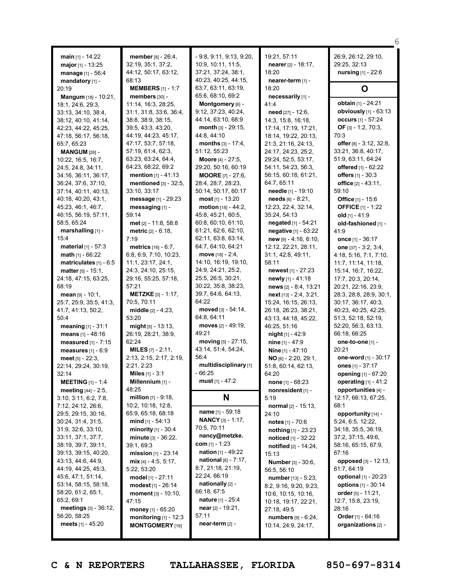| main $[1]$ - 14:22<br>major $[1]$ - 13:25<br>manage [1] - 56:4<br>mandatory [1] -                                                                                                                                                                                                                                                                                                                                                                               | <b>member</b> [8] - 26:4,<br>32:19, 35:1, 37:2,<br>44:12, 50:17, 63:12,<br>68:13                                                                                                                                                                                                                                                                                                                                                              | $-9.8, 9.11, 9.13, 9.20,$<br>10:9, 10:11, 11:5,<br>37:21, 37:24, 38:1,<br>40:23, 40:25, 44:15,                                                                                                                                                                                                                                                                                                  | 19:21, 57:11<br>nearer $[2] - 18:17$ ,<br>18:20<br>nearer-term [1] -                                                                                                                                                                                                                                                                                                                                                                                                   | 26:9, 26:12, 29:10,<br>29:25, 32:13<br><b>nursing</b> $[1] - 22:6$                                                                                                                                                                                                                                                                                                                                                                                         |
|-----------------------------------------------------------------------------------------------------------------------------------------------------------------------------------------------------------------------------------------------------------------------------------------------------------------------------------------------------------------------------------------------------------------------------------------------------------------|-----------------------------------------------------------------------------------------------------------------------------------------------------------------------------------------------------------------------------------------------------------------------------------------------------------------------------------------------------------------------------------------------------------------------------------------------|-------------------------------------------------------------------------------------------------------------------------------------------------------------------------------------------------------------------------------------------------------------------------------------------------------------------------------------------------------------------------------------------------|------------------------------------------------------------------------------------------------------------------------------------------------------------------------------------------------------------------------------------------------------------------------------------------------------------------------------------------------------------------------------------------------------------------------------------------------------------------------|------------------------------------------------------------------------------------------------------------------------------------------------------------------------------------------------------------------------------------------------------------------------------------------------------------------------------------------------------------------------------------------------------------------------------------------------------------|
| 20:19                                                                                                                                                                                                                                                                                                                                                                                                                                                           | <b>MEMBERS</b> $[1] - 1:7$                                                                                                                                                                                                                                                                                                                                                                                                                    | 63:7, 63:11, 63:19,                                                                                                                                                                                                                                                                                                                                                                             | 18:20                                                                                                                                                                                                                                                                                                                                                                                                                                                                  | O                                                                                                                                                                                                                                                                                                                                                                                                                                                          |
| <b>Mangum</b> $[18] - 10:21$ ,<br>18:1, 24:6, 29:3,<br>33:13, 34:10, 38:4,<br>38:12, 40:10, 41:14,<br>42:23, 44:22, 45:25,<br>47:18, 56:17, 56:18,<br>65:7, 65:23<br><b>MANGUM</b> $[26]$ -<br>10:22, 16:5, 16:7,<br>24:5, 24:8, 34:11,<br>34:16, 36:11, 36:17,<br>36:24, 37:6, 37:10,<br>37:14, 40:11, 40:13,                                                                                                                                                  | members [30] -<br>11:14, 16:3, 28:25,<br>31:1, 31:8, 33:6, 36:4,<br>38:8, 38:9, 38:15,<br>39:5, 43:3, 43:20,<br>44:19, 44:23, 45:17,<br>47:17, 53:7, 57:18,<br>57:19, 61:4, 62:3,<br>63:23, 63:24, 64:4,<br>64:23, 68:22, 69:2<br><b>mention</b> $[1] - 41:13$<br>mentioned [3] - 32:5,<br>33:10, 33:17                                                                                                                                       | 65:6, 68:10, 69:2<br>Montgomery [6] -<br>9:12, 37:23, 40:24,<br>44:14, 63:10, 68:9<br><b>month</b> $[3] - 29:15$ ,<br>44:8, 44:10<br><b>months</b> $[3] - 17:4$ ,<br>51:12, 55:23<br><b>Moore</b> [4] - $27:5$ ,<br>29:20, 50:16, 60:19<br><b>MOORE</b> $[7] - 27:6$ ,<br>28:4, 28:7, 28:23,<br>50:14, 50:17, 60:17                                                                             | necessarily [1] -<br>41:4<br><b>need</b> $[27] - 12:6$ ,<br>14:3, 15:8, 16:18,<br>17:14, 17:19, 17:21,<br>18:14, 19:22, 20:13,<br>21:3, 21:16, 24:13,<br>24:17, 24:23, 25:2,<br>29:24, 52:5, 53:17,<br>54:11, 54:23, 56:3,<br>56:15, 60:18, 61:21,<br>64:7, 65:11<br>needle [1] - 19:10<br>$\text{needs}$ [6] - 8:21,                                                                                                                                                  | obtain [1] - 24:21<br>obviously $[1] - 63:13$<br>occurs [1] - 57:24<br>OF [3] - 1:2, 70:3,<br>70:3<br>offer $[8] - 3:12$ , 32:8,<br>33:21, 36:8, 40:17,<br>51:9, 63:11, 64:24<br>offered $[1] - 62:22$<br>offers $[1] - 30:3$<br>office $[2] - 43:11$ ,<br>59:10                                                                                                                                                                                           |
| 40:18, 40:20, 43:1,<br>45:23, 46:1, 46:7,<br>46:15, 56:19, 57:11,                                                                                                                                                                                                                                                                                                                                                                                               | message [1] - 29:23<br>messaging [1] -<br>59:14                                                                                                                                                                                                                                                                                                                                                                                               | most $[1] - 13:20$<br><b>motion</b> $[18] - 44:2$ ,<br>45:8, 45:21, 60:5,                                                                                                                                                                                                                                                                                                                       | 12:23, 22:4, 32:14,<br>35:24, 54:13                                                                                                                                                                                                                                                                                                                                                                                                                                    | <b>Office</b> [1] - 15:6<br><b>OFFICE</b> [1] - 1:22<br>old $[1] - 41:9$                                                                                                                                                                                                                                                                                                                                                                                   |
| 58:5, 65:24<br>marshalling [1] -                                                                                                                                                                                                                                                                                                                                                                                                                                | $met$ [2] - 11:8, 58:8<br><b>metric</b> $[2] - 6:18$ ,                                                                                                                                                                                                                                                                                                                                                                                        | 60:8, 60:10, 61:10,<br>61:21, 62:6, 62:10,                                                                                                                                                                                                                                                                                                                                                      | negated [1] - 54:21<br>negative [1] - 63:22                                                                                                                                                                                                                                                                                                                                                                                                                            | old-fashioned [1] -<br>41:9                                                                                                                                                                                                                                                                                                                                                                                                                                |
| 15:4<br><b>material</b> $[1] - 57:3$<br>math [1] - 66:22<br>matriculates $[1] - 6.5$<br><b>matter</b> $[5] - 15:1$ ,<br>24:18, 47:15, 63:25,<br>68:19<br>mean $[9] - 10:1$ ,<br>25:7, 25:9, 35:5, 41:3,<br>41:7, 41:13, 50:2,<br>50:4<br><b>meaning</b> $[1] - 31:1$<br>means [1] - 48:16<br>measured $[1]$ - $7:15$<br>measures [1] - 6:9<br>meet $[5] - 22:3$ ,<br>22:14, 29:24, 30:19,<br>32:14<br><b>MEETING</b> [1] - 1:4<br><b>meeting</b> $[44] - 2:5$ , | 7:19<br><b>metrics</b> $[16] - 6:7$ .<br>6:8, 6:9, 7:10, 10:23,<br>11:1, 23:17, 24:1,<br>24:3, 24:10, 25:15,<br>29:16, 55:25, 57:18,<br>57:21<br><b>METZKE</b> $[3] - 1:17$ ,<br>70:5, 70:11<br><b>middle</b> $[2] - 4:23$ ,<br>53:20<br><b>might</b> $[5] - 13:13$<br>26:19, 28:21, 38:9,<br>62:24<br><b>MILES</b> $[7] - 2:11$ ,<br>2:13, 2:15, 2:17, 2:19,<br>2:21, 2:23<br><b>Miles</b> $[1] - 3:1$<br><b>Millennium</b> $[1]$ -<br>48:25 | 62:11, 63:8, 63:14,<br>64:7, 64:10, 64:21<br>move $[18] - 2:4$ ,<br>14:10, 16:19, 19:10,<br>24:9, 24:21, 25:2,<br>25:5, 26:5, 30:21,<br>30:22, 35:8, 38:23,<br>39:7, 64:6, 64:13,<br>64:22<br>moved $[3] - 54:14$ ,<br>64:8, 64:11<br><b>moves</b> [2] - 49:19,<br>49:21<br>moving $[5] - 27:15$ ,<br>43:14, 51:4, 54:24,<br>56:4<br>multidisciplinary [1]<br>- 66:25<br><b>must</b> [1] - 47:2 | $new$ [9] - 4:16, 6:10,<br>12:12, 22:21, 28:11,<br>31:1, 42:8, 49:11,<br>58:11<br><b>newest</b> $[1] - 27:23$<br>newly [1] - 41:18<br>news [2] - 8:4, 13:21<br>$next$ [13] - 2:4, 3:21,<br>15:24, 16:15, 26:13,<br>26:18, 26:23, 38:21,<br>43:13, 44:18, 45:22,<br>46:25, 51:16<br><b>night</b> $[1]$ - 42:9<br><b>nine</b> $[1] - 47:9$<br><b>Nine</b> $[1] - 47:10$<br>NO [6] - 2:20, 29:1,<br>51:8, 60:14, 62:13,<br>64:20<br>none [1] - 68:23<br>nonresident [1] - | once $[1] - 36:17$<br>one $[37] - 3:2, 3:4,$<br>4:18, 5:16, 7:1, 7:10,<br>11:7, 11:14, 11:18,<br>15:14, 16:7, 16:22,<br>17:7, 20:3, 20:14,<br>20:21, 22:16, 23:9,<br>28:3, 28:8, 28:9, 30:1,<br>30:17, 36:17, 40:3,<br>40:23, 40:25, 42:25,<br>51:3, 52:18, 52:19,<br>52:20, 56:3, 63:13,<br>66:18, 66:25<br>one-to-one [1] -<br>20:21<br>one-word [1] - 30:17<br>ones [1] - 37:17<br>opening [1] - 67:20<br>operating $[1] - 41:2$<br>opportunities [4] - |
| 3:10, 3:11, 6:2, 7:8,<br>7:12, 24:12, 26:6,                                                                                                                                                                                                                                                                                                                                                                                                                     | <b>million</b> $[7] - 9:18$ ,<br>10:2, 10:18, 12:8,                                                                                                                                                                                                                                                                                                                                                                                           | N                                                                                                                                                                                                                                                                                                                                                                                               | 5:19<br>normal $[2] - 15:13$ ,                                                                                                                                                                                                                                                                                                                                                                                                                                         | 12:17, 66:13, 67:25,<br>68:1                                                                                                                                                                                                                                                                                                                                                                                                                               |
| 29:5, 29:15, 30:16,<br>30:24, 31:4, 31:5,<br>31:9, 32:6, 33:10,<br>33:11, 37:1, 37:7,<br>38:19, 39:7, 39:11,<br>39:13, 39:15, 40:20,<br>43:13, 44:6, 44:9,<br>44:19, 44:25, 45:3,<br>45:6, 47:1, 51:14,<br>53:14, 58:15, 58:18,<br>58:20, 61:2, 65:1,<br>65:2, 69:1<br>meetings [3] - 36:12,<br>56:20, 58:25<br>meets $[1] - 45:20$                                                                                                                             | 65:9, 65:18, 68:18<br>mind $[1] - 54:13$<br><b>minority</b> $[1] - 30:4$<br>minute [3] - 36:22,<br>39:1, 69:3<br>mission [1] - 23:14<br>$mix$ [4] - 4:5, 5:17,<br>5:22, 53:20<br>model [1] - 27:11<br>modest $[1] - 26:14$<br>moment $[3] - 10:10$ ,<br>47:15<br>money [1] - 65:20<br>monitoring $[1]$ - 12:3<br><b>MONTGOMERY</b> [19]                                                                                                       | name [1] - 59:18<br><b>NANCY</b> [3] - 1:17,<br>70:5, 70:11<br>nancy@metzke.<br>com $[1] - 1:23$<br><b>nation</b> [1] - 49:22<br><b>national</b> $[6] - 7:17$ ,<br>8:7, 21:18, 21:19,<br>22:24, 66:19<br>nationally [2] -<br>66:18, 67:5<br><b>nature</b> [1] - 25:4<br>near $[2] - 19:21$ ,<br>57:11<br>near-term [2] -                                                                        | 24:10<br><b>notes</b> $[1] - 70:6$<br>nothing [1] - 23:23<br>noticed [1] - 32:22<br>notified [2] - 14:24,<br>15:13<br><b>Number</b> [3] - 30:6,<br>56:5, 56:10<br><b>number</b> $[13] - 5:23$ ,<br>8:2, 9:16, 9:20, 9:23,<br>10:6, 10:15, 10:16,<br>10:18, 19:17, 22:21,<br>27:18, 49:5<br>numbers $[9] - 6:24$ ,<br>10:14, 24:9, 24:17,                                                                                                                               | opportunity [14] -<br>5:24, 6:5, 12:22,<br>34:18, 35:5, 36:19,<br>37:2, 37:15, 49:6,<br>58:16, 65:15, 67:9,<br>67:16<br>opposed $[3] - 12:13$ ,<br>61:7, 64:19<br>optional [1] - 20:23<br>options [1] - 30:14<br>order $[5] - 11:21$ ,<br>12:7, 15:8, 23:19,<br>28:16<br>Order $[1] - 64:16$<br>organizations [2] -                                                                                                                                        |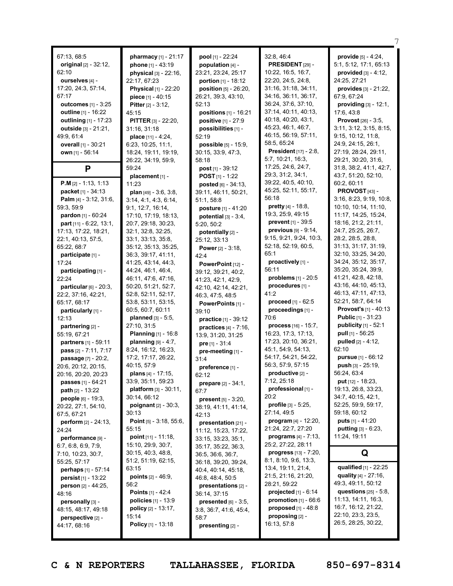| 67:13, 68:5<br>original [2] - 32:12,<br>62:10<br>ourselves [4] -<br>17:20, 24:3, 57:14,<br>67:17<br><b>outcomes</b> [1] - 3:25<br><b>outline</b> $[1] - 16:22$<br>outlining $[1]$ - 17:23<br><b>outside</b> $[3] - 21:21$ ,<br>49:9, 61:4<br>overall [1] - 30:21<br>own [1] - 56:14<br>P | pharmacy [1] - 21:17<br><b>phone</b> $[1] - 43:19$<br>physical [3] - 22:16,<br>22:17, 67:23<br>Physical [1] - 22:20<br>piece [1] - 40:15<br><b>Pitter</b> $[2] - 3:12$ ,<br>45:15<br><b>PITTER [3] - 22:20,</b><br>31:16. 31:18<br>place [11] - 4:24,<br>6:23, 10:25, 11:1,<br>18:24, 19:11, 19:19,<br>26:22, 34:19, 59:9,<br>59:24 | pool [1] - 22:24<br>population $[4]$ -<br>23:21, 23:24, 25:17<br>portion $[1] - 18:12$<br><b>position</b> $[5] - 26:20$ ,<br>26:21, 39:3, 43:10,<br>52:13<br><b>positions</b> $[1] - 16:21$<br>positive [1] - 27:9<br>possibilities [1] -<br>52:19<br>possible [5] - 15:9.<br>30:15, 33:9, 47:3,<br>58:18<br><b>post</b> $[1] - 39:12$ | 32:8, 46:4<br>PRESIDENT [29] -<br>10:22, 16:5, 16:7,<br>22:20, 24:5, 24:8,<br>31:16, 31:18, 34:11,<br>34:16, 36:11, 36:17,<br>36:24, 37:6, 37:10,<br>37:14, 40:11, 40:13,<br>40:18, 40:20, 43:1,<br>45:23, 46:1, 46:7,<br>46:15, 56:19, 57:11,<br>58:5, 65:24<br><b>President</b> [17] - 2:8,<br>5:7, 10:21, 16:3,<br>17:25, 24:6, 24:7, | provide [5] - 4:24,<br>5:1, 5:12, 17:1, 65:13<br>provided $[3] - 4:12$ ,<br>24:25, 27:21<br>provides $[3] - 21:22$ ,<br>67:9, 67:24<br>providing $[3] - 12:1$ ,<br>17:6, 43:8<br>Provost [26] - 3:5,<br>3:11, 3:12, 3:15, 8:15,<br>9:15, 10:12, 11:8,<br>24:9, 24:15, 26:1,<br>27:19, 28:24, 29:11,<br>29:21, 30:20, 31:6,<br>31:8, 38:2, 41:1, 42:7, |
|------------------------------------------------------------------------------------------------------------------------------------------------------------------------------------------------------------------------------------------------------------------------------------------|-------------------------------------------------------------------------------------------------------------------------------------------------------------------------------------------------------------------------------------------------------------------------------------------------------------------------------------|----------------------------------------------------------------------------------------------------------------------------------------------------------------------------------------------------------------------------------------------------------------------------------------------------------------------------------------|------------------------------------------------------------------------------------------------------------------------------------------------------------------------------------------------------------------------------------------------------------------------------------------------------------------------------------------|-------------------------------------------------------------------------------------------------------------------------------------------------------------------------------------------------------------------------------------------------------------------------------------------------------------------------------------------------------|
|                                                                                                                                                                                                                                                                                          | placement [1] -                                                                                                                                                                                                                                                                                                                     | <b>POST</b> $[1]$ - 1:22                                                                                                                                                                                                                                                                                                               | 29:3, 31:2, 34:1,                                                                                                                                                                                                                                                                                                                        | 43:7, 51:20, 52:10,                                                                                                                                                                                                                                                                                                                                   |
| <b>P.M</b> $[2] - 1:13, 1:13$<br>packet <sub>[1]</sub> - 34:13<br><b>Palm</b> [4] - $3:12$ , $31:6$ ,<br>59:3, 59:9<br>pardon [1] - 60:24<br>part $[11] - 6:22, 13:1,$                                                                                                                   | 11:23<br><b>plan</b> $[49] - 3:6, 3:8,$<br>3:14, 4:1, 4:3, 6:14,<br>9:1, 12:7, 16:14,<br>17:10, 17:19, 18:13,<br>20:7, 29:18, 30:23,                                                                                                                                                                                                | posted [6] - 34:13,<br>39:11, 46:11, 50:21,<br>51:1, 58:8<br>posture [1] - 41:20<br>potential $[3]$ - 3:4,<br>5:20, 50:2                                                                                                                                                                                                               | 39:22, 40:5, 40:10,<br>45:25, 52:11, 55:17,<br>56:18<br>pretty [4] - 18:8,<br>19:3, 25:9, 49:15<br><b>prevent</b> $[1] - 39:5$<br>previous $[9] - 9:14$ ,                                                                                                                                                                                | 60:2, 60:11<br>PROVOST <sub>[43]</sub> -<br>3:16, 8:23, 9:19, 10:8,<br>10:10, 10:14, 11:10,<br>11:17, 14:25, 15:24,<br>18:16, 21:2, 21:11,<br>24:7, 25:25, 26:7,                                                                                                                                                                                      |
| 17:13, 17:22, 18:21,<br>22:1, 40:13, 57:5,                                                                                                                                                                                                                                               | 32:1, 32:8, 32:25,<br>33:1, 33:13, 35:8,                                                                                                                                                                                                                                                                                            | potentially [2] -                                                                                                                                                                                                                                                                                                                      | 9:15, 9:21, 9:24, 10:3,                                                                                                                                                                                                                                                                                                                  | 28:2, 28:5, 28:8,                                                                                                                                                                                                                                                                                                                                     |
| 65:22, 68:7                                                                                                                                                                                                                                                                              | 35:12, 35:13, 35:25,                                                                                                                                                                                                                                                                                                                | 25:12, 33:13<br><b>Power</b> $[2] - 3:18$ ,                                                                                                                                                                                                                                                                                            | 52:18, 52:19, 60:5,                                                                                                                                                                                                                                                                                                                      | 31:13, 31:17, 31:19,                                                                                                                                                                                                                                                                                                                                  |
| participate [1] -                                                                                                                                                                                                                                                                        | 36:3, 39:17, 41:11,                                                                                                                                                                                                                                                                                                                 | 42:4                                                                                                                                                                                                                                                                                                                                   | 65:1                                                                                                                                                                                                                                                                                                                                     | 32:10, 33:25, 34:20,                                                                                                                                                                                                                                                                                                                                  |
| 17:24                                                                                                                                                                                                                                                                                    | 41:25, 43:14, 44:3,                                                                                                                                                                                                                                                                                                                 | PowerPoint [12] -                                                                                                                                                                                                                                                                                                                      | proactively [1] -                                                                                                                                                                                                                                                                                                                        | 34:24, 35:12, 35:17,                                                                                                                                                                                                                                                                                                                                  |
| participating [1] -                                                                                                                                                                                                                                                                      | 44:24, 46:1, 46:4,                                                                                                                                                                                                                                                                                                                  | 39:12, 39:21, 40:2,                                                                                                                                                                                                                                                                                                                    | 56:11<br>problems [1] - 20:5                                                                                                                                                                                                                                                                                                             | 35:20, 35:24, 39:9,                                                                                                                                                                                                                                                                                                                                   |
| 22:24                                                                                                                                                                                                                                                                                    | 46:11, 47:6, 47:16,<br>50:20, 51:21, 52:7,                                                                                                                                                                                                                                                                                          | 41:23, 42:1, 42:9,                                                                                                                                                                                                                                                                                                                     | procedures [1] -                                                                                                                                                                                                                                                                                                                         | 41:21, 42:8, 42:18,<br>43:16, 44:10, 45:13,                                                                                                                                                                                                                                                                                                           |
| particular $[6]$ - 20:3,<br>22:2, 37:16, 42:21,                                                                                                                                                                                                                                          | 52:8, 52:11, 52:17,                                                                                                                                                                                                                                                                                                                 | 42:10, 42:14, 42:21,<br>46:3, 47:5, 48:5                                                                                                                                                                                                                                                                                               | 41:2                                                                                                                                                                                                                                                                                                                                     | 46:13, 47:11, 47:13,                                                                                                                                                                                                                                                                                                                                  |
| 65:17, 68:17                                                                                                                                                                                                                                                                             | 53:8, 53:11, 53:15,                                                                                                                                                                                                                                                                                                                 | PowerPoints [1] -                                                                                                                                                                                                                                                                                                                      | proceed [1] - 62:5                                                                                                                                                                                                                                                                                                                       | 52:21, 58:7, 64:14                                                                                                                                                                                                                                                                                                                                    |
| particularly [1] -                                                                                                                                                                                                                                                                       | 60:5, 60:7, 60:11                                                                                                                                                                                                                                                                                                                   | 39:10                                                                                                                                                                                                                                                                                                                                  | proceedings [1] -                                                                                                                                                                                                                                                                                                                        | <b>Provost's</b> $[1]$ - 40:13                                                                                                                                                                                                                                                                                                                        |
| 12:13                                                                                                                                                                                                                                                                                    | <b>planned</b> $[3] - 5:5$ ,                                                                                                                                                                                                                                                                                                        | practice [1] - 39:12                                                                                                                                                                                                                                                                                                                   | 70:6                                                                                                                                                                                                                                                                                                                                     | <b>Public</b> $[1] - 31:23$                                                                                                                                                                                                                                                                                                                           |
| partnering [2] -                                                                                                                                                                                                                                                                         | 27:10, 31:5                                                                                                                                                                                                                                                                                                                         | practices $[4] - 7:16$ ,                                                                                                                                                                                                                                                                                                               | process [16] - 15:7,                                                                                                                                                                                                                                                                                                                     | <b>publicity</b> $[1] - 52:1$                                                                                                                                                                                                                                                                                                                         |
| 55:19, 67:21                                                                                                                                                                                                                                                                             | <b>Planning</b> [1] - 16:8                                                                                                                                                                                                                                                                                                          | 13:9, 31:20, 31:25                                                                                                                                                                                                                                                                                                                     | 16:23, 17:3, 17:13,                                                                                                                                                                                                                                                                                                                      | pull $[1] - 56:25$                                                                                                                                                                                                                                                                                                                                    |
| partners [1] - 59:11                                                                                                                                                                                                                                                                     | planning $[9] - 4:7$ ,<br>8:24, 16:12, 16:23,                                                                                                                                                                                                                                                                                       | pre $[1] - 31:4$                                                                                                                                                                                                                                                                                                                       | 17:23, 20:10, 36:21,<br>45:1, 54:9, 54:13,                                                                                                                                                                                                                                                                                               | pulled [2] - 4:12,<br>62:10                                                                                                                                                                                                                                                                                                                           |
| pass [2] - 7:11, 7:17<br>passage [7] - 20:2,                                                                                                                                                                                                                                             | 17:2, 17:17, 26:22,                                                                                                                                                                                                                                                                                                                 | pre-meeting [1] -<br>31:4                                                                                                                                                                                                                                                                                                              | 54:17, 54:21, 54:22,                                                                                                                                                                                                                                                                                                                     | <b>pursue</b> $[1] - 66:12$                                                                                                                                                                                                                                                                                                                           |
| 20:6, 20:12, 20:15,                                                                                                                                                                                                                                                                      | 40:15, 57:9                                                                                                                                                                                                                                                                                                                         | preference [1] -                                                                                                                                                                                                                                                                                                                       | 56:3, 57:9, 57:15                                                                                                                                                                                                                                                                                                                        | push [3] - 25:19,                                                                                                                                                                                                                                                                                                                                     |
| 20:16, 20:20, 20:23                                                                                                                                                                                                                                                                      | <b>plans</b> $[4] - 17:15$ ,                                                                                                                                                                                                                                                                                                        | 62:12                                                                                                                                                                                                                                                                                                                                  | productive [2] -                                                                                                                                                                                                                                                                                                                         | 56:24, 63:4                                                                                                                                                                                                                                                                                                                                           |
| <b>passes</b> $[1] - 64:21$                                                                                                                                                                                                                                                              | 33:9, 35:11, 59:23                                                                                                                                                                                                                                                                                                                  | <b>prepare</b> $[2] - 34:1$ ,                                                                                                                                                                                                                                                                                                          | 7:12, 25:18                                                                                                                                                                                                                                                                                                                              | put $[12] - 18:23$ ,                                                                                                                                                                                                                                                                                                                                  |
| <b>path</b> $[2] - 13:22$                                                                                                                                                                                                                                                                | platform [3] - 30:11,                                                                                                                                                                                                                                                                                                               | 67:7                                                                                                                                                                                                                                                                                                                                   | professional [1] -                                                                                                                                                                                                                                                                                                                       | 19:13, 26:8, 33:23,                                                                                                                                                                                                                                                                                                                                   |
| people [6] - 19:3,                                                                                                                                                                                                                                                                       | 30:14, 66:12                                                                                                                                                                                                                                                                                                                        | <b>present</b> $[5] - 3:20$ ,                                                                                                                                                                                                                                                                                                          | 20:2<br>profile $[3] - 5:25$ ,                                                                                                                                                                                                                                                                                                           | 34:7, 40:15, 42:1,<br>52:25, 59:9, 59:17,                                                                                                                                                                                                                                                                                                             |
| 20:22, 27:1, 54:10,                                                                                                                                                                                                                                                                      | <b>poignant</b> $[2] - 30:3$<br>30:13                                                                                                                                                                                                                                                                                               | 38:19, 41:11, 41:14,                                                                                                                                                                                                                                                                                                                   | 27:14, 49:5                                                                                                                                                                                                                                                                                                                              | 59:18, 60:12                                                                                                                                                                                                                                                                                                                                          |
| 67:5, 67:21<br><b>perform</b> $[2] - 24:13$ ,                                                                                                                                                                                                                                            | <b>Point</b> $[5] - 3:18, 55:6,$                                                                                                                                                                                                                                                                                                    | 42:13<br>presentation $[21]$ -                                                                                                                                                                                                                                                                                                         | program $[4] - 12:20$ ,                                                                                                                                                                                                                                                                                                                  | <b>puts</b> $[1] - 41:20$                                                                                                                                                                                                                                                                                                                             |
| 24:24                                                                                                                                                                                                                                                                                    | 55:15                                                                                                                                                                                                                                                                                                                               | 11:12, 15:23, 17:22,                                                                                                                                                                                                                                                                                                                   | 21:24, 22:7, 27:20                                                                                                                                                                                                                                                                                                                       | putting [3] - 6:23,                                                                                                                                                                                                                                                                                                                                   |
| performance [9] -                                                                                                                                                                                                                                                                        | point [11] - 11:18,                                                                                                                                                                                                                                                                                                                 | 33:15, 33:23, 35:1,                                                                                                                                                                                                                                                                                                                    | <b>programs</b> $[4] - 7:13$ ,                                                                                                                                                                                                                                                                                                           | 11:24, 19:11                                                                                                                                                                                                                                                                                                                                          |
| 6:7, 6:8, 6:9, 7:9,                                                                                                                                                                                                                                                                      | 15:10, 29:9, 30:7,                                                                                                                                                                                                                                                                                                                  | 35:17, 35:22, 36:3,                                                                                                                                                                                                                                                                                                                    | 25:2, 27:22, 28:11                                                                                                                                                                                                                                                                                                                       |                                                                                                                                                                                                                                                                                                                                                       |
| 7:10, 10:23, 30:7,                                                                                                                                                                                                                                                                       | 30:15, 40:3, 48:8,                                                                                                                                                                                                                                                                                                                  | 36:5, 36:6, 36:7,                                                                                                                                                                                                                                                                                                                      | progress [13] - 7:20,                                                                                                                                                                                                                                                                                                                    | Q                                                                                                                                                                                                                                                                                                                                                     |
| 55:25, 57:17                                                                                                                                                                                                                                                                             | 51:2, 51:19, 62:15,<br>63:15                                                                                                                                                                                                                                                                                                        | 36:18, 39:20, 39:24,                                                                                                                                                                                                                                                                                                                   | 8:1, 8:10, 9:6, 13:3,<br>13:4, 19:11, 21:4,                                                                                                                                                                                                                                                                                              | qualified [1] - 22:25                                                                                                                                                                                                                                                                                                                                 |
| <b>perhaps</b> $[1] - 57:14$<br><b>persist</b> $[1] - 13:22$                                                                                                                                                                                                                             | <b>points</b> $[2] - 46:9$                                                                                                                                                                                                                                                                                                          | 40:4, 40:14, 45:18,<br>46:8, 48:4, 50:5                                                                                                                                                                                                                                                                                                | 21:5, 21:16, 21:20,                                                                                                                                                                                                                                                                                                                      | quality $[4] - 27:16$ ,                                                                                                                                                                                                                                                                                                                               |
| <b>person</b> $[2] - 44:25$ ,                                                                                                                                                                                                                                                            | 56:2                                                                                                                                                                                                                                                                                                                                | presentations [2] -                                                                                                                                                                                                                                                                                                                    | 28:21, 59:22                                                                                                                                                                                                                                                                                                                             | 49:3, 49:11, 50:12                                                                                                                                                                                                                                                                                                                                    |
| 48:16                                                                                                                                                                                                                                                                                    | <b>Points</b> $[1] - 42:4$                                                                                                                                                                                                                                                                                                          | 36:14, 37:15                                                                                                                                                                                                                                                                                                                           | projected $[1]$ - $6:14$                                                                                                                                                                                                                                                                                                                 | questions $[25] - 5.8$ ,                                                                                                                                                                                                                                                                                                                              |
| personally [3] -                                                                                                                                                                                                                                                                         | <b>policies</b> $[1] - 13:9$                                                                                                                                                                                                                                                                                                        | presented $[6]$ - 3:5,                                                                                                                                                                                                                                                                                                                 | promotion $[1] - 66:6$                                                                                                                                                                                                                                                                                                                   | 11:13, 14:11, 16:3,                                                                                                                                                                                                                                                                                                                                   |
| 48:15, 48:17, 49:18                                                                                                                                                                                                                                                                      | <b>policy</b> $[2] - 13:17$ ,                                                                                                                                                                                                                                                                                                       | 3:8, 36:7, 41:6, 45:4,                                                                                                                                                                                                                                                                                                                 | proposed $[1]$ - 48:8                                                                                                                                                                                                                                                                                                                    | 16:7, 16:12, 21:22,<br>22:10, 23:3, 23:5,                                                                                                                                                                                                                                                                                                             |
| $perspecificize$ [2] -                                                                                                                                                                                                                                                                   | 15:14                                                                                                                                                                                                                                                                                                                               | 58:7                                                                                                                                                                                                                                                                                                                                   | proposing [2] -<br>16:13, 57:8                                                                                                                                                                                                                                                                                                           | 26:5, 28:25, 30:22,                                                                                                                                                                                                                                                                                                                                   |
| 44:17, 68:16                                                                                                                                                                                                                                                                             | <b>Policy</b> [1] - 13:18                                                                                                                                                                                                                                                                                                           | presenting [2] -                                                                                                                                                                                                                                                                                                                       |                                                                                                                                                                                                                                                                                                                                          |                                                                                                                                                                                                                                                                                                                                                       |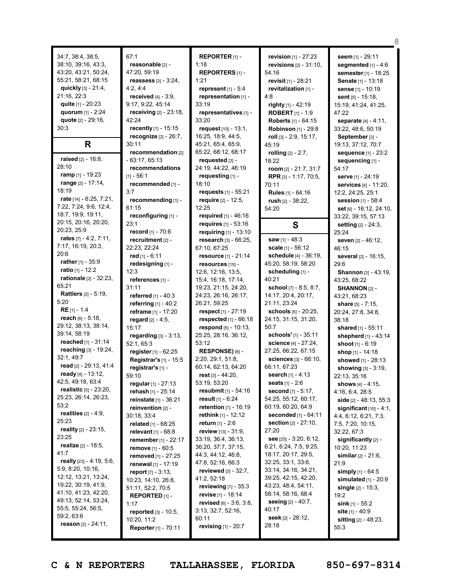34:7, 38:4, 38:5, 38:10, 39:16, 43:3, 43:20, 43:21, 50:24, 55:21, 58:21, 68:15 **quickly** [3] - 21:4, 21:16, 22:3 **quite** [1] - 20:23 **quorum** [1] - 2:24 **quote** [2] - 29:16, 30:3 **R raised** [2] - 16:8, 28:10 **ramp** [1] - 19:23 **range** [2] - 17:14, 18:19 **rate** [14] - 6:25, 7:21, 7:22, 7:24, 9:6, 12:4, 18:7, 19:9, 19:11, 20:15, 20:16, 20:20, 20:23, 25:9 **rates** [7] - 4:2, 7:11, 7:17, 16:19, 20:3, 20:6 **rather** [1] - 35:9 **ratio** [1] - 12:2 **rationale** [2] - 32:23, 65:21 **Rattlers** [2] - 5:19, 5:20 **RE** [1] - 1:4 **reach** [6] - 5:18, 29:12, 38:13, 38:14, 39:14, 58:19 **reached** [1] - 31:14 **reaching** [3] - 19:24, 32:1, 49:7 **read** [2] - 29:13, 41:4 **ready** [4] - 13:12, 42:5, 49:18, 63:4 **realistic** [5] - 23:20, 25:23, 26:14, 26:23, 53:2 **realities** [2] - 4:9, 25:23 **reality** [2] - 23:15, 23:25 **realize** [2] - 18:5, 41:7 **really** [23] - 4:19, 5:6, 5:9, 8:20, 10:16, 12:12, 13:21, 13:24, 19:22, 30:19, 41:9, 41:10, 41:23, 42:20, 49:13, 52:14, 53:24, 55:5, 55:24, 56:5, 59:2, 63:6 **reason** [2] - 24:11,

67:1 **reasonable** [2] - 47:20, 59:19 **reassess** [3] - 3:24, 4:2, 4:4 **received** [4] - 3:9, 9:17, 9:22, 45:14 **receiving** [2] - 23:18, 42:24 **recently** [1] - 15:15 **recognize** [2] - 26:7, 30:11 **recommendation** [2] - 63:17, 65:13 **recommendations**  $[1] - 56:1$ **recommended** [1] - 3:7 **recommending** [1] - 61:15 **reconfiguring** [1] - 23:1 **record** [1] - 70:6 **recruitment** [2] - 22:23, 22:24 **red** [1] - 6:11 **redesigning** [1] -  $12.3$ **references** [1] - 31:11 **referred** [1] - 40:3 **referring** [1] - 40:2 **reframe** [1] - 17:20 **regard** [2] - 4:5, 15:17 **regarding** [3] - 3:13, 52:1, 65:3 **register** [1] - 62:25 **Registrar's** [1] - 15:5 **registrar's** [1] - 59:10 **regular** [1] - 27:13 **rehash** [1] - 25:14 **reinstate** [1] - 36:21 **reinvention** [2] - 30:18, 33:4 **related** [1] - 68:25 **relevant** [1] - 68:8 **remember** [1] - 22:17 **remove** [1] - 60:5 **removed** [1] - 27:25 **renewal** [1] - 17:19 **report** [7] - 3:13, 10:23, 14:10, 26:8, 51:11, 52:2, 70:5 **REPORTED** [1] - 1:17 **reported** [3] - 10:5, 10:20, 11:2 **Reporter** [1] - 70:11

**REPORTER** [1] - 1:18 **REPORTERS** [1] - 1:21 **represent** [1] - 5:4 **representation** [1] - 33:19 **representatives** [1] - 33:20 **request** [10] - 13:1, 16:25, 18:9, 44:5, 45:21, 65:4, 65:9, 65:22, 68:12, 68:17 **requested** [3] - 24:19, 44:22, 46:19 **requesting** [1] - 18:10 **requests** [1] - 55:21 **require** [2] - 12:5, 12:25 **required** [1] - 46:16 **requires** [1] - 53:16 **requiring** [1] - 13:10 **research** [3] - 66:25, 67:10, 67:25 **resource** [1] - 21:14 **resources** [15] - 12:6, 12:16, 13:5, 15:4, 16:18, 17:14, 19:23, 21:15, 24:20, 24:23, 26:16, 26:17, 26:21, 59:25 **respect** [1] - 27:19 **respected** [1] - 66:18 **respond** [5] - 10:13, 25:25, 28:16, 36:12, 53:12 **RESPONSE)** [6] - 2:20, 29:1, 51:8, 60:14, 62:13, 64:20 **rest** [3] - 44:20, 53:19, 53:20 **resubmit** [1] - 54:16 **result** [1] - 6:24 **retention** [1] - 16:19 **rethink** [1] - 12:12 **return** [1] - 2:6 **review** [13] - 31:9, 33:19, 36:4, 36:13, 36:20, 37:7, 37:15, 44:3, 44:12, 46:8, 47:8, 52:16, 66:3 **reviewed** [3] - 32:7,  $41.2, 52.18$ **reviewing** [1] - 35:3 **revise** [1] - 18:14 **revised** [6] - 3:6, 3:8, 3:13, 32:7, 52:16, 60:11 **revising** [1] - 20:7

**revision** [1] - 27:23 **revisions** [2] - 31:10, 54:16 **revisit** [1] - 28:21 **revitalization** [1] - 4:8 **righty** [1] - 42:19 **ROBERT** [1] - 1:9 **Roberts** [1] - 64:15 **Robinson** [1] - 29:8 **roll** [3] - 2:9, 15:17, 45:19 **rolling** [2] - 2:7, 18:22 **room** [2] - 21:7, 31:7 **RPR** [3] - 1:17, 70:5, 70:11 **Rules** [1] - 64:16 **rush** [2] - 38:22, 54:20 **S saw** [1] - 48:3 **scale** [1] - 56:12 **schedule** [4] - 36:19, 45:20, 58:19, 58:20 **scheduling** [1] -  $40.21$ **school** [7] - 8:5, 8:7, 14:17, 20:4, 20:17, 21:11, 23:24 **schools** [5] - 20:25, 24:15, 31:15, 31:20, 50:7 **schools'** [1] - 35:11 **science** [4] - 27:24, 27:25, 66:22, 67:15 **sciences** [3] - 66:10, 66:11, 67:23 **search** [1] - 4:13 **seats** [1] - 2:6 **second** [7] - 5:17, 54:25, 55:12, 60:17, 60:19, 60:20, 64:9 **seconded** [1] - 64:11 **section** [2] - 27:10, 27:20 **see** [25] - 3:20, 6:12, 6:21, 6:24, 7:5, 9:25, 18:17, 20:17, 29:5, 32:25, 33:1, 33:6, 33:14, 34:16, 34:21, 39:25, 42:15, 42:20, 43:23, 48:4, 54:11, 58:14, 58:16, 68:4 **seeing** [2] - 40:7, 40:17 **seek** [2] - 28:12, 28:18

**seem** [1] - 29:11 **segmented** [1] - 4:6 **semester** [1] - 18:25 **Senate** [1] - 13:18 **sense** [1] - 10:19 **sent** [5] - 15:18, 15:19, 41:24, 41:25, 47:22 **separate** [4] - 4:11, 33:22, 48:6, 50:19 **September** [3] - 19:13, 37:12, 70:7 **sequence** [1] - 23:2 **sequencing** [1] - 54:17 **serve** [1] - 24:19 **services** [4] - 11:20, 12:2, 24:25, 25:1 **session** [1] - 58:4 **set** [6] - 16:12, 24:10, 33:22, 39:15, 57:13 **setting** [2] - 24:3, 25:24 **seven** [2] - 46:12, 46:15 **several** [2] - 16:15, 29:6 **Shannon** [3] - 43:19, 43:25, 68:22 **SHANNON** [2] - 43:21, 68:23 **share** [5] - 7:15, 20:24, 27:8, 34:8, 38:18 **shared** [1] - 55:11 **shepherd** [1] - 43:14 **shoot** [1] - 6:19 **shop** [1] - 14:18 **showed** [1] - 28:13 **showing** [3] - 3:19, 22:13, 35:16 **shows** [4] - 4:15, 4:16, 6:4, 28:5 **side** [2] - 48:13, 55:3 **significant** [10] - 4:1, 4:4, 6:12, 6:21, 7:3, 7:5, 7:20, 10:15, 32:22, 67:3 **significantly** [2] - 10:20, 11:23 **similar** [2] - 21:6, 21:9 **simply** [1] - 64:5 **simulated** [1] - 20:9 **single** [2] - 15:3, 19:2 **sink** [1] - 55:2 **site** [1] - 40:9 **sitting** [2] - 48:23,

8

55:3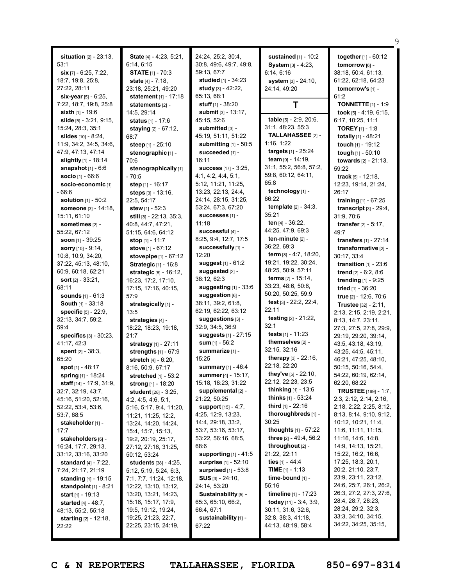|                                   |                                              |                                           |                                          | 9                                           |
|-----------------------------------|----------------------------------------------|-------------------------------------------|------------------------------------------|---------------------------------------------|
| situation [2] - 23:13,            | State [4] - 4:23, 5:21,                      | 24:24, 25:2, 30:4,                        | sustained $[1]$ - 10:2                   | together [1] - 60:12                        |
| 53:1                              | 6:14, 6:15                                   | 30:8, 49:6, 49:7, 49:8,                   | System [3] - 4:23,                       | tomorrow [6] -                              |
| $\sin$ [7] - 6:25, 7:22,          | <b>STATE</b> [1] - 70:3                      | 59:13, 67:7                               | 6:14, 6:16                               | 38:18, 50:4, 61:13,                         |
| 18:7, 19:8, 25:8,                 | state $[4] - 7:18$ ,                         | studied [1] - 34:23                       | system [3] - 24:10,                      | 61:22, 62:18, 64:23                         |
| 27:22, 28:11                      | 23:18, 25:21, 49:20                          | study $[3] - 42:22$ ,                     | 24:14, 49:20                             | tomorrow's [1] -                            |
| six-year $[5] - 6:25$ ,           | <b>statement</b> $[1] - 17:18$               | 65:13, 68:1                               |                                          | 61:2                                        |
| 7:22, 18:7, 19:8, 25:8            | statements $[2]$ -                           | <b>stuff</b> [1] - 38:20                  | Τ                                        | <b>TONNETTE</b> $[1] - 1:9$                 |
| sixth $[1]$ - 19:6                | 14:5, 29:14                                  | submit [3] - 13:17,                       |                                          | took $[5] - 4:19, 6:15,$                    |
| slide [5] - 3:21, 9:15,           | <b>status</b> [1] - 17:6                     | 45:15, 52:6                               | table [5] - 2:9, 20:6,                   | 6:17, 10:25, 11:1                           |
| 15:24, 28:3, 35:1                 | staying [2] - 67:12,                         | submitted [3] -                           | 31:1, 48:23, 55:3                        | <b>TOREY</b> $[1] - 1:8$                    |
| <b>slides</b> $[10] - 8:24$ ,     | 68:7                                         | 45:19, 51:11, 51:22                       | TALLAHASSEE [2] -                        | totally [1] - 48:21                         |
| 11:9, 34:2, 34:5, 34:6,           | steep [1] - 25:10                            | submitting [1] - 50:5                     | 1:16, 1:22                               | touch [1] - 19:12                           |
| 47:9, 47:13, 47:14                | stenographic [1] -                           | succeeded [1] -                           | targets [1] - 25:24                      | tough [1] - 50:10                           |
| slightly $[1]$ - 18:14            | 70:6                                         | 16:11                                     | team [9] - 14:19,                        | towards [2] - 21:13,                        |
| snapshot $[1] - 6.6$              | stenographically [1]                         | <b>success</b> [17] - 3:25,               | 31:1, 55:2, 56:8, 57:2,                  | 59:22                                       |
| <b>socio</b> [1] - 66:6           | - 70:5                                       | 4:1, 4:2, 4:4, 5:1,                       | 59:8, 60:12, 64:11,                      | track $[5] - 12:18$ ,                       |
| socio-economic [1]                | step [1] - 16:17                             | 5:12, 11:21, 11:25,                       | 65:8                                     | 12:23, 19:14, 21:24,                        |
| $-66:6$                           | steps [3] - 13:16,                           | 13:23, 22:13, 24:4,                       | technology [1] -                         | 26:17                                       |
| <b>solution</b> [1] - 50:2        | 22:5, 54:17                                  | 24:14, 28:15, 31:25,                      | 66:22                                    | <b>training</b> $[1] - 67:25$               |
| someone [3] - 14:18,              | stew $[1] - 52:3$                            | 53:24, 67:3, 67:20                        | <b>template</b> $[2] - 34:3$ ,           | transcript $[3]$ - 29:4,                    |
| 15:11, 61:10                      | still $[8] - 22:13, 35:3,$                   | SUCCeSSeS [1] -                           | 35:21                                    | 31:9, 70:6                                  |
| sometimes [2] -                   | 40:8, 44:7, 47:21,                           | 11:18                                     | ten $[4] - 36:22$ ,                      | <b>transfer</b> $[2] - 5:17$ ,              |
| 55:22, 67:12                      | 51:15, 64:6, 64:12                           | successful [4] -                          | 44:25, 47:9, 69:3                        | 49:7                                        |
| soon $[1]$ - 39:25                | stop [1] - 11:7                              | 8:25, 9:4, 12:7, 17:5                     | ten-minute $[2]$ -                       | transfers $[1] - 27:14$                     |
| <b>sorry</b> [10] - 9:14,         | stove $[1] - 67:12$                          | successfully [1] -                        | 36:22, 69:3                              | transformative [2] -                        |
| 10:8, 10:9, 34:20,                | stovepipe [1] - 67:12                        | 12:20                                     | <b>term</b> $[8] - 4:7, 18:20,$          | 30:17, 33:4                                 |
| 37:22, 45:13, 48:10,              | <b>Strategic [1] - 16:8</b>                  | suggest [1] - 61:2                        | 19:21, 19:22, 30:24,                     | transition $[1]$ - 23:6                     |
| 60:9, 60:18, 62:21                | strategic [8] - 16:12,                       | suggested [2] -                           | 48:25, 50:9, 57:11                       | <b>trend</b> $[2] - 6:2, 8:6$               |
| sort $[2] - 33:21$ ,              | 16:23, 17:2, 17:10,                          | 38:12,62:3                                | terms [7] - 15:14,<br>33:23, 48:6, 50:6, | trending [1] - 9:25                         |
| 68:11                             | 17:15, 17:16, 40:15,                         | suggesting $[1]$ - 33:6                   | 50:20, 50:25, 59:9                       | tried [1] - 36:20                           |
| <b>sounds</b> $[1] - 61:3$        | 57:9                                         | suggestion [6] -                          | test [3] - 22:2, 22:4,                   | true [2] - 12:6, 70:6                       |
| <b>South [1] - 33:18</b>          | strategically [1] -                          | 38:11, 39:2, 61:8,<br>62:19, 62:22, 63:12 | 22:11                                    | <b>Trustee</b> $[32] - 2:11$ ,              |
| <b>specific</b> [5] - 22:9,       | 13:5                                         | suggestions [3] -                         | testing [2] - 21:22,                     | 2:13, 2:15, 2:19, 2:21,                     |
| 32:13, 34:7, 59:2,<br>59:4        | strategies [4] -                             | 32:9, 34:5, 36:9                          | 32:1                                     | 8:13, 14:7, 23:11,                          |
| specifics $[3]$ - $30:23$ .       | 18:22, 18:23, 19:18,                         | suggests [1] - 27:15                      | tests [1] - 11:23                        | 27:3, 27:5, 27:8, 29:9,                     |
| 41:17, 42:3                       | 21:7                                         | sum $[1] - 56:2$                          | themselves [2] -                         | 29:19, 29:20, 39:14,<br>43:5, 43:18, 43:19, |
| spent $[2] - 38:3$ ,              | strategy [1] - 27:11<br>strengths [1] - 67:9 | summarize [1] -                           | 32:15, 32:16                             | 43:25, 44:5, 45:11,                         |
| 65:20                             | stretch [4] - 6:20,                          | 15:25                                     | therapy $[3] - 22:16$ ,                  | 46:21, 47:25, 48:10,                        |
| spot [1] - 48:17                  | 8:16, 50:9, 67:17                            | summary [1] - 46:4                        | 22:18, 22:20                             | 50:15, 50:16, 54:4,                         |
| <b>spring</b> [1] - 18:24         | stretched [1] - 53:2                         | <b>summer</b> [4] - 15:17,                | they've $[5] - 22:10$ ,                  | 54:22, 60:19, 62:14,                        |
| <b>staff</b> $[14] - 17:9, 31:9,$ | <b>strong</b> [1] - 18:20                    | 15:18, 18:23, 31:22                       | 22:12, 22:23, 23:5                       | 62:20, 68:22                                |
| 32:7, 32:19, 43:7,                | <b>student</b> [28] - 3:25,                  | supplemental [2] -                        | <b>thinking</b> $[1]$ - 13:6             | <b>TRUSTEE</b> [169] - 1:7,                 |
| 45:16, 51:20, 52:16,              | 4:2, 4:5, 4:6, 5:1,                          | 21:22, 50:25                              | <b>thinks</b> $[1]$ - 53:24              | 2:3, 2:12, 2:14, 2:16,                      |
| 52:22, 53:4, 53:6,                | 5:16, 5:17, 9:4, 11:20,                      | support [15] - 4:7,                       | <b>third</b> $[1]$ - 22:16               | 2:18, 2:22, 2:25, 8:12,                     |
| 53:7,68:5                         | 11:21, 11:25, 12:2,                          | 4:25, 12:9, 13:23,                        | thoroughbreds [1] -                      | 8:13, 8:14, 9:10, 9:12,                     |
| stakeholder [1] -                 | 13:24, 14:20, 14:24,                         | 14:4, 29:18, 33:2,                        | 30:25                                    | 10:12, 10:21, 11:4,                         |
| 17:7                              | 15:4, 15:7, 15:13,                           | 53:7, 53:16, 53:17,                       | <b>thoughts</b> $[1] - 57:22$            | 11:6, 11:11, 11:15,                         |
| stakeholders [6] -                | 19:2, 20:19, 25:17,                          | 53:22, 56:16, 68:5,                       | three [2] - 49:4, 56:2                   | 11:16, 14:6, 14:8,                          |
| 16:24, 17:7, 29:13,               | 27:12, 27:16, 31:25,                         | 68:6                                      | throughout $[2]$ -                       | 14:9, 14:13, 15:21,                         |
| 33:12, 33:16, 33:20               | 50:12, 53:24                                 | supporting $[1]$ - 41:5                   | 21:22, 22:11                             | 15:22, 16:2, 16:6,                          |
| <b>standard</b> $[4]$ - 7:22,     | <b>students</b> $[38] - 4:25$ ,              | <b>surprise</b> [1] - 52:10               | ties $[1]$ - 44:4                        | 17:25, 18:3, 20:1,                          |
| 7:24, 21:17, 21:19                | 5:12, 5:19, 5:24, 6:3,                       | surprised $[1]$ - 53:8                    | <b>TIME</b> $[1]$ - 1:13                 | 20:2, 21:10, 23:7,                          |
| <b>standing</b> [1] - 19:15       | 7:1, 7:7, 11:24, 12:18,                      | $SUS$ [3] - 24:10,                        | time-bound [1] -                         | 23:9, 23:11, 23:12,                         |
| <b>standpoint</b> $[1] - 8:21$    | 12:22, 13:10, 13:12,                         | 24:14, 53:20                              | 55:16                                    | 24:6, 25:7, 26:1, 26:2,                     |
| <b>start</b> [1] - 19:13          | 13:20, 13:21, 14:23,                         | Sustainability [5] -                      | timeline [1] - 17:23                     | 26:3, 27:2, 27:3, 27:6,                     |
| <b>started</b> $[4] - 48:7$ ,     | 15:16, 15:17, 17:9,                          | 65:3, 65:10, 66:2,                        | today $[11] - 3:4, 3:9,$                 | 28:4, 28:7, 28:23,<br>28:24, 29:2, 32:3,    |
| 48:13, 55:2, 55:18                | 19:5, 19:12, 19:24,                          | 66:4, 67:1                                | 30:11, 31:6, 32:6,                       | 33:3, 34:10, 34:15,                         |
| <b>starting</b> $[2] - 12:18$ ,   | 19:25, 21:23, 22:7,                          | sustainability [1] -                      | 32:8, 38:3, 41:18,<br>44:13, 48:19, 58:4 | 34:22, 34:25, 35:15,                        |
| 22:22                             | 22:25, 23:15, 24:19,                         | 67:22                                     |                                          |                                             |